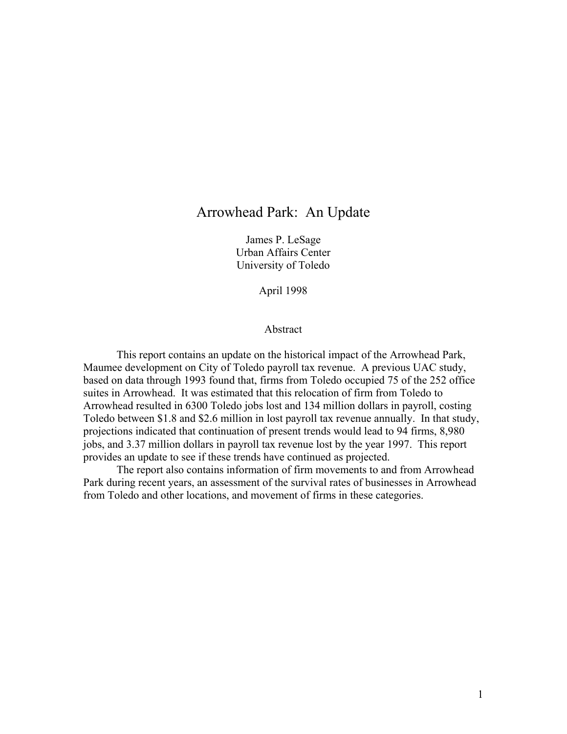### Arrowhead Park: An Update

James P. LeSage Urban Affairs Center University of Toledo

April 1998

#### Abstract

 This report contains an update on the historical impact of the Arrowhead Park, Maumee development on City of Toledo payroll tax revenue. A previous UAC study, based on data through 1993 found that, firms from Toledo occupied 75 of the 252 office suites in Arrowhead. It was estimated that this relocation of firm from Toledo to Arrowhead resulted in 6300 Toledo jobs lost and 134 million dollars in payroll, costing Toledo between \$1.8 and \$2.6 million in lost payroll tax revenue annually. In that study, projections indicated that continuation of present trends would lead to 94 firms, 8,980 jobs, and 3.37 million dollars in payroll tax revenue lost by the year 1997. This report provides an update to see if these trends have continued as projected.

 The report also contains information of firm movements to and from Arrowhead Park during recent years, an assessment of the survival rates of businesses in Arrowhead from Toledo and other locations, and movement of firms in these categories.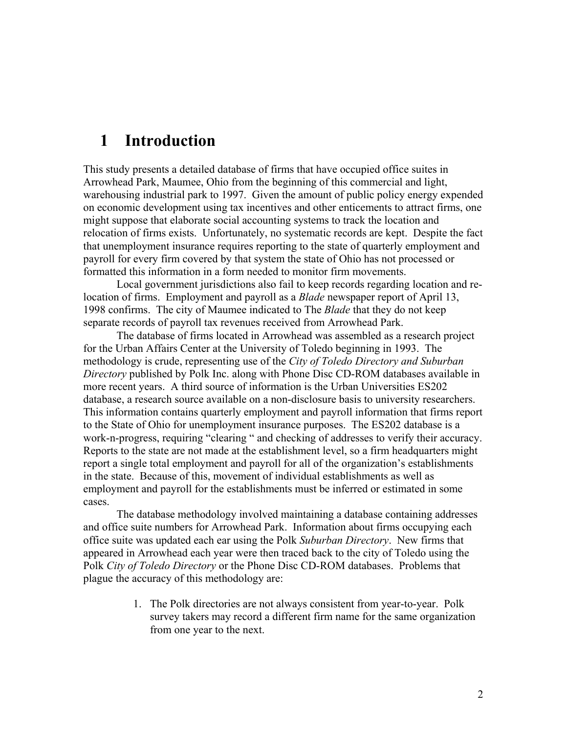## **1 Introduction**

This study presents a detailed database of firms that have occupied office suites in Arrowhead Park, Maumee, Ohio from the beginning of this commercial and light, warehousing industrial park to 1997. Given the amount of public policy energy expended on economic development using tax incentives and other enticements to attract firms, one might suppose that elaborate social accounting systems to track the location and relocation of firms exists. Unfortunately, no systematic records are kept. Despite the fact that unemployment insurance requires reporting to the state of quarterly employment and payroll for every firm covered by that system the state of Ohio has not processed or formatted this information in a form needed to monitor firm movements.

Local government jurisdictions also fail to keep records regarding location and relocation of firms. Employment and payroll as a *Blade* newspaper report of April 13, 1998 confirms. The city of Maumee indicated to The *Blade* that they do not keep separate records of payroll tax revenues received from Arrowhead Park.

The database of firms located in Arrowhead was assembled as a research project for the Urban Affairs Center at the University of Toledo beginning in 1993. The methodology is crude, representing use of the *City of Toledo Directory and Suburban Directory* published by Polk Inc. along with Phone Disc CD-ROM databases available in more recent years. A third source of information is the Urban Universities ES202 database, a research source available on a non-disclosure basis to university researchers. This information contains quarterly employment and payroll information that firms report to the State of Ohio for unemployment insurance purposes. The ES202 database is a work-n-progress, requiring "clearing " and checking of addresses to verify their accuracy. Reports to the state are not made at the establishment level, so a firm headquarters might report a single total employment and payroll for all of the organization's establishments in the state. Because of this, movement of individual establishments as well as employment and payroll for the establishments must be inferred or estimated in some cases.

The database methodology involved maintaining a database containing addresses and office suite numbers for Arrowhead Park. Information about firms occupying each office suite was updated each ear using the Polk *Suburban Directory*. New firms that appeared in Arrowhead each year were then traced back to the city of Toledo using the Polk *City of Toledo Directory* or the Phone Disc CD-ROM databases. Problems that plague the accuracy of this methodology are:

> 1. The Polk directories are not always consistent from year-to-year. Polk survey takers may record a different firm name for the same organization from one year to the next.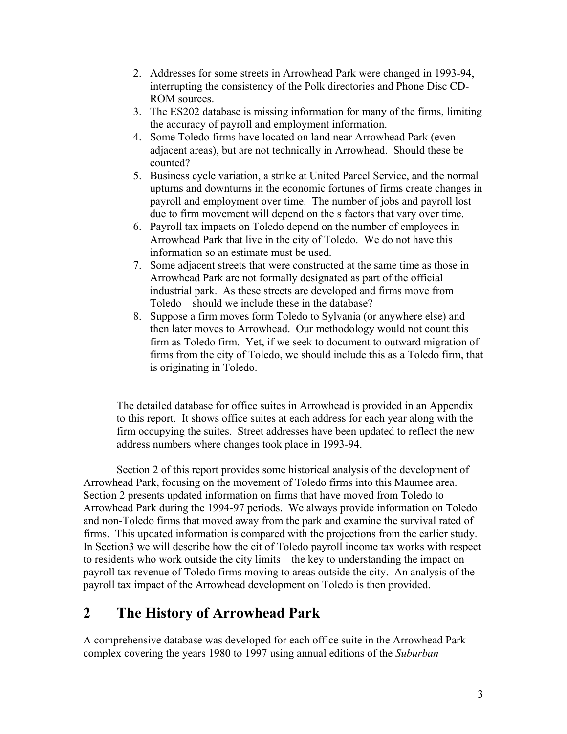- 2. Addresses for some streets in Arrowhead Park were changed in 1993-94, interrupting the consistency of the Polk directories and Phone Disc CD-ROM sources.
- 3. The ES202 database is missing information for many of the firms, limiting the accuracy of payroll and employment information.
- 4. Some Toledo firms have located on land near Arrowhead Park (even adjacent areas), but are not technically in Arrowhead. Should these be counted?
- 5. Business cycle variation, a strike at United Parcel Service, and the normal upturns and downturns in the economic fortunes of firms create changes in payroll and employment over time. The number of jobs and payroll lost due to firm movement will depend on the s factors that vary over time.
- 6. Payroll tax impacts on Toledo depend on the number of employees in Arrowhead Park that live in the city of Toledo. We do not have this information so an estimate must be used.
- 7. Some adjacent streets that were constructed at the same time as those in Arrowhead Park are not formally designated as part of the official industrial park. As these streets are developed and firms move from Toledo—should we include these in the database?
- 8. Suppose a firm moves form Toledo to Sylvania (or anywhere else) and then later moves to Arrowhead. Our methodology would not count this firm as Toledo firm. Yet, if we seek to document to outward migration of firms from the city of Toledo, we should include this as a Toledo firm, that is originating in Toledo.

The detailed database for office suites in Arrowhead is provided in an Appendix to this report. It shows office suites at each address for each year along with the firm occupying the suites. Street addresses have been updated to reflect the new address numbers where changes took place in 1993-94.

 Section 2 of this report provides some historical analysis of the development of Arrowhead Park, focusing on the movement of Toledo firms into this Maumee area. Section 2 presents updated information on firms that have moved from Toledo to Arrowhead Park during the 1994-97 periods. We always provide information on Toledo and non-Toledo firms that moved away from the park and examine the survival rated of firms. This updated information is compared with the projections from the earlier study. In Section3 we will describe how the cit of Toledo payroll income tax works with respect to residents who work outside the city limits – the key to understanding the impact on payroll tax revenue of Toledo firms moving to areas outside the city. An analysis of the payroll tax impact of the Arrowhead development on Toledo is then provided.

### **2 The History of Arrowhead Park**

A comprehensive database was developed for each office suite in the Arrowhead Park complex covering the years 1980 to 1997 using annual editions of the *Suburban*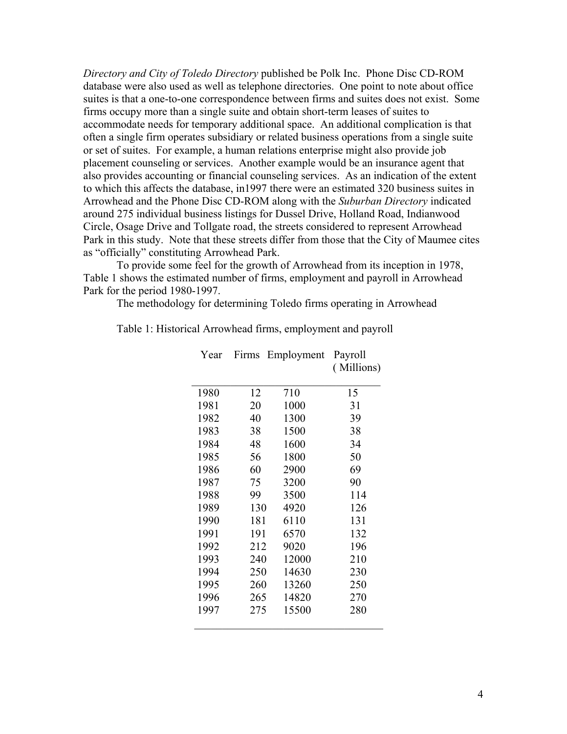*Directory and City of Toledo Directory* published be Polk Inc. Phone Disc CD-ROM database were also used as well as telephone directories. One point to note about office suites is that a one-to-one correspondence between firms and suites does not exist. Some firms occupy more than a single suite and obtain short-term leases of suites to accommodate needs for temporary additional space. An additional complication is that often a single firm operates subsidiary or related business operations from a single suite or set of suites. For example, a human relations enterprise might also provide job placement counseling or services. Another example would be an insurance agent that also provides accounting or financial counseling services. As an indication of the extent to which this affects the database, in1997 there were an estimated 320 business suites in Arrowhead and the Phone Disc CD-ROM along with the *Suburban Directory* indicated around 275 individual business listings for Dussel Drive, Holland Road, Indianwood Circle, Osage Drive and Tollgate road, the streets considered to represent Arrowhead Park in this study. Note that these streets differ from those that the City of Maumee cites as "officially" constituting Arrowhead Park.

 To provide some feel for the growth of Arrowhead from its inception in 1978, Table 1 shows the estimated number of firms, employment and payroll in Arrowhead Park for the period 1980-1997.

The methodology for determining Toledo firms operating in Arrowhead

| Year | Firms | Employment | Payroll<br>(Millions) |
|------|-------|------------|-----------------------|
| 1980 | 12    | 710        | 15                    |
| 1981 | 20    | 1000       | 31                    |
| 1982 | 40    | 1300       | 39                    |
| 1983 | 38    | 1500       | 38                    |
| 1984 | 48    | 1600       | 34                    |
| 1985 | 56    | 1800       | 50                    |
| 1986 | 60    | 2900       | 69                    |
| 1987 | 75    | 3200       | 90                    |
| 1988 | 99    | 3500       | 114                   |
| 1989 | 130   | 4920       | 126                   |
| 1990 | 181   | 6110       | 131                   |
| 1991 | 191   | 6570       | 132                   |
| 1992 | 212   | 9020       | 196                   |
| 1993 | 240   | 12000      | 210                   |
| 1994 | 250   | 14630      | 230                   |
| 1995 | 260   | 13260      | 250                   |
| 1996 | 265   | 14820      | 270                   |
| 1997 | 275   | 15500      | 280                   |

Table 1: Historical Arrowhead firms, employment and payroll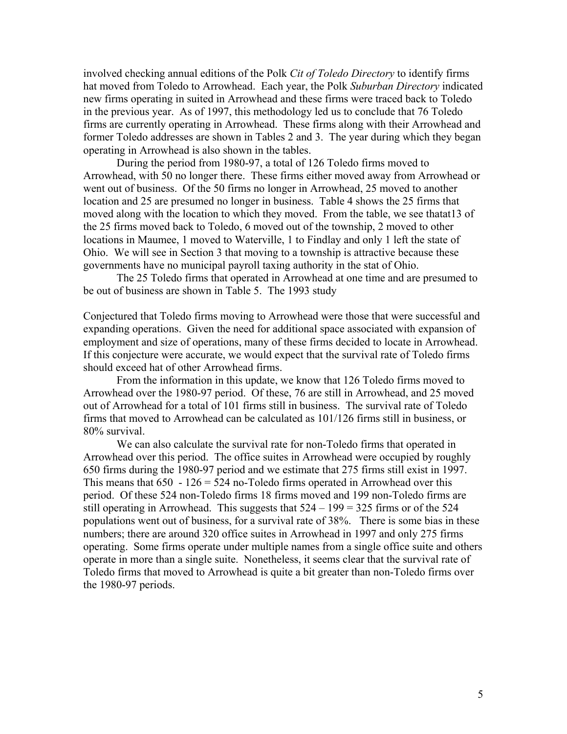involved checking annual editions of the Polk *Cit of Toledo Directory* to identify firms hat moved from Toledo to Arrowhead. Each year, the Polk *Suburban Directory* indicated new firms operating in suited in Arrowhead and these firms were traced back to Toledo in the previous year. As of 1997, this methodology led us to conclude that 76 Toledo firms are currently operating in Arrowhead. These firms along with their Arrowhead and former Toledo addresses are shown in Tables 2 and 3. The year during which they began operating in Arrowhead is also shown in the tables.

 During the period from 1980-97, a total of 126 Toledo firms moved to Arrowhead, with 50 no longer there. These firms either moved away from Arrowhead or went out of business. Of the 50 firms no longer in Arrowhead, 25 moved to another location and 25 are presumed no longer in business. Table 4 shows the 25 firms that moved along with the location to which they moved. From the table, we see thatat13 of the 25 firms moved back to Toledo, 6 moved out of the township, 2 moved to other locations in Maumee, 1 moved to Waterville, 1 to Findlay and only 1 left the state of Ohio. We will see in Section 3 that moving to a township is attractive because these governments have no municipal payroll taxing authority in the stat of Ohio.

 The 25 Toledo firms that operated in Arrowhead at one time and are presumed to be out of business are shown in Table 5. The 1993 study

Conjectured that Toledo firms moving to Arrowhead were those that were successful and expanding operations. Given the need for additional space associated with expansion of employment and size of operations, many of these firms decided to locate in Arrowhead. If this conjecture were accurate, we would expect that the survival rate of Toledo firms should exceed hat of other Arrowhead firms.

 From the information in this update, we know that 126 Toledo firms moved to Arrowhead over the 1980-97 period. Of these, 76 are still in Arrowhead, and 25 moved out of Arrowhead for a total of 101 firms still in business. The survival rate of Toledo firms that moved to Arrowhead can be calculated as 101/126 firms still in business, or 80% survival.

 We can also calculate the survival rate for non-Toledo firms that operated in Arrowhead over this period. The office suites in Arrowhead were occupied by roughly 650 firms during the 1980-97 period and we estimate that 275 firms still exist in 1997. This means that  $650 - 126 = 524$  no-Toledo firms operated in Arrowhead over this period. Of these 524 non-Toledo firms 18 firms moved and 199 non-Toledo firms are still operating in Arrowhead. This suggests that  $524 - 199 = 325$  firms or of the 524 populations went out of business, for a survival rate of 38%. There is some bias in these numbers; there are around 320 office suites in Arrowhead in 1997 and only 275 firms operating. Some firms operate under multiple names from a single office suite and others operate in more than a single suite. Nonetheless, it seems clear that the survival rate of Toledo firms that moved to Arrowhead is quite a bit greater than non-Toledo firms over the 1980-97 periods.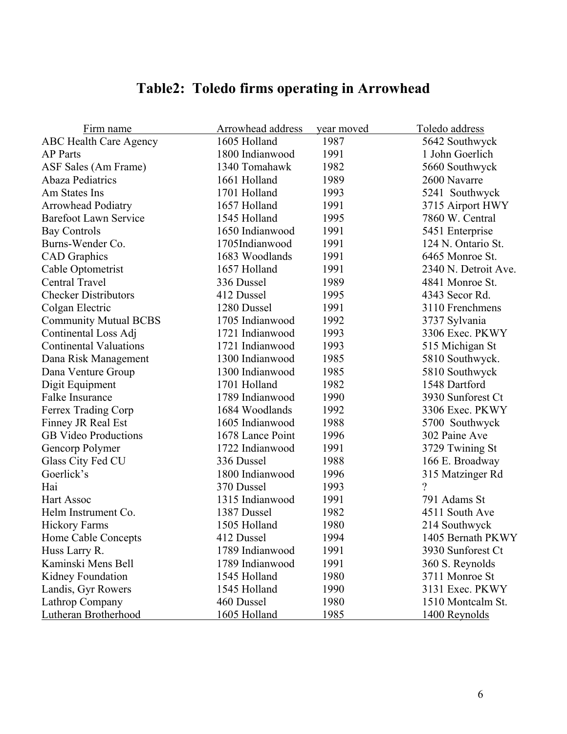## **Table2: Toledo firms operating in Arrowhead**

| Firm name                     | Arrowhead address | year moved | Toledo address           |
|-------------------------------|-------------------|------------|--------------------------|
| <b>ABC Health Care Agency</b> | 1605 Holland      | 1987       | 5642 Southwyck           |
| <b>AP</b> Parts               | 1800 Indianwood   | 1991       | 1 John Goerlich          |
| ASF Sales (Am Frame)          | 1340 Tomahawk     | 1982       | 5660 Southwyck           |
| <b>Abaza Pediatrics</b>       | 1661 Holland      | 1989       | 2600 Navarre             |
| Am States Ins                 | 1701 Holland      | 1993       | 5241 Southwyck           |
| <b>Arrowhead Podiatry</b>     | 1657 Holland      | 1991       | 3715 Airport HWY         |
| <b>Barefoot Lawn Service</b>  | 1545 Holland      | 1995       | 7860 W. Central          |
| <b>Bay Controls</b>           | 1650 Indianwood   | 1991       | 5451 Enterprise          |
| Burns-Wender Co.              | 1705Indianwood    | 1991       | 124 N. Ontario St.       |
| <b>CAD</b> Graphics           | 1683 Woodlands    | 1991       | 6465 Monroe St.          |
| Cable Optometrist             | 1657 Holland      | 1991       | 2340 N. Detroit Ave.     |
| Central Travel                | 336 Dussel        | 1989       | 4841 Monroe St.          |
| <b>Checker Distributors</b>   | 412 Dussel        | 1995       | 4343 Secor Rd.           |
| Colgan Electric               | 1280 Dussel       | 1991       | 3110 Frenchmens          |
| <b>Community Mutual BCBS</b>  | 1705 Indianwood   | 1992       | 3737 Sylvania            |
| Continental Loss Adj          | 1721 Indianwood   | 1993       | 3306 Exec. PKWY          |
| <b>Continental Valuations</b> | 1721 Indianwood   | 1993       | 515 Michigan St          |
| Dana Risk Management          | 1300 Indianwood   | 1985       | 5810 Southwyck.          |
| Dana Venture Group            | 1300 Indianwood   | 1985       | 5810 Southwyck           |
| Digit Equipment               | 1701 Holland      | 1982       | 1548 Dartford            |
| Falke Insurance               | 1789 Indianwood   | 1990       | 3930 Sunforest Ct        |
| Ferrex Trading Corp           | 1684 Woodlands    | 1992       | 3306 Exec. PKWY          |
| Finney JR Real Est            | 1605 Indianwood   | 1988       | 5700 Southwyck           |
| <b>GB</b> Video Productions   | 1678 Lance Point  | 1996       | 302 Paine Ave            |
| Gencorp Polymer               | 1722 Indianwood   | 1991       | 3729 Twining St          |
| Glass City Fed CU             | 336 Dussel        | 1988       | 166 E. Broadway          |
| Goerlick's                    | 1800 Indianwood   | 1996       | 315 Matzinger Rd         |
| Hai                           | 370 Dussel        | 1993       | $\overline{\mathcal{L}}$ |
| <b>Hart Assoc</b>             | 1315 Indianwood   | 1991       | 791 Adams St             |
| Helm Instrument Co.           | 1387 Dussel       | 1982       | 4511 South Ave           |
| <b>Hickory Farms</b>          | 1505 Holland      | 1980       | 214 Southwyck            |
| Home Cable Concepts           | 412 Dussel        | 1994       | 1405 Bernath PKWY        |
| Huss Larry R.                 | 1789 Indianwood   | 1991       | 3930 Sunforest Ct        |
| Kaminski Mens Bell            | 1789 Indianwood   | 1991       | 360 S. Reynolds          |
| Kidney Foundation             | 1545 Holland      | 1980       | 3711 Monroe St           |
| Landis, Gyr Rowers            | 1545 Holland      | 1990       | 3131 Exec. PKWY          |
| Lathrop Company               | 460 Dussel        | 1980       | 1510 Montcalm St.        |
| Lutheran Brotherhood          | 1605 Holland      | 1985       | 1400 Reynolds            |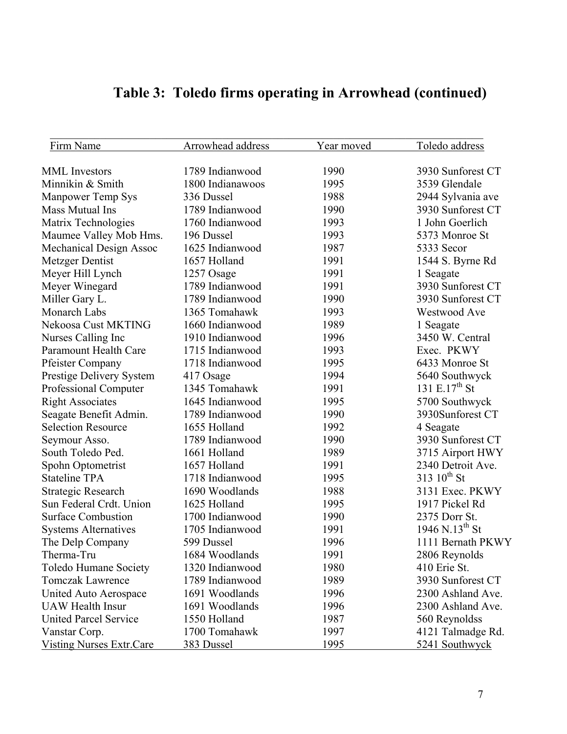| Firm Name                       | Arrowhead address | Year moved | Toledo address             |
|---------------------------------|-------------------|------------|----------------------------|
| <b>MML</b> Investors            | 1789 Indianwood   | 1990       | 3930 Sunforest CT          |
| Minnikin & Smith                | 1800 Indianawoos  | 1995       | 3539 Glendale              |
| <b>Manpower Temp Sys</b>        | 336 Dussel        | 1988       | 2944 Sylvania ave          |
| Mass Mutual Ins                 | 1789 Indianwood   | 1990       | 3930 Sunforest CT          |
| Matrix Technologies             | 1760 Indianwood   | 1993       | 1 John Goerlich            |
| Maumee Valley Mob Hms.          | 196 Dussel        | 1993       | 5373 Monroe St             |
| <b>Mechanical Design Assoc</b>  | 1625 Indianwood   | 1987       | 5333 Secor                 |
| Metzger Dentist                 | 1657 Holland      | 1991       | 1544 S. Byrne Rd           |
| Meyer Hill Lynch                | 1257 Osage        | 1991       | 1 Seagate                  |
| Meyer Winegard                  | 1789 Indianwood   | 1991       | 3930 Sunforest CT          |
| Miller Gary L.                  | 1789 Indianwood   | 1990       | 3930 Sunforest CT          |
| Monarch Labs                    | 1365 Tomahawk     | 1993       | Westwood Ave               |
| Nekoosa Cust MKTING             | 1660 Indianwood   | 1989       | 1 Seagate                  |
| Nurses Calling Inc              | 1910 Indianwood   | 1996       | 3450 W. Central            |
| <b>Paramount Health Care</b>    | 1715 Indianwood   | 1993       | Exec. PKWY                 |
| <b>Pfeister Company</b>         | 1718 Indianwood   | 1995       | 6433 Monroe St             |
| Prestige Delivery System        | 417 Osage         | 1994       | 5640 Southwyck             |
| Professional Computer           | 1345 Tomahawk     | 1991       | 131 E.17 <sup>th</sup> St  |
| <b>Right Associates</b>         | 1645 Indianwood   | 1995       | 5700 Southwyck             |
| Seagate Benefit Admin.          | 1789 Indianwood   | 1990       | 3930Sunforest CT           |
| <b>Selection Resource</b>       | 1655 Holland      | 1992       | 4 Seagate                  |
| Seymour Asso.                   | 1789 Indianwood   | 1990       | 3930 Sunforest CT          |
| South Toledo Ped.               | 1661 Holland      | 1989       | 3715 Airport HWY           |
| Spohn Optometrist               | 1657 Holland      | 1991       | 2340 Detroit Ave.          |
| <b>Stateline TPA</b>            | 1718 Indianwood   | 1995       | 313 $10^{th}$ St           |
| <b>Strategic Research</b>       | 1690 Woodlands    | 1988       | 3131 Exec. PKWY            |
| Sun Federal Crdt. Union         | 1625 Holland      | 1995       | 1917 Pickel Rd             |
| <b>Surface Combustion</b>       | 1700 Indianwood   | 1990       | 2375 Dorr St.              |
| <b>Systems Alternatives</b>     | 1705 Indianwood   | 1991       | 1946 N.13 <sup>th</sup> St |
| The Delp Company                | 599 Dussel        | 1996       | 1111 Bernath PKWY          |
| Therma-Tru                      | 1684 Woodlands    | 1991       | 2806 Reynolds              |
| Toledo Humane Society           | 1320 Indianwood   | 1980       | 410 Erie St.               |
| <b>Tomczak Lawrence</b>         | 1789 Indianwood   | 1989       | 3930 Sunforest CT          |
| United Auto Aerospace           | 1691 Woodlands    | 1996       | 2300 Ashland Ave.          |
| <b>UAW Health Insur</b>         | 1691 Woodlands    | 1996       | 2300 Ashland Ave.          |
| <b>United Parcel Service</b>    | 1550 Holland      | 1987       | 560 Reynoldss              |
| Vanstar Corp.                   | 1700 Tomahawk     | 1997       | 4121 Talmadge Rd.          |
| <b>Visting Nurses Extr.Care</b> | 383 Dussel        | 1995       | 5241 Southwyck             |

# **Table 3: Toledo firms operating in Arrowhead (continued)**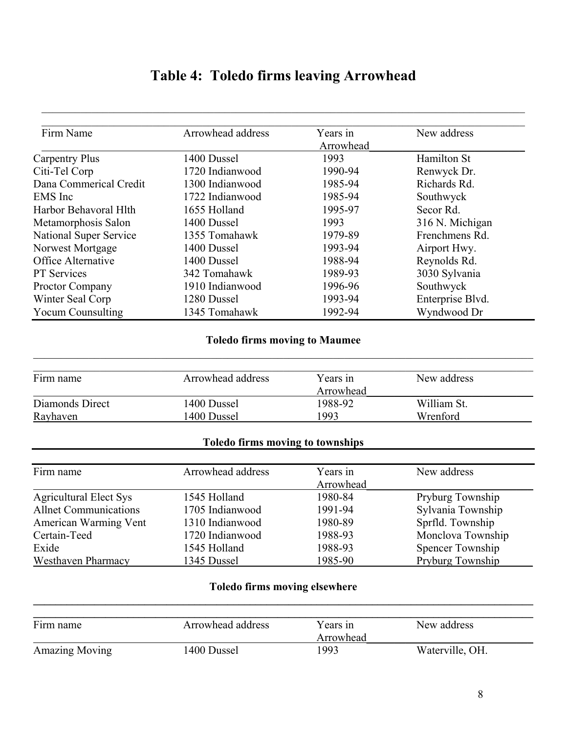# **Table 4: Toledo firms leaving Arrowhead**

 $\mathcal{L}_\mathcal{L} = \{ \mathcal{L}_\mathcal{L} = \{ \mathcal{L}_\mathcal{L} = \{ \mathcal{L}_\mathcal{L} = \{ \mathcal{L}_\mathcal{L} = \{ \mathcal{L}_\mathcal{L} = \{ \mathcal{L}_\mathcal{L} = \{ \mathcal{L}_\mathcal{L} = \{ \mathcal{L}_\mathcal{L} = \{ \mathcal{L}_\mathcal{L} = \{ \mathcal{L}_\mathcal{L} = \{ \mathcal{L}_\mathcal{L} = \{ \mathcal{L}_\mathcal{L} = \{ \mathcal{L}_\mathcal{L} = \{ \mathcal{L}_\mathcal{$ 

| Firm Name                     | Arrowhead address | Years in  | New address      |
|-------------------------------|-------------------|-----------|------------------|
|                               |                   | Arrowhead |                  |
| <b>Carpentry Plus</b>         | 1400 Dussel       | 1993      | Hamilton St      |
| Citi-Tel Corp                 | 1720 Indianwood   | 1990-94   | Renwyck Dr.      |
| Dana Commerical Credit        | 1300 Indianwood   | 1985-94   | Richards Rd.     |
| EMS Inc                       | 1722 Indianwood   | 1985-94   | Southwyck        |
| Harbor Behavoral Hlth         | 1655 Holland      | 1995-97   | Secor Rd.        |
| Metamorphosis Salon           | 1400 Dussel       | 1993      | 316 N. Michigan  |
| <b>National Super Service</b> | 1355 Tomahawk     | 1979-89   | Frenchmens Rd.   |
| Norwest Mortgage              | 1400 Dussel       | 1993-94   | Airport Hwy.     |
| Office Alternative            | 1400 Dussel       | 1988-94   | Reynolds Rd.     |
| <b>PT</b> Services            | 342 Tomahawk      | 1989-93   | 3030 Sylvania    |
| Proctor Company               | 1910 Indianwood   | 1996-96   | Southwyck        |
| Winter Seal Corp              | 1280 Dussel       | 1993-94   | Enterprise Blvd. |
| <b>Yocum Counsulting</b>      | 1345 Tomahawk     | 1992-94   | Wyndwood Dr      |

#### **Toledo firms moving to Maumee**   $\mathcal{L}_\mathcal{L} = \mathcal{L}_\mathcal{L} = \mathcal{L}_\mathcal{L} = \mathcal{L}_\mathcal{L} = \mathcal{L}_\mathcal{L} = \mathcal{L}_\mathcal{L} = \mathcal{L}_\mathcal{L} = \mathcal{L}_\mathcal{L} = \mathcal{L}_\mathcal{L} = \mathcal{L}_\mathcal{L} = \mathcal{L}_\mathcal{L} = \mathcal{L}_\mathcal{L} = \mathcal{L}_\mathcal{L} = \mathcal{L}_\mathcal{L} = \mathcal{L}_\mathcal{L} = \mathcal{L}_\mathcal{L} = \mathcal{L}_\mathcal{L}$

| Firm name       | Arrowhead address | Years in  | New address |
|-----------------|-------------------|-----------|-------------|
|                 |                   | Arrowhead |             |
| Diamonds Direct | 1400 Dussel       | 1988-92   | William St. |
| Rayhaven        | 1400 Dussel       | 1993      | Wrenford    |

#### **Toledo firms moving to townships**

| Firm name                    | Arrowhead address | Years in  | New address       |
|------------------------------|-------------------|-----------|-------------------|
|                              |                   | Arrowhead |                   |
| Agricultural Elect Sys       | 1545 Holland      | 1980-84   | Pryburg Township  |
| <b>Allnet Communications</b> | 1705 Indianwood   | 1991-94   | Sylvania Township |
| American Warming Vent        | 1310 Indianwood   | 1980-89   | Sprfld. Township  |
| Certain-Teed                 | 1720 Indianwood   | 1988-93   | Monclova Township |
| Exide                        | 1545 Holland      | 1988-93   | Spencer Township  |
| <b>Westhaven Pharmacy</b>    | 1345 Dussel       | 1985-90   | Pryburg Township  |

#### **Toledo firms moving elsewhere**   $\mathcal{L}_\mathcal{L} = \{ \mathcal{L}_\mathcal{L} = \{ \mathcal{L}_\mathcal{L} = \{ \mathcal{L}_\mathcal{L} = \{ \mathcal{L}_\mathcal{L} = \{ \mathcal{L}_\mathcal{L} = \{ \mathcal{L}_\mathcal{L} = \{ \mathcal{L}_\mathcal{L} = \{ \mathcal{L}_\mathcal{L} = \{ \mathcal{L}_\mathcal{L} = \{ \mathcal{L}_\mathcal{L} = \{ \mathcal{L}_\mathcal{L} = \{ \mathcal{L}_\mathcal{L} = \{ \mathcal{L}_\mathcal{L} = \{ \mathcal{L}_\mathcal{$

| Firm name             | Arrowhead address | Years in  | New address     |
|-----------------------|-------------------|-----------|-----------------|
|                       |                   | Arrowhead |                 |
| <b>Amazing Moving</b> | 1400 Dussel       | 1993      | Waterville, OH. |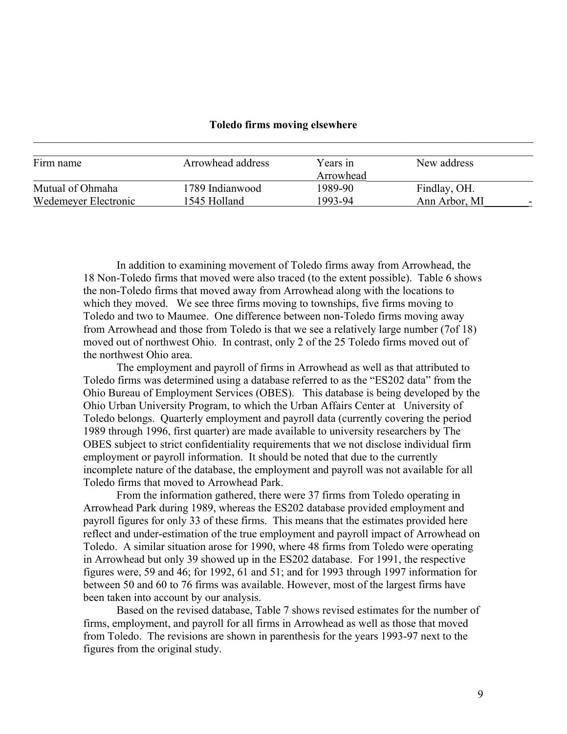#### **Toledo firms moving elsewhere**  $\mathcal{L}_\mathcal{L} = \mathcal{L}_\mathcal{L} = \mathcal{L}_\mathcal{L} = \mathcal{L}_\mathcal{L} = \mathcal{L}_\mathcal{L} = \mathcal{L}_\mathcal{L} = \mathcal{L}_\mathcal{L} = \mathcal{L}_\mathcal{L} = \mathcal{L}_\mathcal{L} = \mathcal{L}_\mathcal{L} = \mathcal{L}_\mathcal{L} = \mathcal{L}_\mathcal{L} = \mathcal{L}_\mathcal{L} = \mathcal{L}_\mathcal{L} = \mathcal{L}_\mathcal{L} = \mathcal{L}_\mathcal{L} = \mathcal{L}_\mathcal{L}$

| Firm name            | Arrowhead address | Years in  | New address   |  |
|----------------------|-------------------|-----------|---------------|--|
|                      |                   | Arrowhead |               |  |
| Mutual of Ohmaha     | 1789 Indianwood   | 1989-90   | Findlay, OH.  |  |
| Wedemeyer Electronic | 1545 Holland      | 1993-94   | Ann Arbor, MI |  |

 In addition to examining movement of Toledo firms away from Arrowhead, the 18 Non-Toledo firms that moved were also traced (to the extent possible). Table 6 shows the non-Toledo firms that moved away from Arrowhead along with the locations to which they moved. We see three firms moving to townships, five firms moving to Toledo and two to Maumee. One difference between non-Toledo firms moving away from Arrowhead and those from Toledo is that we see a relatively large number (7of 18) moved out of northwest Ohio. In contrast, only 2 of the 25 Toledo firms moved out of the northwest Ohio area.

 The employment and payroll of firms in Arrowhead as well as that attributed to Toledo firms was determined using a database referred to as the "ES202 data" from the Ohio Bureau of Employment Services (OBES). This database is being developed by the Ohio Urban University Program, to which the Urban Affairs Center at University of Toledo belongs. Quarterly employment and payroll data (currently covering the period 1989 through 1996, first quarter) are made available to university researchers by The OBES subject to strict confidentiality requirements that we not disclose individual firm employment or payroll information. It should be noted that due to the currently incomplete nature of the database, the employment and payroll was not available for all Toledo firms that moved to Arrowhead Park.

 From the information gathered, there were 37 firms from Toledo operating in Arrowhead Park during 1989, whereas the ES202 database provided employment and payroll figures for only 33 of these firms. This means that the estimates provided here reflect and under-estimation of the true employment and payroll impact of Arrowhead on Toledo. A similar situation arose for 1990, where 48 firms from Toledo were operating in Arrowhead but only 39 showed up in the ES202 database. For 1991, the respective figures were, 59 and 46; for 1992, 61 and 51; and for 1993 through 1997 information for between 50 and 60 to 76 firms was available. However, most of the largest firms have been taken into account by our analysis.

 Based on the revised database, Table 7 shows revised estimates for the number of firms, employment, and payroll for all firms in Arrowhead as well as those that moved from Toledo. The revisions are shown in parenthesis for the years 1993-97 next to the figures from the original study.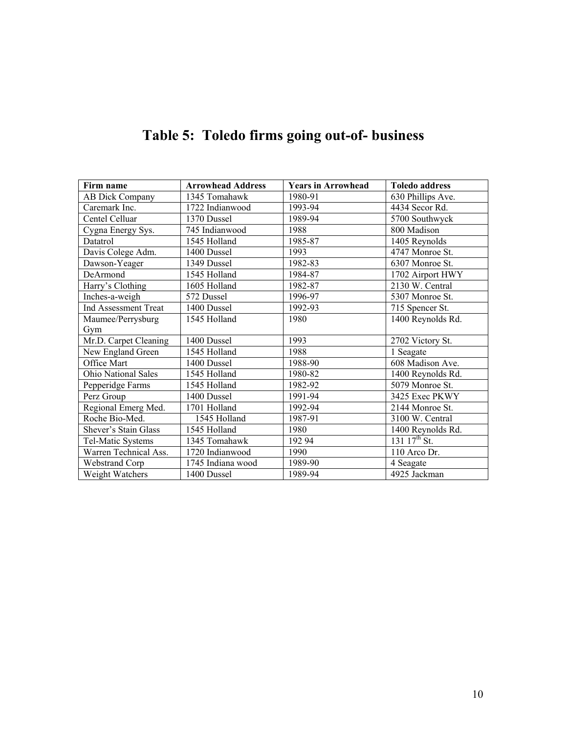| Firm name             | <b>Arrowhead Address</b> |         | <b>Toledo address</b>        |
|-----------------------|--------------------------|---------|------------------------------|
| AB Dick Company       | 1345 Tomahawk            | 1980-91 | 630 Phillips Ave.            |
| Caremark Inc.         | 1722 Indianwood          | 1993-94 | 4434 Secor Rd.               |
| Centel Celluar        | 1370 Dussel              | 1989-94 | 5700 Southwyck               |
| Cygna Energy Sys.     | 745 Indianwood           | 1988    | 800 Madison                  |
| Datatrol              | 1545 Holland             | 1985-87 | 1405 Reynolds                |
| Davis Colege Adm.     | 1400 Dussel              | 1993    | 4747 Monroe St.              |
| Dawson-Yeager         | 1349 Dussel              | 1982-83 | 6307 Monroe St.              |
| DeArmond              | 1545 Holland             | 1984-87 | 1702 Airport HWY             |
| Harry's Clothing      | 1605 Holland             | 1982-87 | 2130 W. Central              |
| Inches-a-weigh        | 572 Dussel               | 1996-97 | 5307 Monroe St.              |
| Ind Assessment Treat  | 1400 Dussel              | 1992-93 | 715 Spencer St.              |
| Maumee/Perrysburg     | 1545 Holland             | 1980    | 1400 Reynolds Rd.            |
| Gym                   |                          |         |                              |
| Mr.D. Carpet Cleaning | 1400 Dussel              | 1993    | 2702 Victory St.             |
| New England Green     | 1545 Holland             | 1988    | 1 Seagate                    |
| Office Mart           | 1400 Dussel              | 1988-90 | 608 Madison Ave.             |
| Ohio National Sales   | 1545 Holland             | 1980-82 | 1400 Reynolds Rd.            |
| Pepperidge Farms      | 1545 Holland             | 1982-92 | 5079 Monroe St.              |
| Perz Group            | 1400 Dussel              | 1991-94 | 3425 Exec PKWY               |
| Regional Emerg Med.   | 1701 Holland             | 1992-94 | 2144 Monroe St.              |
| Roche Bio-Med.        | 1545 Holland             | 1987-91 | 3100 W. Central              |
| Shever's Stain Glass  | 1545 Holland             | 1980    | 1400 Reynolds Rd.            |
| Tel-Matic Systems     | 1345 Tomahawk            | 19294   | $131 \overline{17^{th} St.}$ |
| Warren Technical Ass. | 1720 Indianwood          | 1990    | 110 Arco Dr.                 |
| Webstrand Corp        | 1745 Indiana wood        | 1989-90 | 4 Seagate                    |
| Weight Watchers       | 1400 Dussel              | 1989-94 | 4925 Jackman                 |

# **Table 5: Toledo firms going out-of- business**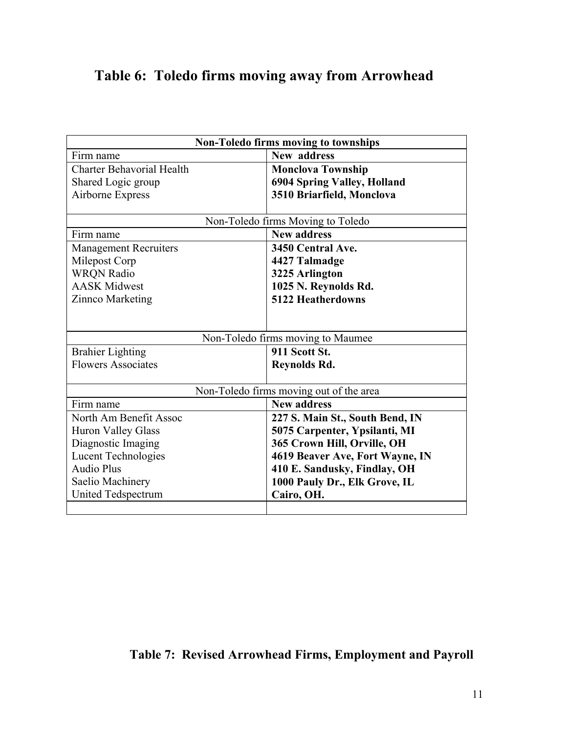## **Table 6: Toledo firms moving away from Arrowhead**

| <b>Non-Toledo firms moving to townships</b> |                                         |  |  |
|---------------------------------------------|-----------------------------------------|--|--|
| Firm name                                   | New address                             |  |  |
| <b>Charter Behavorial Health</b>            | <b>Monclova Township</b>                |  |  |
| Shared Logic group                          | 6904 Spring Valley, Holland             |  |  |
| Airborne Express                            | 3510 Briarfield, Monclova               |  |  |
|                                             |                                         |  |  |
|                                             | Non-Toledo firms Moving to Toledo       |  |  |
| Firm name                                   | <b>New address</b>                      |  |  |
| <b>Management Recruiters</b>                | 3450 Central Ave.                       |  |  |
| Milepost Corp                               | 4427 Talmadge                           |  |  |
| <b>WRON Radio</b>                           | 3225 Arlington                          |  |  |
| <b>AASK Midwest</b>                         | 1025 N. Reynolds Rd.                    |  |  |
| Zinnco Marketing                            | <b>5122 Heatherdowns</b>                |  |  |
|                                             |                                         |  |  |
|                                             |                                         |  |  |
|                                             | Non-Toledo firms moving to Maumee       |  |  |
| <b>Brahier Lighting</b>                     | 911 Scott St.                           |  |  |
| <b>Flowers Associates</b>                   | Reynolds Rd.                            |  |  |
|                                             |                                         |  |  |
|                                             | Non-Toledo firms moving out of the area |  |  |
| Firm name                                   | <b>New address</b>                      |  |  |
| North Am Benefit Assoc                      | 227 S. Main St., South Bend, IN         |  |  |
| <b>Huron Valley Glass</b>                   | 5075 Carpenter, Ypsilanti, MI           |  |  |
| Diagnostic Imaging                          | 365 Crown Hill, Orville, OH             |  |  |
| Lucent Technologies                         | 4619 Beaver Ave, Fort Wayne, IN         |  |  |
| <b>Audio Plus</b>                           | 410 E. Sandusky, Findlay, OH            |  |  |
| Saelio Machinery                            | 1000 Pauly Dr., Elk Grove, IL           |  |  |
| United Tedspectrum                          | Cairo, OH.                              |  |  |
|                                             |                                         |  |  |

## **Table 7: Revised Arrowhead Firms, Employment and Payroll**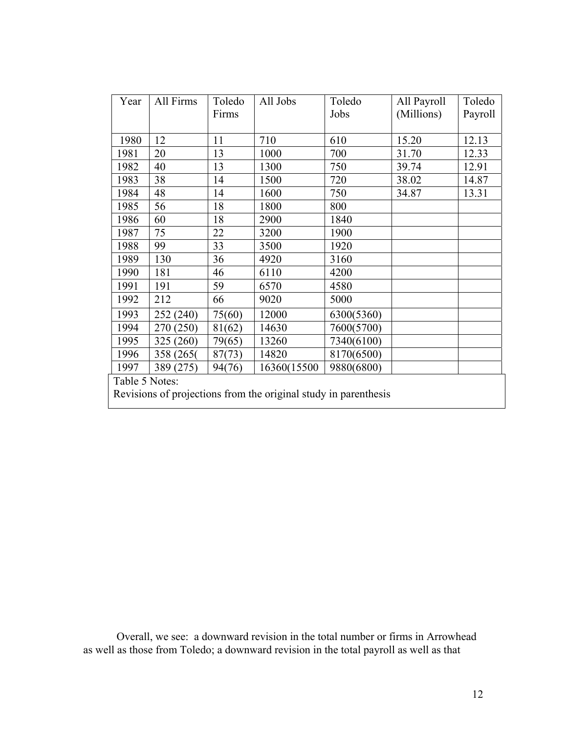| Year | All Firms      | Toledo | All Jobs                                                        | Toledo     | All Payroll | Toledo  |  |
|------|----------------|--------|-----------------------------------------------------------------|------------|-------------|---------|--|
|      |                | Firms  |                                                                 | Jobs       | (Millions)  | Payroll |  |
|      |                |        |                                                                 |            |             |         |  |
| 1980 | 12             | 11     | 710                                                             | 610        | 15.20       | 12.13   |  |
| 1981 | 20             | 13     | 1000                                                            | 700        | 31.70       | 12.33   |  |
| 1982 | 40             | 13     | 1300                                                            | 750        | 39.74       | 12.91   |  |
| 1983 | 38             | 14     | 1500                                                            | 720        | 38.02       | 14.87   |  |
| 1984 | 48             | 14     | 1600                                                            | 750        | 34.87       | 13.31   |  |
| 1985 | 56             | 18     | 1800                                                            | 800        |             |         |  |
| 1986 | 60             | 18     | 2900                                                            | 1840       |             |         |  |
| 1987 | 75             | 22     | 3200                                                            | 1900       |             |         |  |
| 1988 | 99             | 33     | 3500                                                            | 1920       |             |         |  |
| 1989 | 130            | 36     | 4920                                                            | 3160       |             |         |  |
| 1990 | 181            | 46     | 6110                                                            | 4200       |             |         |  |
| 1991 | 191            | 59     | 6570                                                            | 4580       |             |         |  |
| 1992 | 212            | 66     | 9020                                                            | 5000       |             |         |  |
| 1993 | 252 (240)      | 75(60) | 12000                                                           | 6300(5360) |             |         |  |
| 1994 | 270 (250)      | 81(62) | 14630                                                           | 7600(5700) |             |         |  |
| 1995 | 325 (260)      | 79(65) | 13260                                                           | 7340(6100) |             |         |  |
| 1996 | 358 (265)      | 87(73) | 14820                                                           | 8170(6500) |             |         |  |
| 1997 | 389 (275)      | 94(76) | 16360(15500                                                     | 9880(6800) |             |         |  |
|      | Table 5 Notes: |        |                                                                 |            |             |         |  |
|      |                |        | Revisions of projections from the original study in parenthesis |            |             |         |  |

Overall, we see: a downward revision in the total number or firms in Arrowhead as well as those from Toledo; a downward revision in the total payroll as well as that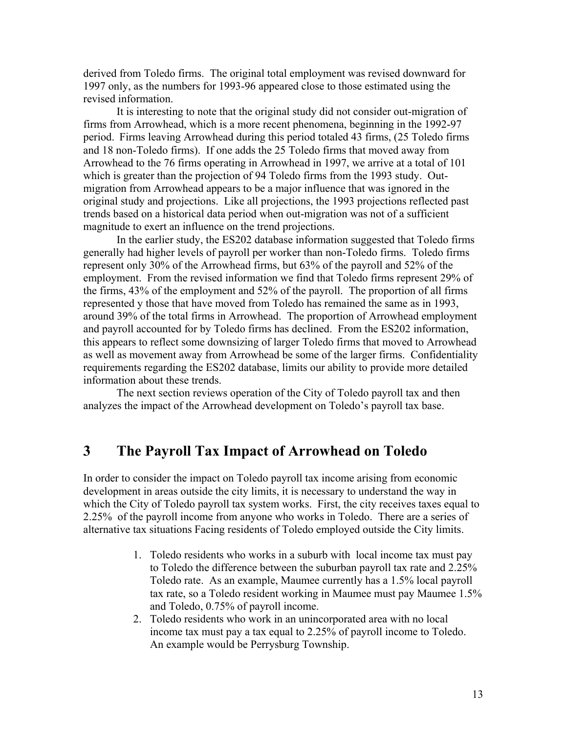derived from Toledo firms. The original total employment was revised downward for 1997 only, as the numbers for 1993-96 appeared close to those estimated using the revised information.

It is interesting to note that the original study did not consider out-migration of firms from Arrowhead, which is a more recent phenomena, beginning in the 1992-97 period. Firms leaving Arrowhead during this period totaled 43 firms, (25 Toledo firms and 18 non-Toledo firms). If one adds the 25 Toledo firms that moved away from Arrowhead to the 76 firms operating in Arrowhead in 1997, we arrive at a total of 101 which is greater than the projection of 94 Toledo firms from the 1993 study. Outmigration from Arrowhead appears to be a major influence that was ignored in the original study and projections. Like all projections, the 1993 projections reflected past trends based on a historical data period when out-migration was not of a sufficient magnitude to exert an influence on the trend projections.

In the earlier study, the ES202 database information suggested that Toledo firms generally had higher levels of payroll per worker than non-Toledo firms. Toledo firms represent only 30% of the Arrowhead firms, but 63% of the payroll and 52% of the employment. From the revised information we find that Toledo firms represent 29% of the firms, 43% of the employment and 52% of the payroll. The proportion of all firms represented y those that have moved from Toledo has remained the same as in 1993, around 39% of the total firms in Arrowhead. The proportion of Arrowhead employment and payroll accounted for by Toledo firms has declined. From the ES202 information, this appears to reflect some downsizing of larger Toledo firms that moved to Arrowhead as well as movement away from Arrowhead be some of the larger firms. Confidentiality requirements regarding the ES202 database, limits our ability to provide more detailed information about these trends.

The next section reviews operation of the City of Toledo payroll tax and then analyzes the impact of the Arrowhead development on Toledo's payroll tax base.

### **3 The Payroll Tax Impact of Arrowhead on Toledo**

In order to consider the impact on Toledo payroll tax income arising from economic development in areas outside the city limits, it is necessary to understand the way in which the City of Toledo payroll tax system works. First, the city receives taxes equal to 2.25% of the payroll income from anyone who works in Toledo. There are a series of alternative tax situations Facing residents of Toledo employed outside the City limits.

- 1. Toledo residents who works in a suburb with local income tax must pay to Toledo the difference between the suburban payroll tax rate and 2.25% Toledo rate. As an example, Maumee currently has a 1.5% local payroll tax rate, so a Toledo resident working in Maumee must pay Maumee 1.5% and Toledo, 0.75% of payroll income.
- 2. Toledo residents who work in an unincorporated area with no local income tax must pay a tax equal to 2.25% of payroll income to Toledo. An example would be Perrysburg Township.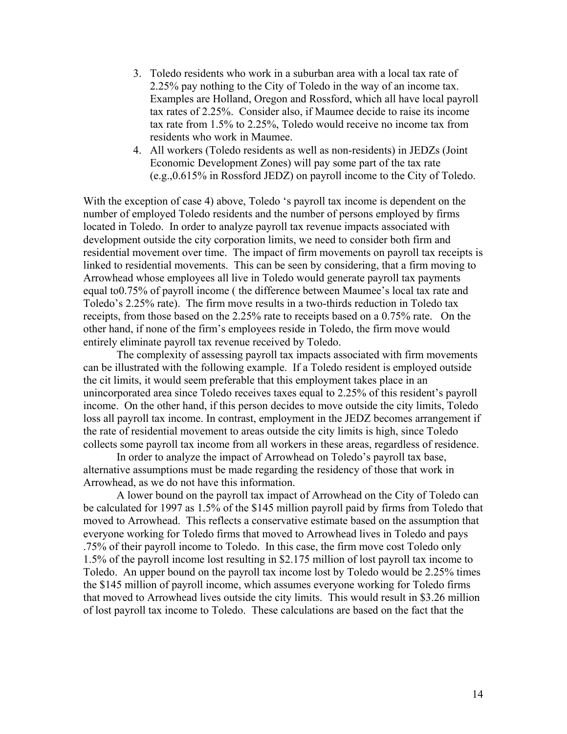- 3. Toledo residents who work in a suburban area with a local tax rate of 2.25% pay nothing to the City of Toledo in the way of an income tax. Examples are Holland, Oregon and Rossford, which all have local payroll tax rates of 2.25%. Consider also, if Maumee decide to raise its income tax rate from 1.5% to 2.25%, Toledo would receive no income tax from residents who work in Maumee.
- 4. All workers (Toledo residents as well as non-residents) in JEDZs (Joint Economic Development Zones) will pay some part of the tax rate (e.g.,0.615% in Rossford JEDZ) on payroll income to the City of Toledo.

With the exception of case 4) above, Toledo 's payroll tax income is dependent on the number of employed Toledo residents and the number of persons employed by firms located in Toledo. In order to analyze payroll tax revenue impacts associated with development outside the city corporation limits, we need to consider both firm and residential movement over time. The impact of firm movements on payroll tax receipts is linked to residential movements. This can be seen by considering, that a firm moving to Arrowhead whose employees all live in Toledo would generate payroll tax payments equal to0.75% of payroll income ( the difference between Maumee's local tax rate and Toledo's 2.25% rate). The firm move results in a two-thirds reduction in Toledo tax receipts, from those based on the 2.25% rate to receipts based on a 0.75% rate. On the other hand, if none of the firm's employees reside in Toledo, the firm move would entirely eliminate payroll tax revenue received by Toledo.

 The complexity of assessing payroll tax impacts associated with firm movements can be illustrated with the following example. If a Toledo resident is employed outside the cit limits, it would seem preferable that this employment takes place in an unincorporated area since Toledo receives taxes equal to 2.25% of this resident's payroll income. On the other hand, if this person decides to move outside the city limits, Toledo loss all payroll tax income. In contrast, employment in the JEDZ becomes arrangement if the rate of residential movement to areas outside the city limits is high, since Toledo collects some payroll tax income from all workers in these areas, regardless of residence.

 In order to analyze the impact of Arrowhead on Toledo's payroll tax base, alternative assumptions must be made regarding the residency of those that work in Arrowhead, as we do not have this information.

 A lower bound on the payroll tax impact of Arrowhead on the City of Toledo can be calculated for 1997 as 1.5% of the \$145 million payroll paid by firms from Toledo that moved to Arrowhead. This reflects a conservative estimate based on the assumption that everyone working for Toledo firms that moved to Arrowhead lives in Toledo and pays .75% of their payroll income to Toledo. In this case, the firm move cost Toledo only 1.5% of the payroll income lost resulting in \$2.175 million of lost payroll tax income to Toledo. An upper bound on the payroll tax income lost by Toledo would be 2.25% times the \$145 million of payroll income, which assumes everyone working for Toledo firms that moved to Arrowhead lives outside the city limits. This would result in \$3.26 million of lost payroll tax income to Toledo. These calculations are based on the fact that the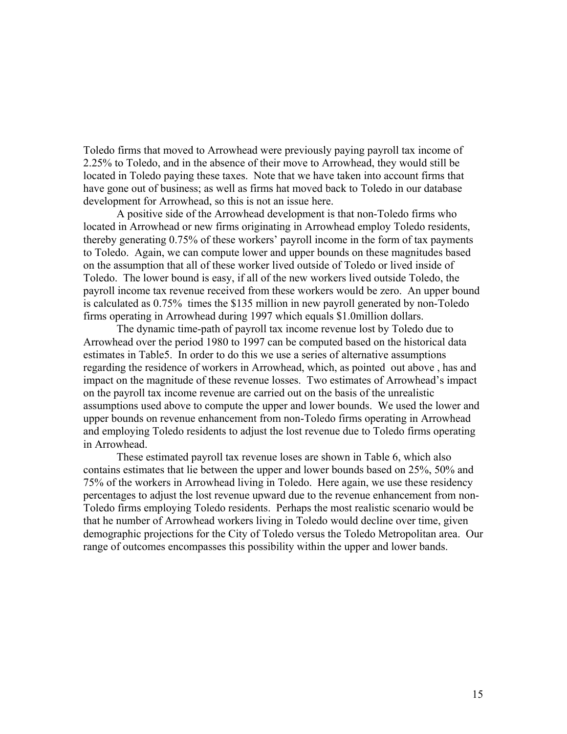Toledo firms that moved to Arrowhead were previously paying payroll tax income of 2.25% to Toledo, and in the absence of their move to Arrowhead, they would still be located in Toledo paying these taxes. Note that we have taken into account firms that have gone out of business; as well as firms hat moved back to Toledo in our database development for Arrowhead, so this is not an issue here.

 A positive side of the Arrowhead development is that non-Toledo firms who located in Arrowhead or new firms originating in Arrowhead employ Toledo residents, thereby generating 0.75% of these workers' payroll income in the form of tax payments to Toledo. Again, we can compute lower and upper bounds on these magnitudes based on the assumption that all of these worker lived outside of Toledo or lived inside of Toledo. The lower bound is easy, if all of the new workers lived outside Toledo, the payroll income tax revenue received from these workers would be zero. An upper bound is calculated as 0.75% times the \$135 million in new payroll generated by non-Toledo firms operating in Arrowhead during 1997 which equals \$1.0million dollars.

 The dynamic time-path of payroll tax income revenue lost by Toledo due to Arrowhead over the period 1980 to 1997 can be computed based on the historical data estimates in Table5. In order to do this we use a series of alternative assumptions regarding the residence of workers in Arrowhead, which, as pointed out above , has and impact on the magnitude of these revenue losses. Two estimates of Arrowhead's impact on the payroll tax income revenue are carried out on the basis of the unrealistic assumptions used above to compute the upper and lower bounds. We used the lower and upper bounds on revenue enhancement from non-Toledo firms operating in Arrowhead and employing Toledo residents to adjust the lost revenue due to Toledo firms operating in Arrowhead.

 These estimated payroll tax revenue loses are shown in Table 6, which also contains estimates that lie between the upper and lower bounds based on 25%, 50% and 75% of the workers in Arrowhead living in Toledo. Here again, we use these residency percentages to adjust the lost revenue upward due to the revenue enhancement from non-Toledo firms employing Toledo residents. Perhaps the most realistic scenario would be that he number of Arrowhead workers living in Toledo would decline over time, given demographic projections for the City of Toledo versus the Toledo Metropolitan area. Our range of outcomes encompasses this possibility within the upper and lower bands.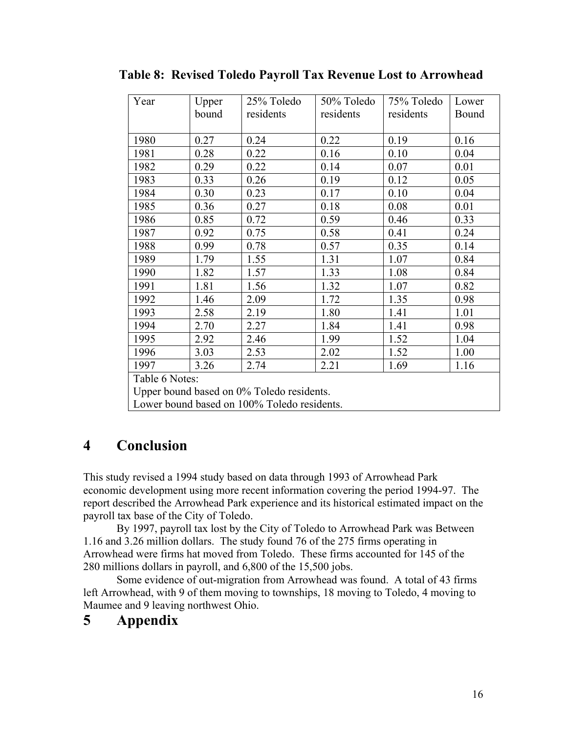| Year                                      | Upper          | 25% Toledo | 50% Toledo | 75% Toledo | Lower |  |  |
|-------------------------------------------|----------------|------------|------------|------------|-------|--|--|
|                                           | bound          | residents  | residents  | residents  | Bound |  |  |
|                                           |                |            |            |            |       |  |  |
| 1980                                      | 0.27           | 0.24       | 0.22       | 0.19       | 0.16  |  |  |
| 1981                                      | 0.28           | 0.22       | 0.16       | 0.10       | 0.04  |  |  |
| 1982                                      | 0.29           | 0.22       | 0.14       | 0.07       | 0.01  |  |  |
| 1983                                      | 0.33           | 0.26       | 0.19       | 0.12       | 0.05  |  |  |
| 1984                                      | 0.30           | 0.23       | 0.17       | 0.10       | 0.04  |  |  |
| 1985                                      | 0.36           | 0.27       | 0.18       | 0.08       | 0.01  |  |  |
| 1986                                      | 0.85           | 0.72       | 0.59       | 0.46       | 0.33  |  |  |
| 1987                                      | 0.92           | 0.75       | 0.58       | 0.41       | 0.24  |  |  |
| 1988                                      | 0.99           | 0.78       | 0.57       | 0.35       | 0.14  |  |  |
| 1989                                      | 1.79           | 1.55       | 1.31       | 1.07       | 0.84  |  |  |
| 1990                                      | 1.82           | 1.57       | 1.33       | 1.08       | 0.84  |  |  |
| 1991                                      | 1.81           | 1.56       | 1.32       | 1.07       | 0.82  |  |  |
| 1992                                      | 1.46           | 2.09       | 1.72       | 1.35       | 0.98  |  |  |
| 1993                                      | 2.58           | 2.19       | 1.80       | 1.41       | 1.01  |  |  |
| 1994                                      | 2.70           | 2.27       | 1.84       | 1.41       | 0.98  |  |  |
| 1995                                      | 2.92           | 2.46       | 1.99       | 1.52       | 1.04  |  |  |
| 1996                                      | 3.03           | 2.53       | 2.02       | 1.52       | 1.00  |  |  |
| 1997                                      | 3.26           | 2.74       | 2.21       | 1.69       | 1.16  |  |  |
|                                           | Table 6 Notes: |            |            |            |       |  |  |
| Upper bound based on 0% Toledo residents. |                |            |            |            |       |  |  |

|  |  | <b>Table 8: Revised Toledo Payroll Tax Revenue Lost to Arrowhead</b> |
|--|--|----------------------------------------------------------------------|
|  |  |                                                                      |

Lower bound based on 100% Toledo residents.

## **4 Conclusion**

This study revised a 1994 study based on data through 1993 of Arrowhead Park economic development using more recent information covering the period 1994-97. The report described the Arrowhead Park experience and its historical estimated impact on the payroll tax base of the City of Toledo.

 By 1997, payroll tax lost by the City of Toledo to Arrowhead Park was Between 1.16 and 3.26 million dollars. The study found 76 of the 275 firms operating in Arrowhead were firms hat moved from Toledo. These firms accounted for 145 of the 280 millions dollars in payroll, and 6,800 of the 15,500 jobs.

 Some evidence of out-migration from Arrowhead was found. A total of 43 firms left Arrowhead, with 9 of them moving to townships, 18 moving to Toledo, 4 moving to Maumee and 9 leaving northwest Ohio.

### **5 Appendix**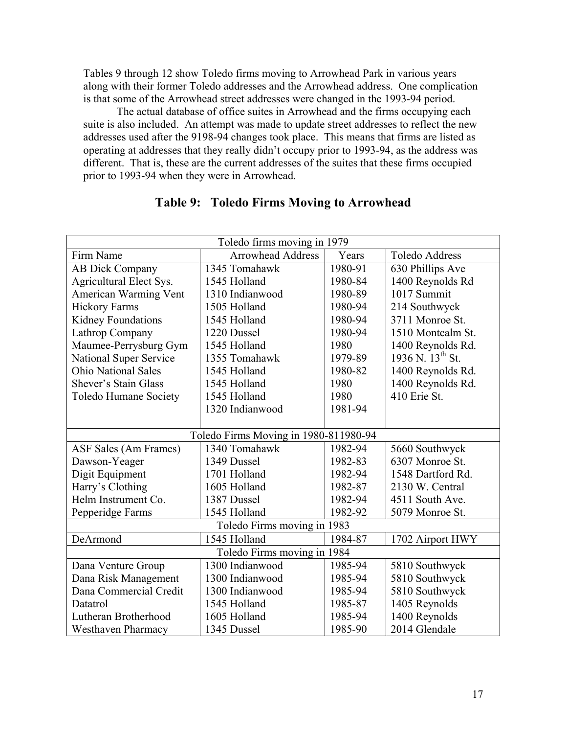Tables 9 through 12 show Toledo firms moving to Arrowhead Park in various years along with their former Toledo addresses and the Arrowhead address. One complication is that some of the Arrowhead street addresses were changed in the 1993-94 period.

 The actual database of office suites in Arrowhead and the firms occupying each suite is also included. An attempt was made to update street addresses to reflect the new addresses used after the 9198-94 changes took place. This means that firms are listed as operating at addresses that they really didn't occupy prior to 1993-94, as the address was different. That is, these are the current addresses of the suites that these firms occupied prior to 1993-94 when they were in Arrowhead.

| Toledo firms moving in 1979<br><b>Arrowhead Address</b><br>Firm Name<br>Years<br><b>Toledo Address</b> |                                       |                             |                              |  |  |  |  |  |  |  |  |  |  |
|--------------------------------------------------------------------------------------------------------|---------------------------------------|-----------------------------|------------------------------|--|--|--|--|--|--|--|--|--|--|
|                                                                                                        |                                       |                             |                              |  |  |  |  |  |  |  |  |  |  |
| <b>AB Dick Company</b>                                                                                 | 1345 Tomahawk                         | 1980-91                     | 630 Phillips Ave             |  |  |  |  |  |  |  |  |  |  |
| Agricultural Elect Sys.                                                                                | 1545 Holland                          | 1980-84                     | 1400 Reynolds Rd             |  |  |  |  |  |  |  |  |  |  |
| American Warming Vent                                                                                  | 1310 Indianwood                       | 1980-89                     | 1017 Summit                  |  |  |  |  |  |  |  |  |  |  |
| <b>Hickory Farms</b>                                                                                   | 1505 Holland                          | 1980-94                     | 214 Southwyck                |  |  |  |  |  |  |  |  |  |  |
| Kidney Foundations                                                                                     | 1545 Holland                          | 1980-94                     | 3711 Monroe St.              |  |  |  |  |  |  |  |  |  |  |
| Lathrop Company                                                                                        | 1220 Dussel                           | 1980-94                     | 1510 Montcalm St.            |  |  |  |  |  |  |  |  |  |  |
| Maumee-Perrysburg Gym                                                                                  | 1545 Holland                          | 1980                        | 1400 Reynolds Rd.            |  |  |  |  |  |  |  |  |  |  |
| National Super Service                                                                                 | 1355 Tomahawk                         | 1979-89                     | 1936 N. 13 <sup>th</sup> St. |  |  |  |  |  |  |  |  |  |  |
| <b>Ohio National Sales</b>                                                                             | 1980-82                               | 1400 Reynolds Rd.           |                              |  |  |  |  |  |  |  |  |  |  |
| Shever's Stain Glass                                                                                   | 1980                                  | 1400 Reynolds Rd.           |                              |  |  |  |  |  |  |  |  |  |  |
| Toledo Humane Society                                                                                  | 1545 Holland                          | 1980                        | 410 Erie St.                 |  |  |  |  |  |  |  |  |  |  |
|                                                                                                        | 1320 Indianwood                       | 1981-94                     |                              |  |  |  |  |  |  |  |  |  |  |
|                                                                                                        |                                       |                             |                              |  |  |  |  |  |  |  |  |  |  |
|                                                                                                        | Toledo Firms Moving in 1980-811980-94 |                             |                              |  |  |  |  |  |  |  |  |  |  |
| ASF Sales (Am Frames)                                                                                  | 1340 Tomahawk                         | 1982-94                     | 5660 Southwyck               |  |  |  |  |  |  |  |  |  |  |
| Dawson-Yeager                                                                                          | 1349 Dussel                           | 1982-83                     | 6307 Monroe St.              |  |  |  |  |  |  |  |  |  |  |
| Digit Equipment                                                                                        | 1701 Holland                          | 1982-94                     | 1548 Dartford Rd.            |  |  |  |  |  |  |  |  |  |  |
| Harry's Clothing                                                                                       | 1605 Holland                          | 1982-87                     | 2130 W. Central              |  |  |  |  |  |  |  |  |  |  |
| Helm Instrument Co.                                                                                    | 1387 Dussel                           | 1982-94                     | 4511 South Ave.              |  |  |  |  |  |  |  |  |  |  |
| Pepperidge Farms                                                                                       | 1545 Holland                          | 1982-92                     | 5079 Monroe St.              |  |  |  |  |  |  |  |  |  |  |
|                                                                                                        | Toledo Firms moving in 1983           |                             |                              |  |  |  |  |  |  |  |  |  |  |
| DeArmond                                                                                               | 1545 Holland                          | 1984-87<br>1702 Airport HWY |                              |  |  |  |  |  |  |  |  |  |  |
|                                                                                                        | Toledo Firms moving in 1984           |                             |                              |  |  |  |  |  |  |  |  |  |  |
| Dana Venture Group                                                                                     | 1300 Indianwood                       | 1985-94                     | 5810 Southwyck               |  |  |  |  |  |  |  |  |  |  |
| Dana Risk Management                                                                                   | 1300 Indianwood                       | 1985-94                     | 5810 Southwyck               |  |  |  |  |  |  |  |  |  |  |
| Dana Commercial Credit                                                                                 | 1300 Indianwood                       | 1985-94                     | 5810 Southwyck               |  |  |  |  |  |  |  |  |  |  |
| Datatrol                                                                                               | 1545 Holland                          | 1985-87                     | 1405 Reynolds                |  |  |  |  |  |  |  |  |  |  |
| Lutheran Brotherhood                                                                                   | 1605 Holland                          | 1985-94                     | 1400 Reynolds                |  |  |  |  |  |  |  |  |  |  |
| <b>Westhaven Pharmacy</b>                                                                              | 1345 Dussel                           | 1985-90                     | 2014 Glendale                |  |  |  |  |  |  |  |  |  |  |

### **Table 9: Toledo Firms Moving to Arrowhead**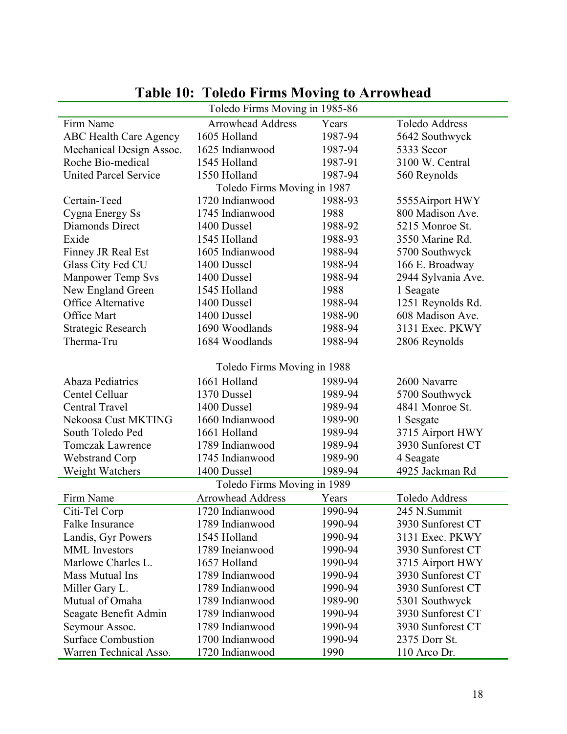|                               | Toledo Firms Moving in 1985-86 |         |                    |
|-------------------------------|--------------------------------|---------|--------------------|
| Firm Name                     | <b>Arrowhead Address</b>       | Years   | Toledo Address     |
| <b>ABC Health Care Agency</b> | 1605 Holland                   | 1987-94 | 5642 Southwyck     |
| Mechanical Design Assoc.      | 1625 Indianwood                | 1987-94 | 5333 Secor         |
| Roche Bio-medical             | 1545 Holland                   | 1987-91 | 3100 W. Central    |
| <b>United Parcel Service</b>  | 1550 Holland                   | 1987-94 | 560 Reynolds       |
|                               | Toledo Firms Moving in 1987    |         |                    |
| Certain-Teed                  | 1720 Indianwood                | 1988-93 | 5555Airport HWY    |
| Cygna Energy Ss               | 1745 Indianwood                | 1988    | 800 Madison Ave.   |
| Diamonds Direct               | 1400 Dussel                    | 1988-92 | 5215 Monroe St.    |
| Exide                         | 1545 Holland                   | 1988-93 | 3550 Marine Rd.    |
| Finney JR Real Est            | 1605 Indianwood                | 1988-94 | 5700 Southwyck     |
| Glass City Fed CU             | 1400 Dussel                    | 1988-94 | 166 E. Broadway    |
| <b>Manpower Temp Svs</b>      | 1400 Dussel                    | 1988-94 | 2944 Sylvania Ave. |
| New England Green             | 1545 Holland                   | 1988    | 1 Seagate          |
| Office Alternative            | 1400 Dussel                    | 1988-94 | 1251 Reynolds Rd.  |
| Office Mart                   | 1400 Dussel                    | 1988-90 | 608 Madison Ave.   |
| <b>Strategic Research</b>     | 1690 Woodlands                 | 1988-94 | 3131 Exec. PKWY    |
| Therma-Tru                    | 1684 Woodlands                 | 1988-94 | 2806 Reynolds      |
|                               |                                |         |                    |
|                               | Toledo Firms Moving in 1988    |         |                    |
| <b>Abaza Pediatrics</b>       | 1661 Holland                   | 1989-94 | 2600 Navarre       |
| Centel Celluar                | 1370 Dussel                    | 1989-94 | 5700 Southwyck     |
| Central Travel                | 1400 Dussel                    | 1989-94 | 4841 Monroe St.    |
| Nekoosa Cust MKTING           | 1660 Indianwood                | 1989-90 | 1 Sesgate          |
| South Toledo Ped              | 1661 Holland                   | 1989-94 | 3715 Airport HWY   |
| <b>Tomczak Lawrence</b>       | 1789 Indianwood                | 1989-94 | 3930 Sunforest CT  |
| <b>Webstrand Corp</b>         | 1745 Indianwood                | 1989-90 | 4 Seagate          |
| Weight Watchers               | 1400 Dussel                    | 1989-94 | 4925 Jackman Rd    |
|                               | Toledo Firms Moving in 1989    |         |                    |
| Firm Name                     | <b>Arrowhead Address</b>       | Years   | Toledo Address     |
| Citi-Tel Corp                 | 1720 Indianwood                | 1990-94 | 245 N.Summit       |
| Falke Insurance               | 1789 Indianwood                | 1990-94 | 3930 Sunforest CT  |
| Landis, Gyr Powers            | 1545 Holland                   | 1990-94 | 3131 Exec. PKWY    |
| <b>MML</b> Investors          | 1789 Ineianwood                | 1990-94 | 3930 Sunforest CT  |
| Marlowe Charles L.            | 1657 Holland                   | 1990-94 | 3715 Airport HWY   |
| Mass Mutual Ins               | 1789 Indianwood                | 1990-94 | 3930 Sunforest CT  |
| Miller Gary L.                | 1789 Indianwood                | 1990-94 | 3930 Sunforest CT  |
| Mutual of Omaha               | 1789 Indianwood                | 1989-90 | 5301 Southwyck     |
| Seagate Benefit Admin         | 1789 Indianwood                | 1990-94 | 3930 Sunforest CT  |
| Seymour Assoc.                | 1789 Indianwood                | 1990-94 | 3930 Sunforest CT  |
| <b>Surface Combustion</b>     | 1700 Indianwood                | 1990-94 | 2375 Dorr St.      |
| Warren Technical Asso.        | 1720 Indianwood                | 1990    | 110 Arco Dr.       |
|                               |                                |         |                    |

## **Table 10: Toledo Firms Moving to Arrowhead**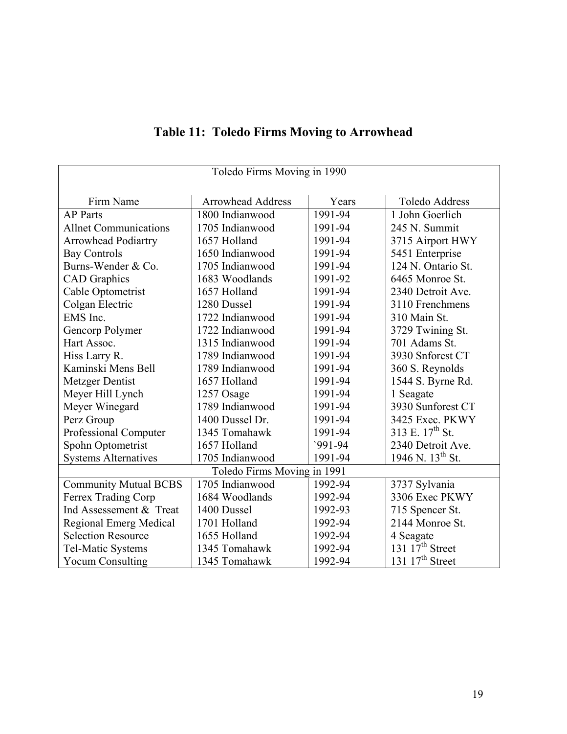| Toledo Firms Moving in 1990  |                             |          |                             |  |  |  |  |  |  |  |  |  |
|------------------------------|-----------------------------|----------|-----------------------------|--|--|--|--|--|--|--|--|--|
| Firm Name                    | <b>Arrowhead Address</b>    | Years    | <b>Toledo Address</b>       |  |  |  |  |  |  |  |  |  |
| <b>AP</b> Parts              | 1800 Indianwood             | 1991-94  | 1 John Goerlich             |  |  |  |  |  |  |  |  |  |
| <b>Allnet Communications</b> | 1705 Indianwood             | 1991-94  | 245 N. Summit               |  |  |  |  |  |  |  |  |  |
| <b>Arrowhead Podiartry</b>   | 1657 Holland                | 1991-94  | 3715 Airport HWY            |  |  |  |  |  |  |  |  |  |
| <b>Bay Controls</b>          | 1650 Indianwood             | 1991-94  | 5451 Enterprise             |  |  |  |  |  |  |  |  |  |
| Burns-Wender & Co.           | 1705 Indianwood             | 1991-94  | 124 N. Ontario St.          |  |  |  |  |  |  |  |  |  |
| <b>CAD</b> Graphics          | 1683 Woodlands              | 1991-92  | 6465 Monroe St.             |  |  |  |  |  |  |  |  |  |
| Cable Optometrist            | 1657 Holland                | 1991-94  | 2340 Detroit Ave.           |  |  |  |  |  |  |  |  |  |
| Colgan Electric              | 1280 Dussel                 | 1991-94  | 3110 Frenchmens             |  |  |  |  |  |  |  |  |  |
| EMS Inc.                     | 1722 Indianwood             | 1991-94  | 310 Main St.                |  |  |  |  |  |  |  |  |  |
| Gencorp Polymer              | 1722 Indianwood             | 1991-94  | 3729 Twining St.            |  |  |  |  |  |  |  |  |  |
| Hart Assoc.                  | 1315 Indianwood             | 1991-94  | 701 Adams St.               |  |  |  |  |  |  |  |  |  |
| Hiss Larry R.                | 1789 Indianwood             | 1991-94  | 3930 Snforest CT            |  |  |  |  |  |  |  |  |  |
| Kaminski Mens Bell           | 1789 Indianwood             | 1991-94  | 360 S. Reynolds             |  |  |  |  |  |  |  |  |  |
| Metzger Dentist              | 1657 Holland                | 1991-94  | 1544 S. Byrne Rd.           |  |  |  |  |  |  |  |  |  |
| Meyer Hill Lynch             | 1257 Osage                  | 1991-94  | 1 Seagate                   |  |  |  |  |  |  |  |  |  |
| Meyer Winegard               | 1789 Indianwood             | 1991-94  | 3930 Sunforest CT           |  |  |  |  |  |  |  |  |  |
| Perz Group                   | 1400 Dussel Dr.             | 1991-94  | 3425 Exec. PKWY             |  |  |  |  |  |  |  |  |  |
| Professional Computer        | 1345 Tomahawk               | 1991-94  | 313 E. 17 <sup>th</sup> St. |  |  |  |  |  |  |  |  |  |
| Spohn Optometrist            | 1657 Holland                | $991-94$ | 2340 Detroit Ave.           |  |  |  |  |  |  |  |  |  |
| <b>Systems Alternatives</b>  | 1705 Indianwood             | 1991-94  | 1946 N. $13^{th}$ St.       |  |  |  |  |  |  |  |  |  |
|                              | Toledo Firms Moving in 1991 |          |                             |  |  |  |  |  |  |  |  |  |
| <b>Community Mutual BCBS</b> | 1705 Indianwood             | 1992-94  | 3737 Sylvania               |  |  |  |  |  |  |  |  |  |
| Ferrex Trading Corp          | 1684 Woodlands              | 1992-94  | 3306 Exec PKWY              |  |  |  |  |  |  |  |  |  |
| Ind Assessement & Treat      | 1400 Dussel                 | 1992-93  | 715 Spencer St.             |  |  |  |  |  |  |  |  |  |
| Regional Emerg Medical       | 1701 Holland                | 1992-94  | 2144 Monroe St.             |  |  |  |  |  |  |  |  |  |
| <b>Selection Resource</b>    | 1655 Holland                | 1992-94  | 4 Seagate                   |  |  |  |  |  |  |  |  |  |
| Tel-Matic Systems            | 1345 Tomahawk               | 1992-94  | 131 $17th$ Street           |  |  |  |  |  |  |  |  |  |
| <b>Yocum Consulting</b>      | 1345 Tomahawk               | 1992-94  | 131 $17th$ Street           |  |  |  |  |  |  |  |  |  |

## **Table 11: Toledo Firms Moving to Arrowhead**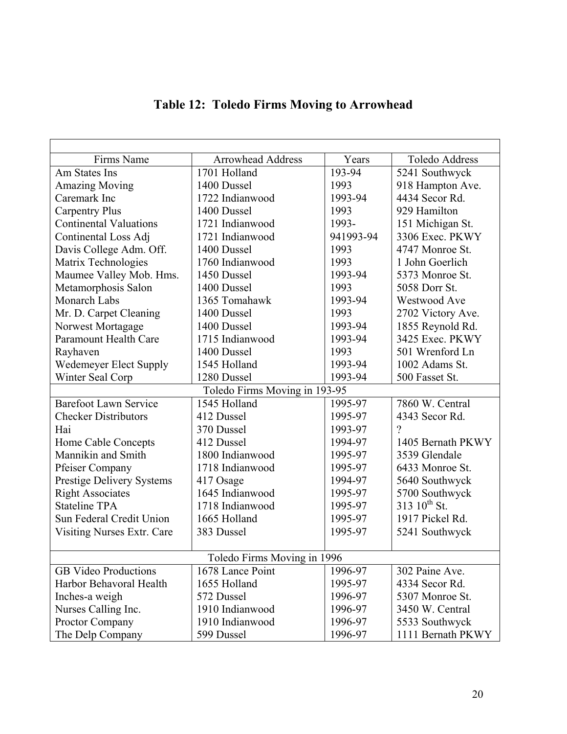| Firms Name                       | <b>Arrowhead Address</b>      | Years     | <b>Toledo Address</b>    |
|----------------------------------|-------------------------------|-----------|--------------------------|
| Am States Ins                    | 1701 Holland                  | 193-94    | 5241 Southwyck           |
| <b>Amazing Moving</b>            | 1400 Dussel                   | 1993      | 918 Hampton Ave.         |
| Caremark Inc                     | 1722 Indianwood               | 1993-94   | 4434 Secor Rd.           |
| <b>Carpentry Plus</b>            | 1400 Dussel                   | 1993      | 929 Hamilton             |
| <b>Continental Valuations</b>    | 1721 Indianwood               | 1993-     | 151 Michigan St.         |
| Continental Loss Adj             | 1721 Indianwood               | 941993-94 | 3306 Exec. PKWY          |
| Davis College Adm. Off.          | 1400 Dussel                   | 1993      | 4747 Monroe St.          |
| Matrix Technologies              | 1760 Indianwood               | 1993      | 1 John Goerlich          |
| Maumee Valley Mob. Hms.          | 1450 Dussel                   | 1993-94   | 5373 Monroe St.          |
| Metamorphosis Salon              | 1400 Dussel                   | 1993      | 5058 Dorr St.            |
| Monarch Labs                     | 1365 Tomahawk                 | 1993-94   | Westwood Ave             |
| Mr. D. Carpet Cleaning           | 1400 Dussel                   | 1993      | 2702 Victory Ave.        |
| Norwest Mortagage                | 1400 Dussel                   | 1993-94   | 1855 Reynold Rd.         |
| <b>Paramount Health Care</b>     | 1715 Indianwood               | 1993-94   | 3425 Exec. PKWY          |
| Rayhaven                         | 1400 Dussel                   | 1993      | 501 Wrenford Ln          |
| Wedemeyer Elect Supply           | 1545 Holland                  | 1993-94   | 1002 Adams St.           |
| Winter Seal Corp                 | 1280 Dussel                   | 1993-94   | 500 Fasset St.           |
|                                  | Toledo Firms Moving in 193-95 |           |                          |
| <b>Barefoot Lawn Service</b>     | 1545 Holland                  | 1995-97   | 7860 W. Central          |
| <b>Checker Distributors</b>      | 412 Dussel                    | 1995-97   | 4343 Secor Rd.           |
| Hai                              | 370 Dussel                    | 1993-97   | ?                        |
| Home Cable Concepts              | 412 Dussel                    | 1994-97   | 1405 Bernath PKWY        |
| Mannikin and Smith               | 1800 Indianwood               | 1995-97   | 3539 Glendale            |
| <b>Pfeiser Company</b>           | 1718 Indianwood               | 1995-97   | 6433 Monroe St.          |
| <b>Prestige Delivery Systems</b> | 417 Osage                     | 1994-97   | 5640 Southwyck           |
| <b>Right Associates</b>          | 1645 Indianwood               | 1995-97   | 5700 Southwyck           |
| <b>Stateline TPA</b>             | 1718 Indianwood               | 1995-97   | 313 10 <sup>th</sup> St. |
| Sun Federal Credit Union         | 1665 Holland                  | 1995-97   | 1917 Pickel Rd.          |
| Visiting Nurses Extr. Care       | 383 Dussel                    | 1995-97   | 5241 Southwyck           |
|                                  |                               |           |                          |
|                                  | Toledo Firms Moving in 1996   |           |                          |
| <b>GB</b> Video Productions      | 1678 Lance Point              | 1996-97   | 302 Paine Ave.           |
| Harbor Behavoral Health          | 1655 Holland                  | 1995-97   | 4334 Secor Rd.           |
| Inches-a weigh                   | 572 Dussel                    | 1996-97   | 5307 Monroe St.          |
| Nurses Calling Inc.              | 1910 Indianwood               | 1996-97   | 3450 W. Central          |
| Proctor Company                  | 1910 Indianwood               | 1996-97   | 5533 Southwyck           |
| The Delp Company                 | 599 Dussel                    | 1996-97   | 1111 Bernath PKWY        |

## **Table 12: Toledo Firms Moving to Arrowhead**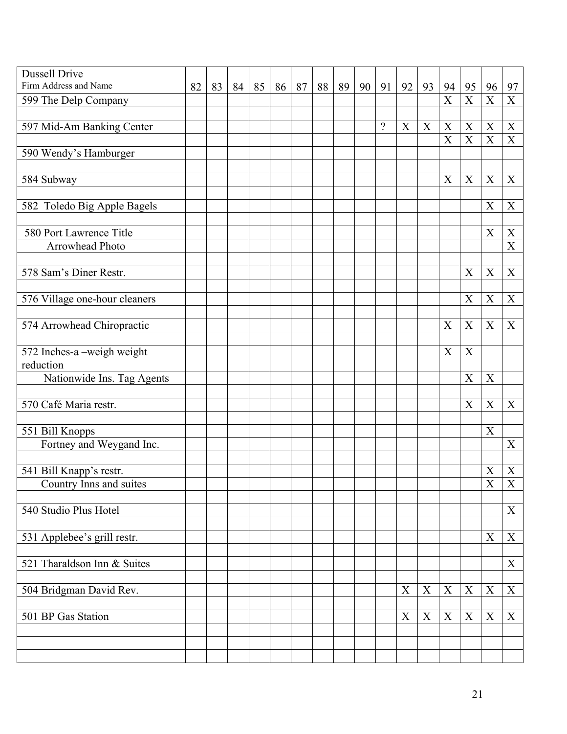| <b>Dussell Drive</b>          |    |    |    |    |    |    |    |    |    |          |             |             |             |                           |                           |                           |
|-------------------------------|----|----|----|----|----|----|----|----|----|----------|-------------|-------------|-------------|---------------------------|---------------------------|---------------------------|
| Firm Address and Name         | 82 | 83 | 84 | 85 | 86 | 87 | 88 | 89 | 90 | 91       | 92          | 93          | 94          | 95                        | 96                        | 97                        |
| 599 The Delp Company          |    |    |    |    |    |    |    |    |    |          |             |             | $\mathbf X$ | $\mathbf X$               | $\mathbf X$               | $\mathbf X$               |
|                               |    |    |    |    |    |    |    |    |    |          |             |             |             |                           |                           |                           |
| 597 Mid-Am Banking Center     |    |    |    |    |    |    |    |    |    | $\gamma$ | X           | $\mathbf X$ | X           | $\boldsymbol{X}$          | $\boldsymbol{X}$          | X                         |
|                               |    |    |    |    |    |    |    |    |    |          |             |             | X           | $\mathbf X$               | $\mathbf X$               | X                         |
| 590 Wendy's Hamburger         |    |    |    |    |    |    |    |    |    |          |             |             |             |                           |                           |                           |
|                               |    |    |    |    |    |    |    |    |    |          |             |             |             |                           |                           |                           |
| 584 Subway                    |    |    |    |    |    |    |    |    |    |          |             |             | X           | X                         | X                         | X                         |
|                               |    |    |    |    |    |    |    |    |    |          |             |             |             |                           |                           |                           |
| 582 Toledo Big Apple Bagels   |    |    |    |    |    |    |    |    |    |          |             |             |             |                           | X                         | X                         |
|                               |    |    |    |    |    |    |    |    |    |          |             |             |             |                           |                           |                           |
| 580 Port Lawrence Title       |    |    |    |    |    |    |    |    |    |          |             |             |             |                           | X                         | X                         |
| Arrowhead Photo               |    |    |    |    |    |    |    |    |    |          |             |             |             |                           |                           | $\boldsymbol{\mathrm{X}}$ |
|                               |    |    |    |    |    |    |    |    |    |          |             |             |             |                           |                           |                           |
| 578 Sam's Diner Restr.        |    |    |    |    |    |    |    |    |    |          |             |             |             | X                         | X                         | X                         |
|                               |    |    |    |    |    |    |    |    |    |          |             |             |             |                           |                           |                           |
| 576 Village one-hour cleaners |    |    |    |    |    |    |    |    |    |          |             |             |             | X                         | X                         | X                         |
|                               |    |    |    |    |    |    |    |    |    |          |             |             |             |                           |                           |                           |
| 574 Arrowhead Chiropractic    |    |    |    |    |    |    |    |    |    |          |             |             | X           | X                         | X                         | X                         |
|                               |    |    |    |    |    |    |    |    |    |          |             |             |             |                           |                           |                           |
| 572 Inches-a-weigh weight     |    |    |    |    |    |    |    |    |    |          |             |             | $\mathbf X$ | $\boldsymbol{\mathrm{X}}$ |                           |                           |
| reduction                     |    |    |    |    |    |    |    |    |    |          |             |             |             |                           |                           |                           |
| Nationwide Ins. Tag Agents    |    |    |    |    |    |    |    |    |    |          |             |             |             | X                         | X                         |                           |
| 570 Café Maria restr.         |    |    |    |    |    |    |    |    |    |          |             |             |             | $\boldsymbol{\mathrm{X}}$ | $\mathbf X$               | X                         |
|                               |    |    |    |    |    |    |    |    |    |          |             |             |             |                           |                           |                           |
| 551 Bill Knopps               |    |    |    |    |    |    |    |    |    |          |             |             |             |                           | X                         |                           |
|                               |    |    |    |    |    |    |    |    |    |          |             |             |             |                           |                           | X                         |
| Fortney and Weygand Inc.      |    |    |    |    |    |    |    |    |    |          |             |             |             |                           |                           |                           |
| 541 Bill Knapp's restr.       |    |    |    |    |    |    |    |    |    |          |             |             |             |                           | $\boldsymbol{\mathrm{X}}$ | X                         |
| Country Inns and suites       |    |    |    |    |    |    |    |    |    |          |             |             |             |                           | X                         | Χ                         |
|                               |    |    |    |    |    |    |    |    |    |          |             |             |             |                           |                           |                           |
| 540 Studio Plus Hotel         |    |    |    |    |    |    |    |    |    |          |             |             |             |                           |                           | X                         |
|                               |    |    |    |    |    |    |    |    |    |          |             |             |             |                           |                           |                           |
| 531 Applebee's grill restr.   |    |    |    |    |    |    |    |    |    |          |             |             |             |                           | $\mathbf X$               | $\mathbf X$               |
|                               |    |    |    |    |    |    |    |    |    |          |             |             |             |                           |                           |                           |
| 521 Tharaldson Inn & Suites   |    |    |    |    |    |    |    |    |    |          |             |             |             |                           |                           | X                         |
|                               |    |    |    |    |    |    |    |    |    |          |             |             |             |                           |                           |                           |
| 504 Bridgman David Rev.       |    |    |    |    |    |    |    |    |    |          | $\mathbf X$ | $\mathbf X$ | X           | X                         | $\mathbf X$               | X                         |
|                               |    |    |    |    |    |    |    |    |    |          |             |             |             |                           |                           |                           |
| 501 BP Gas Station            |    |    |    |    |    |    |    |    |    |          | X           | $\mathbf X$ | $\mathbf X$ | $\boldsymbol{X}$          | X                         | X                         |
|                               |    |    |    |    |    |    |    |    |    |          |             |             |             |                           |                           |                           |
|                               |    |    |    |    |    |    |    |    |    |          |             |             |             |                           |                           |                           |
|                               |    |    |    |    |    |    |    |    |    |          |             |             |             |                           |                           |                           |
|                               |    |    |    |    |    |    |    |    |    |          |             |             |             |                           |                           |                           |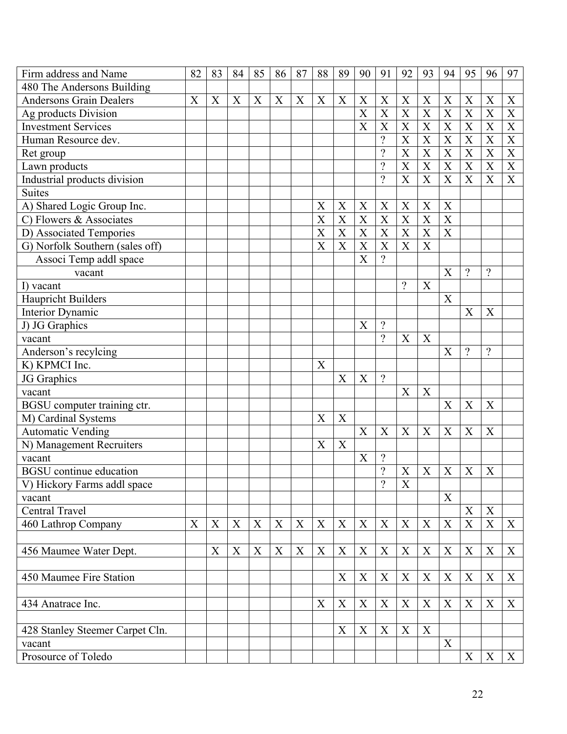| Firm address and Name           | 82 | 83 | 84               | 85          | 86          | 87          | 88             | 89                        | 90             | 91                        | 92                        | 93                        | 94                        | 95                        | 96                    | 97                        |
|---------------------------------|----|----|------------------|-------------|-------------|-------------|----------------|---------------------------|----------------|---------------------------|---------------------------|---------------------------|---------------------------|---------------------------|-----------------------|---------------------------|
| 480 The Andersons Building      |    |    |                  |             |             |             |                |                           |                |                           |                           |                           |                           |                           |                       |                           |
| <b>Andersons Grain Dealers</b>  | X  | X  | $\boldsymbol{X}$ | X           | X           | X           | X              | X                         | X              | X                         | X                         | X                         | X                         | X                         | X                     | X                         |
| Ag products Division            |    |    |                  |             |             |             |                |                           | X              | $\boldsymbol{\mathrm{X}}$ | $\boldsymbol{\mathrm{X}}$ | X                         | $\overline{\text{X}}$     | $\overline{\text{X}}$     | $\overline{\text{X}}$ | $\overline{X}$            |
| <b>Investment Services</b>      |    |    |                  |             |             |             |                |                           | $\overline{X}$ | X                         | $\overline{X}$            | X                         | $\overline{\text{X}}$     | X                         | X                     | X                         |
| Human Resource dev.             |    |    |                  |             |             |             |                |                           |                | $\overline{\mathcal{L}}$  | X                         | X                         | X                         | X                         | X                     | X                         |
| Ret group                       |    |    |                  |             |             |             |                |                           |                | $\overline{\mathcal{L}}$  | X                         | X                         | X                         | $\overline{X}$            | X                     | $\overline{X}$            |
| Lawn products                   |    |    |                  |             |             |             |                |                           |                | $\overline{\mathcal{L}}$  | X                         | $\overline{\text{X}}$     | $\overline{\text{X}}$     | $\overline{\text{X}}$     | X                     | $\overline{\text{X}}$     |
| Industrial products division    |    |    |                  |             |             |             |                |                           |                | $\gamma$                  | X                         | X                         | X                         | X                         | X                     | X                         |
| <b>Suites</b>                   |    |    |                  |             |             |             |                |                           |                |                           |                           |                           |                           |                           |                       |                           |
| A) Shared Logic Group Inc.      |    |    |                  |             |             |             | X              | X                         | X              | X                         | X                         | X                         | X                         |                           |                       |                           |
| C) Flowers & Associates         |    |    |                  |             |             |             | $\overline{X}$ | X                         | X              | X                         | X                         | X                         | X                         |                           |                       |                           |
| D) Associated Tempories         |    |    |                  |             |             |             | X              | $\boldsymbol{\mathrm{X}}$ | X              | X                         | X                         | $\boldsymbol{\mathrm{X}}$ | X                         |                           |                       |                           |
| G) Norfolk Southern (sales off) |    |    |                  |             |             |             | $\overline{X}$ | X                         | X              | X                         | X                         | X                         |                           |                           |                       |                           |
| Associ Temp addl space          |    |    |                  |             |             |             |                |                           | $\overline{X}$ | $\gamma$                  |                           |                           |                           |                           |                       |                           |
| vacant                          |    |    |                  |             |             |             |                |                           |                |                           |                           |                           | X                         | $\overline{?}$            | $\gamma$              |                           |
| I) vacant                       |    |    |                  |             |             |             |                |                           |                |                           | $\gamma$                  | X                         |                           |                           |                       |                           |
| Haupricht Builders              |    |    |                  |             |             |             |                |                           |                |                           |                           |                           | X                         |                           |                       |                           |
| Interior Dynamic                |    |    |                  |             |             |             |                |                           |                |                           |                           |                           |                           | X                         | X                     |                           |
| J) JG Graphics                  |    |    |                  |             |             |             |                |                           | $\overline{X}$ | $\overline{?}$            |                           |                           |                           |                           |                       |                           |
| vacant                          |    |    |                  |             |             |             |                |                           |                | $\overline{?}$            | X                         | $\boldsymbol{X}$          |                           |                           |                       |                           |
| Anderson's recylcing            |    |    |                  |             |             |             |                |                           |                |                           |                           |                           | $\boldsymbol{X}$          | $\gamma$                  | $\gamma$              |                           |
| K) KPMCI Inc.                   |    |    |                  |             |             |             | X              |                           |                |                           |                           |                           |                           |                           |                       |                           |
| JG Graphics                     |    |    |                  |             |             |             |                | X                         | X              | $\gamma$                  |                           |                           |                           |                           |                       |                           |
| vacant                          |    |    |                  |             |             |             |                |                           |                |                           | X                         | X                         |                           |                           |                       |                           |
| BGSU computer training ctr.     |    |    |                  |             |             |             |                |                           |                |                           |                           |                           | X                         | X                         | X                     |                           |
| M) Cardinal Systems             |    |    |                  |             |             |             | X              | X                         |                |                           |                           |                           |                           |                           |                       |                           |
| Automatic Vending               |    |    |                  |             |             |             |                |                           | X              | X                         | X                         | X                         | X                         | X                         | X                     |                           |
| N) Management Recruiters        |    |    |                  |             |             |             | X              | $\boldsymbol{\mathrm{X}}$ |                |                           |                           |                           |                           |                           |                       |                           |
| vacant                          |    |    |                  |             |             |             |                |                           | X              | $\overline{\mathcal{C}}$  |                           |                           |                           |                           |                       |                           |
| <b>BGSU</b> continue education  |    |    |                  |             |             |             |                |                           |                | $\overline{\mathcal{L}}$  | X                         | X                         | X                         | X                         | X                     |                           |
| V) Hickory Farms addl space     |    |    |                  |             |             |             |                |                           |                | $\gamma$                  | X                         |                           |                           |                           |                       |                           |
| vacant                          |    |    |                  |             |             |             |                |                           |                |                           |                           |                           | X                         |                           |                       |                           |
| Central Travel                  |    |    |                  |             |             |             |                |                           |                |                           |                           |                           |                           | $\boldsymbol{\mathrm{X}}$ | X                     |                           |
| 460 Lathrop Company             | X  | X  | X                | X           | $\mathbf X$ | X           | $\mathbf X$    | X                         | X              | X                         | X                         | X                         | $\mathbf X$               | $\mathbf X$               | X                     | X                         |
|                                 |    |    |                  |             |             |             |                |                           |                |                           |                           |                           |                           |                           |                       |                           |
| 456 Maumee Water Dept.          |    | X  | X                | $\mathbf X$ | $\mathbf X$ | $\mathbf X$ | $\mathbf X$    | $\boldsymbol{\mathrm{X}}$ | X              | X                         | X                         | X                         | $\mathbf X$               | $\boldsymbol{X}$          | $\mathbf X$           | X                         |
|                                 |    |    |                  |             |             |             |                |                           |                |                           |                           |                           |                           |                           |                       |                           |
| 450 Maumee Fire Station         |    |    |                  |             |             |             |                | X                         | X              | X                         | X                         | X                         | $\boldsymbol{X}$          | X                         | X                     | X                         |
|                                 |    |    |                  |             |             |             |                |                           |                |                           |                           |                           |                           |                           |                       |                           |
| 434 Anatrace Inc.               |    |    |                  |             |             |             | X              | $\boldsymbol{\mathrm{X}}$ | $\mathbf X$    | X                         | X                         | $\boldsymbol{X}$          | $\boldsymbol{X}$          | X                         | X                     | X                         |
|                                 |    |    |                  |             |             |             |                |                           |                |                           |                           |                           |                           |                           |                       |                           |
| 428 Stanley Steemer Carpet Cln. |    |    |                  |             |             |             |                | X                         | X              | X                         | X                         | X                         |                           |                           |                       |                           |
| vacant                          |    |    |                  |             |             |             |                |                           |                |                           |                           |                           | $\boldsymbol{\mathrm{X}}$ |                           |                       |                           |
| Prosource of Toledo             |    |    |                  |             |             |             |                |                           |                |                           |                           |                           |                           | X                         | X                     | $\boldsymbol{\mathrm{X}}$ |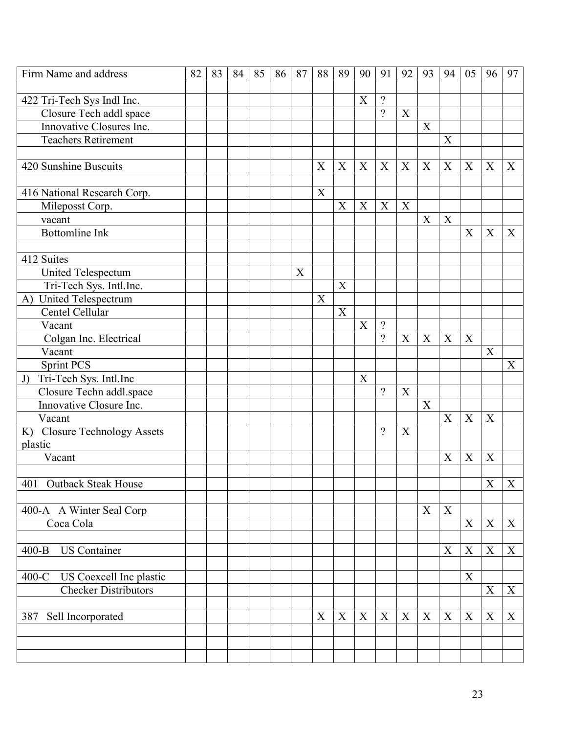| Firm Name and address                 | 82 | 83 | 84 | 85 | 86 | 87 | 88                        | 89               | 90                        | 91          | 92 | 93                        | 94                        | 05               | 96                        | 97               |
|---------------------------------------|----|----|----|----|----|----|---------------------------|------------------|---------------------------|-------------|----|---------------------------|---------------------------|------------------|---------------------------|------------------|
|                                       |    |    |    |    |    |    |                           |                  |                           |             |    |                           |                           |                  |                           |                  |
| 422 Tri-Tech Sys Indl Inc.            |    |    |    |    |    |    |                           |                  | $\boldsymbol{\mathrm{X}}$ | $\gamma$    |    |                           |                           |                  |                           |                  |
| Closure Tech addl space               |    |    |    |    |    |    |                           |                  |                           | $\gamma$    | X  |                           |                           |                  |                           |                  |
| Innovative Closures Inc.              |    |    |    |    |    |    |                           |                  |                           |             |    | X                         |                           |                  |                           |                  |
| <b>Teachers Retirement</b>            |    |    |    |    |    |    |                           |                  |                           |             |    |                           | X                         |                  |                           |                  |
|                                       |    |    |    |    |    |    |                           |                  |                           |             |    |                           |                           |                  |                           |                  |
| 420 Sunshine Buscuits                 |    |    |    |    |    |    | X                         | X                | X                         | X           | X  | X                         | $\boldsymbol{\mathrm{X}}$ | X                | X                         | X                |
|                                       |    |    |    |    |    |    |                           |                  |                           |             |    |                           |                           |                  |                           |                  |
| 416 National Research Corp.           |    |    |    |    |    |    | $\boldsymbol{\mathrm{X}}$ |                  |                           |             |    |                           |                           |                  |                           |                  |
| Mileposst Corp.                       |    |    |    |    |    |    |                           | $\boldsymbol{X}$ | X                         | $\mathbf X$ | X  |                           |                           |                  |                           |                  |
| vacant                                |    |    |    |    |    |    |                           |                  |                           |             |    | X                         | $\mathbf X$               |                  |                           |                  |
| <b>Bottomline Ink</b>                 |    |    |    |    |    |    |                           |                  |                           |             |    |                           |                           | $\boldsymbol{X}$ | $\boldsymbol{X}$          | $\boldsymbol{X}$ |
| 412 Suites                            |    |    |    |    |    |    |                           |                  |                           |             |    |                           |                           |                  |                           |                  |
| United Telespectum                    |    |    |    |    |    | X  |                           |                  |                           |             |    |                           |                           |                  |                           |                  |
| Tri-Tech Sys. Intl.Inc.               |    |    |    |    |    |    |                           | X                |                           |             |    |                           |                           |                  |                           |                  |
| A) United Telespectrum                |    |    |    |    |    |    | X                         |                  |                           |             |    |                           |                           |                  |                           |                  |
| Centel Cellular                       |    |    |    |    |    |    |                           | X                |                           |             |    |                           |                           |                  |                           |                  |
| Vacant                                |    |    |    |    |    |    |                           |                  | $\overline{X}$            | $\gamma$    |    |                           |                           |                  |                           |                  |
| Colgan Inc. Electrical                |    |    |    |    |    |    |                           |                  |                           | $\gamma$    | X  | X                         | $\mathbf X$               | X                |                           |                  |
| Vacant                                |    |    |    |    |    |    |                           |                  |                           |             |    |                           |                           |                  | X                         |                  |
| <b>Sprint PCS</b>                     |    |    |    |    |    |    |                           |                  |                           |             |    |                           |                           |                  |                           | X                |
| Tri-Tech Sys. Intl.Inc<br>J)          |    |    |    |    |    |    |                           |                  | $\boldsymbol{X}$          |             |    |                           |                           |                  |                           |                  |
| Closure Techn addl.space              |    |    |    |    |    |    |                           |                  |                           | $\gamma$    | X  |                           |                           |                  |                           |                  |
| Innovative Closure Inc.               |    |    |    |    |    |    |                           |                  |                           |             |    | $\mathbf X$               |                           |                  |                           |                  |
| Vacant                                |    |    |    |    |    |    |                           |                  |                           |             |    |                           | X                         | $\mathbf X$      | X                         |                  |
| K) Closure Technology Assets          |    |    |    |    |    |    |                           |                  |                           | $\gamma$    | X  |                           |                           |                  |                           |                  |
| plastic                               |    |    |    |    |    |    |                           |                  |                           |             |    |                           |                           |                  |                           |                  |
| Vacant                                |    |    |    |    |    |    |                           |                  |                           |             |    |                           | X                         | X                | X                         |                  |
|                                       |    |    |    |    |    |    |                           |                  |                           |             |    |                           |                           |                  | $\boldsymbol{\mathrm{X}}$ |                  |
| 401<br>Outback Steak House            |    |    |    |    |    |    |                           |                  |                           |             |    |                           |                           |                  |                           | $\mathbf X$      |
|                                       |    |    |    |    |    |    |                           |                  |                           |             |    | $\boldsymbol{\mathrm{X}}$ | $\mathbf X$               |                  |                           |                  |
| 400-A A Winter Seal Corp<br>Coca Cola |    |    |    |    |    |    |                           |                  |                           |             |    |                           |                           | $\mathbf X$      | $\mathbf X$               | $\boldsymbol{X}$ |
|                                       |    |    |    |    |    |    |                           |                  |                           |             |    |                           |                           |                  |                           |                  |
| <b>US</b> Container<br>$400 - B$      |    |    |    |    |    |    |                           |                  |                           |             |    |                           | $\mathbf X$               | $\mathbf X$      | $\boldsymbol{X}$          | $\mathbf X$      |
|                                       |    |    |    |    |    |    |                           |                  |                           |             |    |                           |                           |                  |                           |                  |
| $400-C$<br>US Coexcell Inc plastic    |    |    |    |    |    |    |                           |                  |                           |             |    |                           |                           | $\mathbf X$      |                           |                  |
| <b>Checker Distributors</b>           |    |    |    |    |    |    |                           |                  |                           |             |    |                           |                           |                  | $\mathbf X$               | $\mathbf X$      |
|                                       |    |    |    |    |    |    |                           |                  |                           |             |    |                           |                           |                  |                           |                  |
| Sell Incorporated<br>387              |    |    |    |    |    |    | X                         | X                | X                         | X           | X  | X                         | X                         | X                | X                         | X                |
|                                       |    |    |    |    |    |    |                           |                  |                           |             |    |                           |                           |                  |                           |                  |
|                                       |    |    |    |    |    |    |                           |                  |                           |             |    |                           |                           |                  |                           |                  |
|                                       |    |    |    |    |    |    |                           |                  |                           |             |    |                           |                           |                  |                           |                  |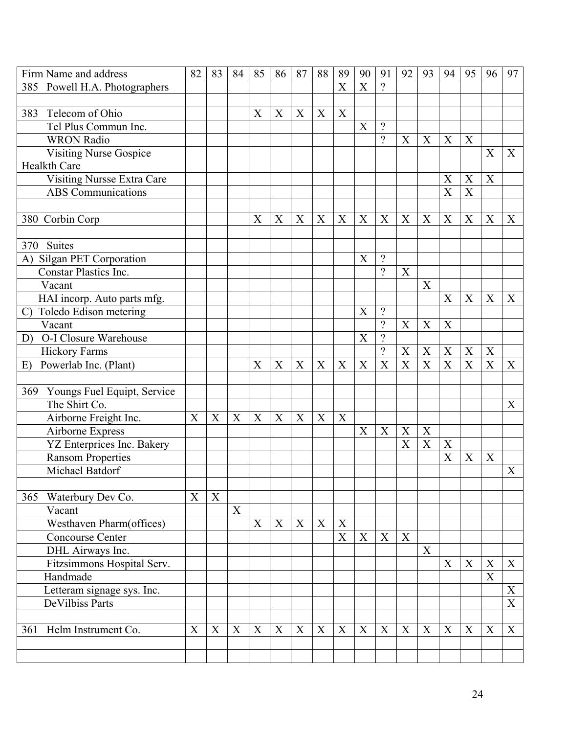| Firm Name and address                   | 82 | 83 | 84 | 85               | 86 | 87 | 88               | 89                        | 90          | 91                       | 92 | 93               | 94                    | 95                    | 96          | 97                        |
|-----------------------------------------|----|----|----|------------------|----|----|------------------|---------------------------|-------------|--------------------------|----|------------------|-----------------------|-----------------------|-------------|---------------------------|
| Powell H.A. Photographers<br>385        |    |    |    |                  |    |    |                  | X                         | X           | $\gamma$                 |    |                  |                       |                       |             |                           |
|                                         |    |    |    |                  |    |    |                  |                           |             |                          |    |                  |                       |                       |             |                           |
| Telecom of Ohio<br>383                  |    |    |    | X                | X  | X  | $\boldsymbol{X}$ | $\boldsymbol{\mathrm{X}}$ |             |                          |    |                  |                       |                       |             |                           |
| Tel Plus Commun Inc.                    |    |    |    |                  |    |    |                  |                           | X           | $\overline{\mathcal{L}}$ |    |                  |                       |                       |             |                           |
| <b>WRON Radio</b>                       |    |    |    |                  |    |    |                  |                           |             | $\gamma$                 | X  | X                | X                     | X                     |             |                           |
| <b>Visiting Nurse Gospice</b>           |    |    |    |                  |    |    |                  |                           |             |                          |    |                  |                       |                       | X           | X                         |
| Healkth Care                            |    |    |    |                  |    |    |                  |                           |             |                          |    |                  |                       |                       |             |                           |
| Visiting Nursse Extra Care              |    |    |    |                  |    |    |                  |                           |             |                          |    |                  | $\boldsymbol{X}$      | X                     | X           |                           |
| <b>ABS</b> Communications               |    |    |    |                  |    |    |                  |                           |             |                          |    |                  | $\overline{X}$        | $\overline{\text{X}}$ |             |                           |
|                                         |    |    |    |                  |    |    |                  |                           |             |                          |    |                  |                       |                       |             |                           |
| 380 Corbin Corp                         |    |    |    | X                | X  | X  | X                | $\boldsymbol{X}$          | X           | X                        | X  | X                | X                     | X                     | X           | X                         |
|                                         |    |    |    |                  |    |    |                  |                           |             |                          |    |                  |                       |                       |             |                           |
| 370 Suites                              |    |    |    |                  |    |    |                  |                           |             |                          |    |                  |                       |                       |             |                           |
| <b>Silgan PET Corporation</b><br>A)     |    |    |    |                  |    |    |                  |                           | X           | $\gamma$                 |    |                  |                       |                       |             |                           |
| <b>Constar Plastics Inc.</b>            |    |    |    |                  |    |    |                  |                           |             | $\gamma$                 | X  |                  |                       |                       |             |                           |
| Vacant                                  |    |    |    |                  |    |    |                  |                           |             |                          |    | X                |                       |                       |             |                           |
| HAI incorp. Auto parts mfg.             |    |    |    |                  |    |    |                  |                           |             |                          |    |                  | X                     | X                     | X           | X                         |
| Toledo Edison metering<br>$\mathcal{C}$ |    |    |    |                  |    |    |                  |                           | X           | $\gamma$                 |    |                  |                       |                       |             |                           |
| Vacant                                  |    |    |    |                  |    |    |                  |                           |             | $\gamma$                 | X  | $\boldsymbol{X}$ | $\boldsymbol{X}$      |                       |             |                           |
| O-I Closure Warehouse<br>D)             |    |    |    |                  |    |    |                  |                           | X           | $\overline{\mathcal{L}}$ |    |                  |                       |                       |             |                           |
| <b>Hickory Farms</b>                    |    |    |    |                  |    |    |                  |                           |             | $\overline{\mathcal{L}}$ | X  | X                | $\boldsymbol{X}$      | X                     | X           |                           |
| Powerlab Inc. (Plant)<br>E)             |    |    |    | X                | X  | X  | X                | X                         | X           | X                        | X  | $\boldsymbol{X}$ | $\overline{\text{X}}$ | $\overline{X}$        | X           | X                         |
|                                         |    |    |    |                  |    |    |                  |                           |             |                          |    |                  |                       |                       |             |                           |
| Youngs Fuel Equipt, Service<br>369      |    |    |    |                  |    |    |                  |                           |             |                          |    |                  |                       |                       |             |                           |
| The Shirt Co.                           |    |    |    |                  |    |    |                  |                           |             |                          |    |                  |                       |                       |             | X                         |
| Airborne Freight Inc.                   | X  | X  | X  | $\boldsymbol{X}$ | X  | X  | $\boldsymbol{X}$ | X                         |             |                          |    |                  |                       |                       |             |                           |
| Airborne Express                        |    |    |    |                  |    |    |                  |                           | X           | X                        | X  | X                |                       |                       |             |                           |
| YZ Enterprices Inc. Bakery              |    |    |    |                  |    |    |                  |                           |             |                          | X  | $\mathbf X$      | X                     |                       |             |                           |
| <b>Ransom Properties</b>                |    |    |    |                  |    |    |                  |                           |             |                          |    |                  | X                     | X                     | X           |                           |
| Michael Batdorf                         |    |    |    |                  |    |    |                  |                           |             |                          |    |                  |                       |                       |             | X                         |
|                                         |    |    |    |                  |    |    |                  |                           |             |                          |    |                  |                       |                       |             |                           |
| Waterbury Dev Co.<br>365                | X  | X  |    |                  |    |    |                  |                           |             |                          |    |                  |                       |                       |             |                           |
| Vacant                                  |    |    | X  |                  |    |    |                  |                           |             |                          |    |                  |                       |                       |             |                           |
| Westhaven Pharm(offices)                |    |    |    | X                | X  | X  | X                | X                         |             |                          |    |                  |                       |                       |             |                           |
| <b>Concourse Center</b>                 |    |    |    |                  |    |    |                  | $\boldsymbol{\mathrm{X}}$ | $\mathbf X$ | X                        | X  |                  |                       |                       |             |                           |
| DHL Airways Inc.                        |    |    |    |                  |    |    |                  |                           |             |                          |    | X                |                       |                       |             |                           |
| Fitzsimmons Hospital Serv.              |    |    |    |                  |    |    |                  |                           |             |                          |    |                  | X                     | X                     | X           | $\boldsymbol{\mathrm{X}}$ |
| Handmade                                |    |    |    |                  |    |    |                  |                           |             |                          |    |                  |                       |                       | $\mathbf X$ |                           |
| Letteram signage sys. Inc.              |    |    |    |                  |    |    |                  |                           |             |                          |    |                  |                       |                       |             | X                         |
| <b>DeVilbiss Parts</b>                  |    |    |    |                  |    |    |                  |                           |             |                          |    |                  |                       |                       |             | X                         |
|                                         |    |    |    |                  |    |    |                  |                           |             |                          |    |                  |                       |                       |             |                           |
| 361 Helm Instrument Co.                 | X  | X  | X  | X                | X  | X  | X                | X                         | X           | X                        | X  | X                | X                     | X                     | X           | X                         |
|                                         |    |    |    |                  |    |    |                  |                           |             |                          |    |                  |                       |                       |             |                           |
|                                         |    |    |    |                  |    |    |                  |                           |             |                          |    |                  |                       |                       |             |                           |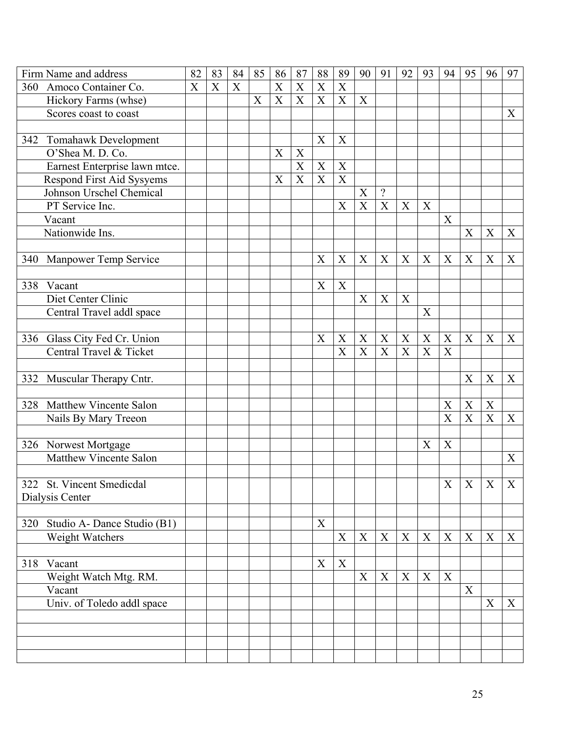|            | Firm Name and address           | 82 | 83 | 84 | 85 | 86               | 87                        | 88                        | 89                        | 90          | 91          | 92 | 93               | 94                        | 95               | 96          | 97               |
|------------|---------------------------------|----|----|----|----|------------------|---------------------------|---------------------------|---------------------------|-------------|-------------|----|------------------|---------------------------|------------------|-------------|------------------|
| 360        | Amoco Container Co.             | X  | X  | X  |    | X                | $\boldsymbol{\mathrm{X}}$ | $\boldsymbol{\mathrm{X}}$ | X                         |             |             |    |                  |                           |                  |             |                  |
|            | Hickory Farms (whse)            |    |    |    | X  | $\boldsymbol{X}$ | X                         | X                         | X                         | X           |             |    |                  |                           |                  |             |                  |
|            | Scores coast to coast           |    |    |    |    |                  |                           |                           |                           |             |             |    |                  |                           |                  |             | $\boldsymbol{X}$ |
|            |                                 |    |    |    |    |                  |                           |                           |                           |             |             |    |                  |                           |                  |             |                  |
| 342        | Tomahawk Development            |    |    |    |    |                  |                           | X                         | $\boldsymbol{X}$          |             |             |    |                  |                           |                  |             |                  |
|            | O'Shea M. D. Co.                |    |    |    |    | X                | X                         |                           |                           |             |             |    |                  |                           |                  |             |                  |
|            | Earnest Enterprise lawn mtce.   |    |    |    |    |                  | X                         | X                         | $\mathbf X$               |             |             |    |                  |                           |                  |             |                  |
|            | Respond First Aid Sysyems       |    |    |    |    | X                | $\overline{X}$            | $\mathbf X$               | $\overline{\text{X}}$     |             |             |    |                  |                           |                  |             |                  |
|            | Johnson Urschel Chemical        |    |    |    |    |                  |                           |                           |                           | X           | $\gamma$    |    |                  |                           |                  |             |                  |
|            | PT Service Inc.                 |    |    |    |    |                  |                           |                           | X                         | X           | X           | X  | X                |                           |                  |             |                  |
|            | Vacant                          |    |    |    |    |                  |                           |                           |                           |             |             |    |                  | $\boldsymbol{X}$          |                  |             |                  |
|            | Nationwide Ins.                 |    |    |    |    |                  |                           |                           |                           |             |             |    |                  |                           | $\boldsymbol{X}$ | X           | X                |
|            |                                 |    |    |    |    |                  |                           |                           |                           |             |             |    |                  |                           |                  |             |                  |
| 340        | Manpower Temp Service           |    |    |    |    |                  |                           | X                         | X                         | X           | X           | X  | X                | X                         | $\boldsymbol{X}$ | X           | X                |
|            |                                 |    |    |    |    |                  |                           |                           |                           |             |             |    |                  |                           |                  |             |                  |
| 338        | Vacant                          |    |    |    |    |                  |                           | X                         | X                         |             |             |    |                  |                           |                  |             |                  |
|            | Diet Center Clinic              |    |    |    |    |                  |                           |                           |                           | X           | X           | X  |                  |                           |                  |             |                  |
|            | Central Travel addl space       |    |    |    |    |                  |                           |                           |                           |             |             |    | X                |                           |                  |             |                  |
|            |                                 |    |    |    |    |                  |                           |                           |                           |             |             |    |                  |                           |                  |             |                  |
|            | 336 Glass City Fed Cr. Union    |    |    |    |    |                  |                           | $\boldsymbol{\mathrm{X}}$ | $\boldsymbol{X}$          | X           | X           | X  | $\mathbf X$      | X                         | X                | X           | X                |
|            | Central Travel & Ticket         |    |    |    |    |                  |                           |                           | X                         | X           | X           | X  | X                | X                         |                  |             |                  |
|            |                                 |    |    |    |    |                  |                           |                           |                           |             |             |    |                  |                           |                  |             |                  |
| 332        | Muscular Therapy Cntr.          |    |    |    |    |                  |                           |                           |                           |             |             |    |                  |                           | X                | X           | X                |
|            |                                 |    |    |    |    |                  |                           |                           |                           |             |             |    |                  |                           |                  |             |                  |
|            | 328 Matthew Vincente Salon      |    |    |    |    |                  |                           |                           |                           |             |             |    |                  | X                         | X                | X           |                  |
|            | Nails By Mary Treeon            |    |    |    |    |                  |                           |                           |                           |             |             |    |                  | $\boldsymbol{\mathrm{X}}$ | X                | $\mathbf X$ | X                |
|            |                                 |    |    |    |    |                  |                           |                           |                           |             |             |    |                  |                           |                  |             |                  |
|            | 326 Norwest Mortgage            |    |    |    |    |                  |                           |                           |                           |             |             |    | $\boldsymbol{X}$ | $\mathbf X$               |                  |             |                  |
|            | Matthew Vincente Salon          |    |    |    |    |                  |                           |                           |                           |             |             |    |                  |                           |                  |             | X                |
|            |                                 |    |    |    |    |                  |                           |                           |                           |             |             |    |                  |                           |                  |             |                  |
|            | 322 St. Vincent Smedicdal       |    |    |    |    |                  |                           |                           |                           |             |             |    |                  | $X_{-}$                   | X                | X           | X                |
|            | Dialysis Center                 |    |    |    |    |                  |                           |                           |                           |             |             |    |                  |                           |                  |             |                  |
|            |                                 |    |    |    |    |                  |                           |                           |                           |             |             |    |                  |                           |                  |             |                  |
|            | 320 Studio A- Dance Studio (B1) |    |    |    |    |                  |                           | X                         | $\boldsymbol{\mathrm{X}}$ |             | X           |    | X                | $\mathbf X$               | X                |             |                  |
|            | Weight Watchers                 |    |    |    |    |                  |                           |                           |                           | $\mathbf X$ |             | X  |                  |                           |                  | X           | X                |
|            |                                 |    |    |    |    |                  |                           | X                         | X                         |             |             |    |                  |                           |                  |             |                  |
| 318 Vacant |                                 |    |    |    |    |                  |                           |                           |                           | $\mathbf X$ | $\mathbf X$ | X  | $\mathbf X$      | $\boldsymbol{\mathrm{X}}$ |                  |             |                  |
|            | Weight Watch Mtg. RM.<br>Vacant |    |    |    |    |                  |                           |                           |                           |             |             |    |                  |                           | X                |             |                  |
|            | Univ. of Toledo addl space      |    |    |    |    |                  |                           |                           |                           |             |             |    |                  |                           |                  | $\mathbf X$ | X                |
|            |                                 |    |    |    |    |                  |                           |                           |                           |             |             |    |                  |                           |                  |             |                  |
|            |                                 |    |    |    |    |                  |                           |                           |                           |             |             |    |                  |                           |                  |             |                  |
|            |                                 |    |    |    |    |                  |                           |                           |                           |             |             |    |                  |                           |                  |             |                  |
|            |                                 |    |    |    |    |                  |                           |                           |                           |             |             |    |                  |                           |                  |             |                  |
|            |                                 |    |    |    |    |                  |                           |                           |                           |             |             |    |                  |                           |                  |             |                  |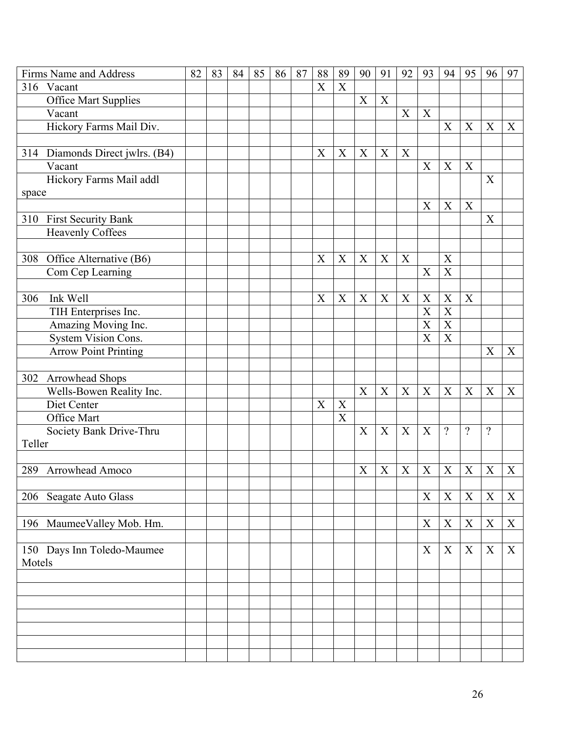|        | Firms Name and Address      | 82 | 83 | 84 | 85 | 86 | 87 | 88          | 89             | 90                        | 91               | 92          | 93                        | 94                         | 95               | 96          | 97               |
|--------|-----------------------------|----|----|----|----|----|----|-------------|----------------|---------------------------|------------------|-------------|---------------------------|----------------------------|------------------|-------------|------------------|
|        | 316 Vacant                  |    |    |    |    |    |    | X           | X              |                           |                  |             |                           |                            |                  |             |                  |
|        | <b>Office Mart Supplies</b> |    |    |    |    |    |    |             |                | X                         | $\boldsymbol{X}$ |             |                           |                            |                  |             |                  |
|        | Vacant                      |    |    |    |    |    |    |             |                |                           |                  | X           | X                         |                            |                  |             |                  |
|        | Hickory Farms Mail Div.     |    |    |    |    |    |    |             |                |                           |                  |             |                           | X                          | X                | X           | X                |
|        |                             |    |    |    |    |    |    |             |                |                           |                  |             |                           |                            |                  |             |                  |
| 314    | Diamonds Direct jwlrs. (B4) |    |    |    |    |    |    | X           | X              | X                         | X                | X           |                           |                            |                  |             |                  |
|        | Vacant                      |    |    |    |    |    |    |             |                |                           |                  |             | $\boldsymbol{X}$          | $\mathbf X$                | $\boldsymbol{X}$ |             |                  |
|        | Hickory Farms Mail addl     |    |    |    |    |    |    |             |                |                           |                  |             |                           |                            |                  | X           |                  |
| space  |                             |    |    |    |    |    |    |             |                |                           |                  |             |                           |                            |                  |             |                  |
|        |                             |    |    |    |    |    |    |             |                |                           |                  |             | X                         | X                          | X                |             |                  |
| 310    | First Security Bank         |    |    |    |    |    |    |             |                |                           |                  |             |                           |                            |                  | X           |                  |
|        | <b>Heavenly Coffees</b>     |    |    |    |    |    |    |             |                |                           |                  |             |                           |                            |                  |             |                  |
|        |                             |    |    |    |    |    |    |             |                |                           |                  |             |                           |                            |                  |             |                  |
| 308    | Office Alternative (B6)     |    |    |    |    |    |    | X           | X              | X                         | X                | $\mathbf X$ |                           | X                          |                  |             |                  |
|        | Com Cep Learning            |    |    |    |    |    |    |             |                |                           |                  |             | $\boldsymbol{X}$          | $\overline{X}$             |                  |             |                  |
|        |                             |    |    |    |    |    |    |             |                |                           |                  |             |                           |                            |                  |             |                  |
| 306    | Ink Well                    |    |    |    |    |    |    | $\mathbf X$ | X              | X                         | X                | X           | $\mathbf X$               | $\boldsymbol{\mathrm{X}}$  | $\mathbf X$      |             |                  |
|        | TIH Enterprises Inc.        |    |    |    |    |    |    |             |                |                           |                  |             | X                         | X                          |                  |             |                  |
|        | Amazing Moving Inc.         |    |    |    |    |    |    |             |                |                           |                  |             | X                         | X<br>$\overline{\text{X}}$ |                  |             |                  |
|        | System Vision Cons.         |    |    |    |    |    |    |             |                |                           |                  |             | X                         |                            |                  |             |                  |
|        | <b>Arrow Point Printing</b> |    |    |    |    |    |    |             |                |                           |                  |             |                           |                            |                  | $\mathbf X$ | X                |
| 302    | Arrowhead Shops             |    |    |    |    |    |    |             |                |                           |                  |             |                           |                            |                  |             |                  |
|        | Wells-Bowen Reality Inc.    |    |    |    |    |    |    |             |                | $\boldsymbol{\mathrm{X}}$ | X                | X           | X                         | X                          | X                | X           | X                |
|        | Diet Center                 |    |    |    |    |    |    | X           | $\mathbf X$    |                           |                  |             |                           |                            |                  |             |                  |
|        | Office Mart                 |    |    |    |    |    |    |             | $\overline{X}$ |                           |                  |             |                           |                            |                  |             |                  |
|        | Society Bank Drive-Thru     |    |    |    |    |    |    |             |                | $\boldsymbol{X}$          | X                | X           | $\boldsymbol{\mathrm{X}}$ | $\boldsymbol{\mathcal{P}}$ | $\gamma$         | $\gamma$    |                  |
| Teller |                             |    |    |    |    |    |    |             |                |                           |                  |             |                           |                            |                  |             |                  |
|        |                             |    |    |    |    |    |    |             |                |                           |                  |             |                           |                            |                  |             |                  |
| 289    | Arrowhead Amoco             |    |    |    |    |    |    |             |                | X                         | $\boldsymbol{X}$ | X           | X                         | X                          | $\mathbf X$      | X           | X                |
|        |                             |    |    |    |    |    |    |             |                |                           |                  |             |                           |                            |                  |             |                  |
|        | 206 Seagate Auto Glass      |    |    |    |    |    |    |             |                |                           |                  |             | X                         | $\mathbf X$                | X                | X           | $\boldsymbol{X}$ |
|        |                             |    |    |    |    |    |    |             |                |                           |                  |             |                           |                            |                  |             |                  |
|        | 196 MaumeeValley Mob. Hm.   |    |    |    |    |    |    |             |                |                           |                  |             | X                         | $\mathbf X$                | $\mathbf X$      | $\mathbf X$ | X                |
|        |                             |    |    |    |    |    |    |             |                |                           |                  |             |                           |                            |                  |             |                  |
|        | 150 Days Inn Toledo-Maumee  |    |    |    |    |    |    |             |                |                           |                  |             | X                         | X                          | X                | X           | $\boldsymbol{X}$ |
| Motels |                             |    |    |    |    |    |    |             |                |                           |                  |             |                           |                            |                  |             |                  |
|        |                             |    |    |    |    |    |    |             |                |                           |                  |             |                           |                            |                  |             |                  |
|        |                             |    |    |    |    |    |    |             |                |                           |                  |             |                           |                            |                  |             |                  |
|        |                             |    |    |    |    |    |    |             |                |                           |                  |             |                           |                            |                  |             |                  |
|        |                             |    |    |    |    |    |    |             |                |                           |                  |             |                           |                            |                  |             |                  |
|        |                             |    |    |    |    |    |    |             |                |                           |                  |             |                           |                            |                  |             |                  |
|        |                             |    |    |    |    |    |    |             |                |                           |                  |             |                           |                            |                  |             |                  |
|        |                             |    |    |    |    |    |    |             |                |                           |                  |             |                           |                            |                  |             |                  |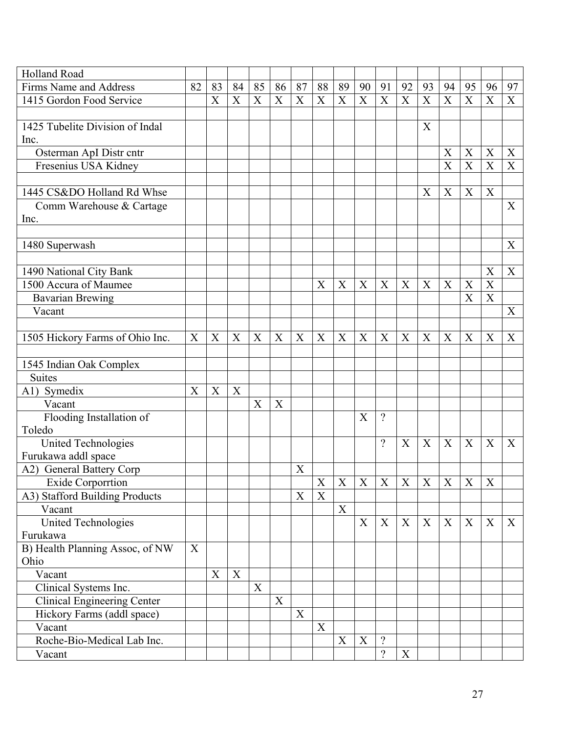| <b>Holland Road</b>                |    |    |                           |                           |    |                  |                |                           |    |                          |                |                |                           |                  |                           |                  |
|------------------------------------|----|----|---------------------------|---------------------------|----|------------------|----------------|---------------------------|----|--------------------------|----------------|----------------|---------------------------|------------------|---------------------------|------------------|
| Firms Name and Address             | 82 | 83 | 84                        | 85                        | 86 | 87               | 88             | 89                        | 90 | 91                       | 92             | 93             | 94                        | 95               | 96                        | 97               |
| 1415 Gordon Food Service           |    | X  | $\boldsymbol{\mathrm{X}}$ | $\boldsymbol{\mathrm{X}}$ | X  | X                | X              | X                         | X  | X                        | X              | X              | $\boldsymbol{\mathrm{X}}$ | $\mathbf X$      | $\boldsymbol{X}$          | X                |
|                                    |    |    |                           |                           |    |                  |                |                           |    |                          |                |                |                           |                  |                           |                  |
| 1425 Tubelite Division of Indal    |    |    |                           |                           |    |                  |                |                           |    |                          |                | X              |                           |                  |                           |                  |
| Inc.                               |    |    |                           |                           |    |                  |                |                           |    |                          |                |                |                           |                  |                           |                  |
| Osterman ApI Distr cntr            |    |    |                           |                           |    |                  |                |                           |    |                          |                |                | X                         | X                | X                         | X                |
| Fresenius USA Kidney               |    |    |                           |                           |    |                  |                |                           |    |                          |                |                | X                         | X                | $\boldsymbol{\mathrm{X}}$ | $\boldsymbol{X}$ |
|                                    |    |    |                           |                           |    |                  |                |                           |    |                          |                |                |                           |                  |                           |                  |
| 1445 CS&DO Holland Rd Whse         |    |    |                           |                           |    |                  |                |                           |    |                          |                | X              | X                         | X                | X                         |                  |
| Comm Warehouse & Cartage           |    |    |                           |                           |    |                  |                |                           |    |                          |                |                |                           |                  |                           | X                |
| Inc.                               |    |    |                           |                           |    |                  |                |                           |    |                          |                |                |                           |                  |                           |                  |
|                                    |    |    |                           |                           |    |                  |                |                           |    |                          |                |                |                           |                  |                           |                  |
| 1480 Superwash                     |    |    |                           |                           |    |                  |                |                           |    |                          |                |                |                           |                  |                           | X                |
|                                    |    |    |                           |                           |    |                  |                |                           |    |                          |                |                |                           |                  |                           |                  |
| 1490 National City Bank            |    |    |                           |                           |    |                  |                |                           |    |                          |                |                |                           |                  | X                         | X                |
| 1500 Accura of Maumee              |    |    |                           |                           |    |                  | X              | $\boldsymbol{X}$          | X  | X                        | X              | X              | X                         | $\boldsymbol{X}$ | $\mathbf X$               |                  |
| <b>Bavarian Brewing</b>            |    |    |                           |                           |    |                  |                |                           |    |                          |                |                |                           | X                | $\overline{X}$            |                  |
| Vacant                             |    |    |                           |                           |    |                  |                |                           |    |                          |                |                |                           |                  |                           | X                |
|                                    |    |    |                           |                           |    |                  |                |                           |    |                          |                |                |                           |                  |                           |                  |
| 1505 Hickory Farms of Ohio Inc.    | X  | X  | $\boldsymbol{\mathrm{X}}$ | $\boldsymbol{\mathrm{X}}$ | X  | $\boldsymbol{X}$ | $\mathbf X$    | $\boldsymbol{\mathrm{X}}$ | X  | X                        | X              | X              | $\mathbf X$               | X                | X                         | X                |
|                                    |    |    |                           |                           |    |                  |                |                           |    |                          |                |                |                           |                  |                           |                  |
| 1545 Indian Oak Complex            |    |    |                           |                           |    |                  |                |                           |    |                          |                |                |                           |                  |                           |                  |
| <b>Suites</b>                      |    |    |                           |                           |    |                  |                |                           |    |                          |                |                |                           |                  |                           |                  |
| $A1)$ Symedix                      | X  | X  | $\boldsymbol{\mathrm{X}}$ |                           |    |                  |                |                           |    |                          |                |                |                           |                  |                           |                  |
|                                    |    |    |                           | $\overline{X}$            | X  |                  |                |                           |    |                          |                |                |                           |                  |                           |                  |
| Vacant                             |    |    |                           |                           |    |                  |                |                           | X  | $\gamma$                 |                |                |                           |                  |                           |                  |
| Flooding Installation of<br>Toledo |    |    |                           |                           |    |                  |                |                           |    |                          |                |                |                           |                  |                           |                  |
|                                    |    |    |                           |                           |    |                  |                |                           |    | $\gamma$                 | X              | X              | X                         | X                | X                         | X                |
| United Technologies                |    |    |                           |                           |    |                  |                |                           |    |                          |                |                |                           |                  |                           |                  |
| Furukawa addl space                |    |    |                           |                           |    |                  |                |                           |    |                          |                |                |                           |                  |                           |                  |
| A2) General Battery Corp           |    |    |                           |                           |    | X                |                |                           |    |                          |                |                |                           |                  |                           |                  |
| Exide Corporrtion                  |    |    |                           |                           |    |                  | $\overline{X}$ | XX                        |    | X                        | $\overline{X}$ | $\overline{X}$ | $\overline{X}$            | $\overline{X}$   | $\overline{X}$            |                  |
| A3) Stafford Building Products     |    |    |                           |                           |    | X                | X              |                           |    |                          |                |                |                           |                  |                           |                  |
| Vacant                             |    |    |                           |                           |    |                  |                | $\mathbf X$               |    |                          |                |                |                           |                  |                           |                  |
| <b>United Technologies</b>         |    |    |                           |                           |    |                  |                |                           | X  | X                        | X              | X              | X                         | X                | X                         | $\boldsymbol{X}$ |
| Furukawa                           |    |    |                           |                           |    |                  |                |                           |    |                          |                |                |                           |                  |                           |                  |
| B) Health Planning Assoc, of NW    | X  |    |                           |                           |    |                  |                |                           |    |                          |                |                |                           |                  |                           |                  |
| Ohio                               |    |    |                           |                           |    |                  |                |                           |    |                          |                |                |                           |                  |                           |                  |
| Vacant                             |    | X  | X                         |                           |    |                  |                |                           |    |                          |                |                |                           |                  |                           |                  |
| Clinical Systems Inc.              |    |    |                           | $\mathbf X$               |    |                  |                |                           |    |                          |                |                |                           |                  |                           |                  |
| <b>Clinical Engineering Center</b> |    |    |                           |                           | X  |                  |                |                           |    |                          |                |                |                           |                  |                           |                  |
| Hickory Farms (addl space)         |    |    |                           |                           |    | $\mathbf X$      |                |                           |    |                          |                |                |                           |                  |                           |                  |
| Vacant                             |    |    |                           |                           |    |                  | X              |                           |    |                          |                |                |                           |                  |                           |                  |
| Roche-Bio-Medical Lab Inc.         |    |    |                           |                           |    |                  |                | X                         | X  | $\overline{\mathcal{L}}$ |                |                |                           |                  |                           |                  |
| Vacant                             |    |    |                           |                           |    |                  |                |                           |    | $\gamma$                 | X              |                |                           |                  |                           |                  |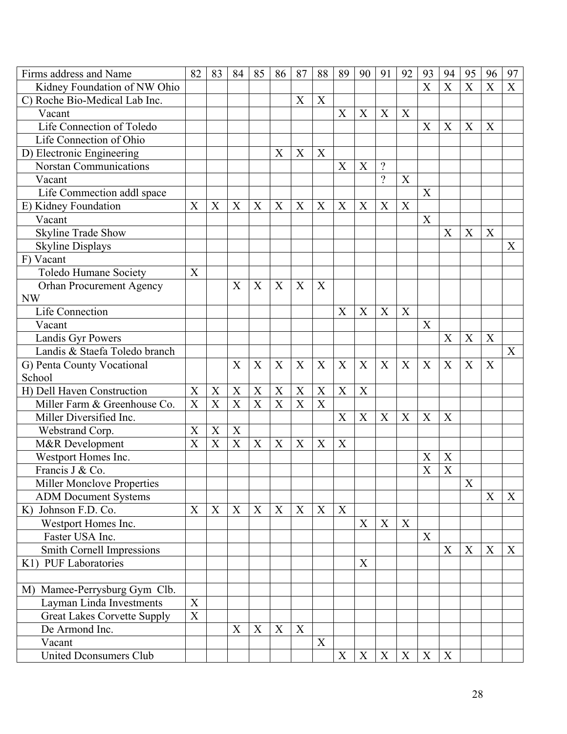| Firms address and Name             | 82                        | 83 | 84                        | 85                    | 86                    | 87               | 88               | 89          | 90 | 91                       | 92 | 93             | 94                        | 95          | 96                        | 97                        |
|------------------------------------|---------------------------|----|---------------------------|-----------------------|-----------------------|------------------|------------------|-------------|----|--------------------------|----|----------------|---------------------------|-------------|---------------------------|---------------------------|
| Kidney Foundation of NW Ohio       |                           |    |                           |                       |                       |                  |                  |             |    |                          |    | $\overline{X}$ | $\overline{X}$            | X           | X                         | $\boldsymbol{\mathrm{X}}$ |
| C) Roche Bio-Medical Lab Inc.      |                           |    |                           |                       |                       | X                | X                |             |    |                          |    |                |                           |             |                           |                           |
| Vacant                             |                           |    |                           |                       |                       |                  |                  | X           | X  | X                        | X  |                |                           |             |                           |                           |
| Life Connection of Toledo          |                           |    |                           |                       |                       |                  |                  |             |    |                          |    | X              | X                         | X           | $\mathbf X$               |                           |
| Life Connection of Ohio            |                           |    |                           |                       |                       |                  |                  |             |    |                          |    |                |                           |             |                           |                           |
| D) Electronic Engineering          |                           |    |                           |                       | X                     | X                | X                |             |    |                          |    |                |                           |             |                           |                           |
| <b>Norstan Communications</b>      |                           |    |                           |                       |                       |                  |                  | X           | X  | $\overline{\mathcal{L}}$ |    |                |                           |             |                           |                           |
| Vacant                             |                           |    |                           |                       |                       |                  |                  |             |    | $\gamma$                 | X  |                |                           |             |                           |                           |
| Life Commection addl space         |                           |    |                           |                       |                       |                  |                  |             |    |                          |    | X              |                           |             |                           |                           |
| E) Kidney Foundation               | X                         | X  | X                         | X                     | X                     | X                | X                | X           | X  | X                        | X  |                |                           |             |                           |                           |
| Vacant                             |                           |    |                           |                       |                       |                  |                  |             |    |                          |    | X              |                           |             |                           |                           |
| <b>Skyline Trade Show</b>          |                           |    |                           |                       |                       |                  |                  |             |    |                          |    |                | X                         | X           | X                         |                           |
| <b>Skyline Displays</b>            |                           |    |                           |                       |                       |                  |                  |             |    |                          |    |                |                           |             |                           | X                         |
| F) Vacant                          |                           |    |                           |                       |                       |                  |                  |             |    |                          |    |                |                           |             |                           |                           |
| Toledo Humane Society              | X                         |    |                           |                       |                       |                  |                  |             |    |                          |    |                |                           |             |                           |                           |
| Orhan Procurement Agency           |                           |    | X                         | X                     | X                     | X                | X                |             |    |                          |    |                |                           |             |                           |                           |
| <b>NW</b>                          |                           |    |                           |                       |                       |                  |                  |             |    |                          |    |                |                           |             |                           |                           |
| <b>Life Connection</b>             |                           |    |                           |                       |                       |                  |                  | X           | X  | X                        | X  |                |                           |             |                           |                           |
| Vacant                             |                           |    |                           |                       |                       |                  |                  |             |    |                          |    | X              |                           |             |                           |                           |
| Landis Gyr Powers                  |                           |    |                           |                       |                       |                  |                  |             |    |                          |    |                | X                         | X           | $\boldsymbol{X}$          |                           |
| Landis & Staefa Toledo branch      |                           |    |                           |                       |                       |                  |                  |             |    |                          |    |                |                           |             |                           | X                         |
| G) Penta County Vocational         |                           |    | X                         | X                     | X                     | X                | X                | X           | X  | X                        | X  | X              | X                         | X           | $\boldsymbol{\mathrm{X}}$ |                           |
| School                             |                           |    |                           |                       |                       |                  |                  |             |    |                          |    |                |                           |             |                           |                           |
| H) Dell Haven Construction         | X                         | X  | X                         | X                     | X                     | X                | $\boldsymbol{X}$ | X           | X  |                          |    |                |                           |             |                           |                           |
| Miller Farm & Greenhouse Co.       | X                         | X  | X                         | $\overline{\text{X}}$ | $\overline{\text{X}}$ | X                | X                |             |    |                          |    |                |                           |             |                           |                           |
| Miller Diversified Inc.            |                           |    |                           |                       |                       |                  |                  | X           | X  | X                        | X  | X              | $\boldsymbol{X}$          |             |                           |                           |
| Webstrand Corp.                    | X                         | X  | $\boldsymbol{X}$          |                       |                       |                  |                  |             |    |                          |    |                |                           |             |                           |                           |
| M&R Development                    | X                         | X  | $\boldsymbol{\mathrm{X}}$ | X                     | X                     | X                | $\boldsymbol{X}$ | X           |    |                          |    |                |                           |             |                           |                           |
| Westport Homes Inc.                |                           |    |                           |                       |                       |                  |                  |             |    |                          |    | X              | X                         |             |                           |                           |
| Francis J & Co.                    |                           |    |                           |                       |                       |                  |                  |             |    |                          |    | X              | $\boldsymbol{\mathrm{X}}$ |             |                           |                           |
| <b>Miller Monclove Properties</b>  |                           |    |                           |                       |                       |                  |                  |             |    |                          |    |                |                           | $\mathbf X$ |                           |                           |
| <b>ADM Document Systems</b>        |                           |    |                           |                       |                       |                  |                  |             |    |                          |    |                |                           |             | X                         | X                         |
| K) Johnson F.D. Co.                | $\boldsymbol{\mathrm{X}}$ | X  | $\mathbf X$               | $\boldsymbol{X}$      | X                     | X                | X                | $\mathbf X$ |    |                          |    |                |                           |             |                           |                           |
| Westport Homes Inc.                |                           |    |                           |                       |                       |                  |                  |             | X  | X                        | X  |                |                           |             |                           |                           |
| Faster USA Inc.                    |                           |    |                           |                       |                       |                  |                  |             |    |                          |    | X              |                           |             |                           |                           |
| Smith Cornell Impressions          |                           |    |                           |                       |                       |                  |                  |             |    |                          |    |                | X                         | X           | X                         | X                         |
| K1) PUF Laboratories               |                           |    |                           |                       |                       |                  |                  |             | X  |                          |    |                |                           |             |                           |                           |
|                                    |                           |    |                           |                       |                       |                  |                  |             |    |                          |    |                |                           |             |                           |                           |
| M) Mamee-Perrysburg Gym Clb.       |                           |    |                           |                       |                       |                  |                  |             |    |                          |    |                |                           |             |                           |                           |
| Layman Linda Investments           | X                         |    |                           |                       |                       |                  |                  |             |    |                          |    |                |                           |             |                           |                           |
| <b>Great Lakes Corvette Supply</b> | $\mathbf X$               |    |                           |                       |                       |                  |                  |             |    |                          |    |                |                           |             |                           |                           |
| De Armond Inc.                     |                           |    | X                         | X                     | X                     | $\boldsymbol{X}$ |                  |             |    |                          |    |                |                           |             |                           |                           |
| Vacant                             |                           |    |                           |                       |                       |                  | X                |             |    |                          |    |                |                           |             |                           |                           |
| <b>United Dconsumers Club</b>      |                           |    |                           |                       |                       |                  |                  | X           | X  | X                        | X  | X              | $\mathbf X$               |             |                           |                           |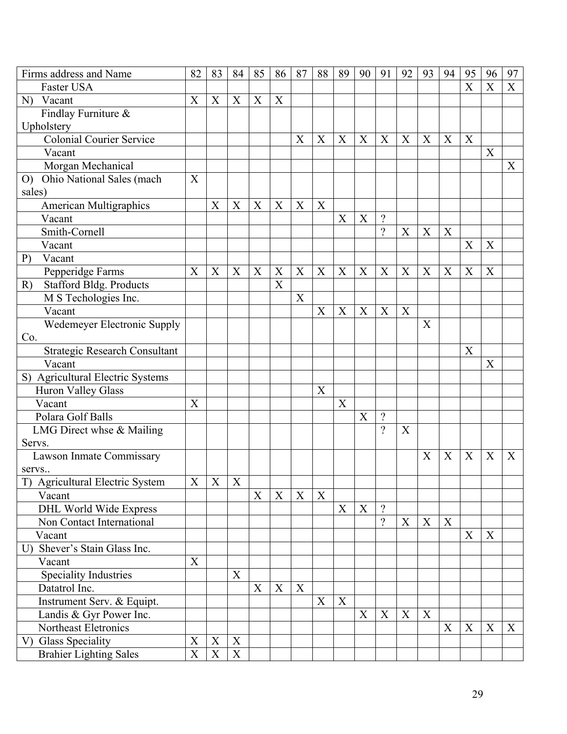| Firms address and Name               | 82          | 83          | 84 | 85                        | 86               | 87 | 88          | 89          | 90 | 91             | 92 | 93          | 94                        | 95 | 96 | 97               |
|--------------------------------------|-------------|-------------|----|---------------------------|------------------|----|-------------|-------------|----|----------------|----|-------------|---------------------------|----|----|------------------|
| Faster USA                           |             |             |    |                           |                  |    |             |             |    |                |    |             |                           | X  | X  | X                |
| N) Vacant                            | X           | X           | X  | X                         | X                |    |             |             |    |                |    |             |                           |    |    |                  |
| Findlay Furniture &                  |             |             |    |                           |                  |    |             |             |    |                |    |             |                           |    |    |                  |
| Upholstery                           |             |             |    |                           |                  |    |             |             |    |                |    |             |                           |    |    |                  |
| Colonial Courier Service             |             |             |    |                           |                  | X  | X           | X           | X  | X              | X  | X           | X                         | X  |    |                  |
| Vacant                               |             |             |    |                           |                  |    |             |             |    |                |    |             |                           |    | X  |                  |
| Morgan Mechanical                    |             |             |    |                           |                  |    |             |             |    |                |    |             |                           |    |    | X                |
| Ohio National Sales (mach<br>O       | X           |             |    |                           |                  |    |             |             |    |                |    |             |                           |    |    |                  |
| sales)                               |             |             |    |                           |                  |    |             |             |    |                |    |             |                           |    |    |                  |
| <b>American Multigraphics</b>        |             | X           | X  | X                         | X                | X  | $\mathbf X$ |             |    |                |    |             |                           |    |    |                  |
| Vacant                               |             |             |    |                           |                  |    |             | X           | X  | $\gamma$       |    |             |                           |    |    |                  |
| Smith-Cornell                        |             |             |    |                           |                  |    |             |             |    | $\gamma$       | X  | X           | $\boldsymbol{X}$          |    |    |                  |
| Vacant                               |             |             |    |                           |                  |    |             |             |    |                |    |             |                           | X  | X  |                  |
| Vacant<br>P)                         |             |             |    |                           |                  |    |             |             |    |                |    |             |                           |    |    |                  |
| Pepperidge Farms                     | X           | X           | X  | X                         | X                | X  | X           | X           | X  | X              | X  | X           | X                         | X  | X  |                  |
| <b>Stafford Bldg. Products</b><br>R) |             |             |    |                           | X                |    |             |             |    |                |    |             |                           |    |    |                  |
| M S Techologies Inc.                 |             |             |    |                           |                  | X  |             |             |    |                |    |             |                           |    |    |                  |
| Vacant                               |             |             |    |                           |                  |    | X           | X           | X  | X              | X  |             |                           |    |    |                  |
| Wedemeyer Electronic Supply          |             |             |    |                           |                  |    |             |             |    |                |    | X           |                           |    |    |                  |
| Co.                                  |             |             |    |                           |                  |    |             |             |    |                |    |             |                           |    |    |                  |
| <b>Strategic Research Consultant</b> |             |             |    |                           |                  |    |             |             |    |                |    |             |                           | X  |    |                  |
| Vacant                               |             |             |    |                           |                  |    |             |             |    |                |    |             |                           |    | X  |                  |
| S) Agricultural Electric Systems     |             |             |    |                           |                  |    |             |             |    |                |    |             |                           |    |    |                  |
| Huron Valley Glass                   |             |             |    |                           |                  |    | X           |             |    |                |    |             |                           |    |    |                  |
| Vacant                               | X           |             |    |                           |                  |    |             | X           |    |                |    |             |                           |    |    |                  |
| Polara Golf Balls                    |             |             |    |                           |                  |    |             |             | X  | $\gamma$       |    |             |                           |    |    |                  |
| LMG Direct whse & Mailing            |             |             |    |                           |                  |    |             |             |    | $\gamma$       | X  |             |                           |    |    |                  |
| Servs.                               |             |             |    |                           |                  |    |             |             |    |                |    |             |                           |    |    |                  |
| Lawson Inmate Commissary             |             |             |    |                           |                  |    |             |             |    |                |    | X           | X                         | X  | X  | X                |
| servs                                |             |             |    |                           |                  |    |             |             |    |                |    |             |                           |    |    |                  |
| T) Agricultural Electric System      | $\mathbf X$ | $\mathbf X$ | X  |                           |                  |    |             |             |    |                |    |             |                           |    |    |                  |
| Vacant                               |             |             |    | X                         | X                | X  | X           |             |    |                |    |             |                           |    |    |                  |
| DHL World Wide Express               |             |             |    |                           |                  |    |             | X           | X  | $\gamma$       |    |             |                           |    |    |                  |
| Non Contact International            |             |             |    |                           |                  |    |             |             |    | $\overline{?}$ | X  | $\mathbf X$ | $\boldsymbol{\mathrm{X}}$ |    |    |                  |
| Vacant                               |             |             |    |                           |                  |    |             |             |    |                |    |             |                           | X  | X  |                  |
| U) Shever's Stain Glass Inc.         |             |             |    |                           |                  |    |             |             |    |                |    |             |                           |    |    |                  |
| Vacant                               | $\mathbf X$ |             |    |                           |                  |    |             |             |    |                |    |             |                           |    |    |                  |
| Speciality Industries                |             |             | X  |                           |                  |    |             |             |    |                |    |             |                           |    |    |                  |
| Datatrol Inc.                        |             |             |    | $\boldsymbol{\mathrm{X}}$ | $\boldsymbol{X}$ | X  |             |             |    |                |    |             |                           |    |    |                  |
| Instrument Serv. & Equipt.           |             |             |    |                           |                  |    | X           | $\mathbf X$ |    |                |    |             |                           |    |    |                  |
| Landis & Gyr Power Inc.              |             |             |    |                           |                  |    |             |             | X  | X              | X  | X           |                           |    |    |                  |
| Northeast Eletronics                 |             |             |    |                           |                  |    |             |             |    |                |    |             | X                         | X  | X  | $\boldsymbol{X}$ |
| V) Glass Speciality                  | X           | X           | X  |                           |                  |    |             |             |    |                |    |             |                           |    |    |                  |
| <b>Brahier Lighting Sales</b>        | $\mathbf X$ | $\mathbf X$ | X  |                           |                  |    |             |             |    |                |    |             |                           |    |    |                  |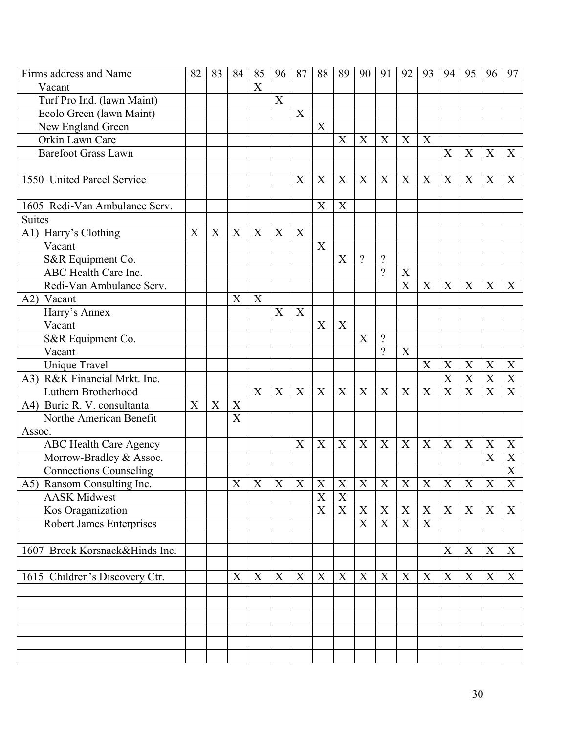| Firms address and Name         | 82                        | 83                        | 84                        | 85               | 96          | 87 | 88                        | 89               | 90                        | 91          | 92               | 93                        | 94                        | 95               | 96                        | 97               |
|--------------------------------|---------------------------|---------------------------|---------------------------|------------------|-------------|----|---------------------------|------------------|---------------------------|-------------|------------------|---------------------------|---------------------------|------------------|---------------------------|------------------|
| Vacant                         |                           |                           |                           | $\overline{X}$   |             |    |                           |                  |                           |             |                  |                           |                           |                  |                           |                  |
| Turf Pro Ind. (lawn Maint)     |                           |                           |                           |                  | X           |    |                           |                  |                           |             |                  |                           |                           |                  |                           |                  |
| Ecolo Green (lawn Maint)       |                           |                           |                           |                  |             | X  |                           |                  |                           |             |                  |                           |                           |                  |                           |                  |
| New England Green              |                           |                           |                           |                  |             |    | X                         |                  |                           |             |                  |                           |                           |                  |                           |                  |
| Orkin Lawn Care                |                           |                           |                           |                  |             |    |                           | X                | X                         | X           | X                | X                         |                           |                  |                           |                  |
| <b>Barefoot Grass Lawn</b>     |                           |                           |                           |                  |             |    |                           |                  |                           |             |                  |                           | X                         | X                | X                         | X                |
|                                |                           |                           |                           |                  |             |    |                           |                  |                           |             |                  |                           |                           |                  |                           |                  |
| 1550 United Parcel Service     |                           |                           |                           |                  |             | X  | $\boldsymbol{\mathrm{X}}$ | X                | X                         | X           | X                | X                         | X                         | X                | X                         | X                |
|                                |                           |                           |                           |                  |             |    |                           |                  |                           |             |                  |                           |                           |                  |                           |                  |
| 1605 Redi-Van Ambulance Serv.  |                           |                           |                           |                  |             |    | X                         | X                |                           |             |                  |                           |                           |                  |                           |                  |
| <b>Suites</b>                  |                           |                           |                           |                  |             |    |                           |                  |                           |             |                  |                           |                           |                  |                           |                  |
| A1) Harry's Clothing           | $\boldsymbol{\mathrm{X}}$ | $\boldsymbol{X}$          | $\boldsymbol{\mathrm{X}}$ | X                | X           | X  |                           |                  |                           |             |                  |                           |                           |                  |                           |                  |
| Vacant                         |                           |                           |                           |                  |             |    | X                         |                  |                           |             |                  |                           |                           |                  |                           |                  |
| S&R Equipment Co.              |                           |                           |                           |                  |             |    |                           | X                | $\gamma$                  | $\gamma$    |                  |                           |                           |                  |                           |                  |
| ABC Health Care Inc.           |                           |                           |                           |                  |             |    |                           |                  |                           | $\gamma$    | X                |                           |                           |                  |                           |                  |
| Redi-Van Ambulance Serv.       |                           |                           |                           |                  |             |    |                           |                  |                           |             | X                | X                         | X                         | X                | X                         | $\boldsymbol{X}$ |
| A2)<br>Vacant                  |                           |                           | $\boldsymbol{X}$          | X                |             |    |                           |                  |                           |             |                  |                           |                           |                  |                           |                  |
| Harry's Annex                  |                           |                           |                           |                  | X           | X  |                           |                  |                           |             |                  |                           |                           |                  |                           |                  |
| Vacant                         |                           |                           |                           |                  |             |    | X                         | X                |                           |             |                  |                           |                           |                  |                           |                  |
| S&R Equipment Co.              |                           |                           |                           |                  |             |    |                           |                  | X                         | $\gamma$    |                  |                           |                           |                  |                           |                  |
| Vacant                         |                           |                           |                           |                  |             |    |                           |                  |                           | $\gamma$    | X                |                           |                           |                  |                           |                  |
| <b>Unique Travel</b>           |                           |                           |                           |                  |             |    |                           |                  |                           |             |                  | X                         | X                         | X                | X                         | $\mathbf X$      |
| A3) R&K Financial Mrkt. Inc.   |                           |                           |                           |                  |             |    |                           |                  |                           |             |                  |                           | X                         | X                | X                         | $\mathbf X$      |
| Luthern Brotherhood            |                           |                           |                           | X                | X           | X  | X                         | X                | X                         | X           | X                | X                         | X                         | X                | X                         | $\boldsymbol{X}$ |
| A4) Buric R. V. consultanta    | $\mathbf X$               | $\boldsymbol{\mathrm{X}}$ | $\mathbf X$               |                  |             |    |                           |                  |                           |             |                  |                           |                           |                  |                           |                  |
| Northe American Benefit        |                           |                           | X                         |                  |             |    |                           |                  |                           |             |                  |                           |                           |                  |                           |                  |
| Assoc.                         |                           |                           |                           |                  |             |    |                           |                  |                           |             |                  |                           |                           |                  |                           |                  |
| <b>ABC Health Care Agency</b>  |                           |                           |                           |                  |             | X  | X                         | $\boldsymbol{X}$ | X                         | X           | X                | X                         | $\mathbf X$               | X                | X                         | X                |
| Morrow-Bradley & Assoc.        |                           |                           |                           |                  |             |    |                           |                  |                           |             |                  |                           |                           |                  | X                         | X                |
| <b>Connections Counseling</b>  |                           |                           |                           |                  |             |    |                           |                  |                           |             |                  |                           |                           |                  |                           | $\boldsymbol{X}$ |
| A5) Ransom Consulting Inc.     |                           |                           | X                         | X                | X           | X  | $\mathbf X$               | X                | X                         | $\mathbf X$ | X                | X                         | $\boldsymbol{\mathrm{X}}$ | X                | $\boldsymbol{\mathrm{X}}$ | $\mathbf X$      |
| <b>AASK Midwest</b>            |                           |                           |                           |                  |             |    | X                         | $\mathbf X$      |                           |             |                  |                           |                           |                  |                           |                  |
| Kos Oraganization              |                           |                           |                           |                  |             |    | $\overline{X}$            | $\mathbf X$      | X                         | $\mathbf X$ | $\boldsymbol{X}$ | $\mathbf X$               | $\boldsymbol{\mathrm{X}}$ | X                | X                         | $\boldsymbol{X}$ |
| Robert James Enterprises       |                           |                           |                           |                  |             |    |                           |                  | X                         | X           | X                | $\boldsymbol{\mathrm{X}}$ |                           |                  |                           |                  |
|                                |                           |                           |                           |                  |             |    |                           |                  |                           |             |                  |                           |                           |                  |                           |                  |
| 1607 Brock Korsnack&Hinds Inc. |                           |                           |                           |                  |             |    |                           |                  |                           |             |                  |                           | $\boldsymbol{X}$          | $\boldsymbol{X}$ | $\mathbf X$               | X                |
|                                |                           |                           |                           |                  |             |    |                           |                  |                           |             |                  |                           |                           |                  |                           |                  |
| 1615 Children's Discovery Ctr. |                           |                           | $\boldsymbol{\mathrm{X}}$ | $\boldsymbol{X}$ | $\mathbf X$ | X  | $\boldsymbol{\mathrm{X}}$ | $\mathbf X$      | $\boldsymbol{\mathrm{X}}$ | $\mathbf X$ | X                | $\boldsymbol{\mathrm{X}}$ | $\boldsymbol{X}$          | $\boldsymbol{X}$ | $\boldsymbol{X}$          | X                |
|                                |                           |                           |                           |                  |             |    |                           |                  |                           |             |                  |                           |                           |                  |                           |                  |
|                                |                           |                           |                           |                  |             |    |                           |                  |                           |             |                  |                           |                           |                  |                           |                  |
|                                |                           |                           |                           |                  |             |    |                           |                  |                           |             |                  |                           |                           |                  |                           |                  |
|                                |                           |                           |                           |                  |             |    |                           |                  |                           |             |                  |                           |                           |                  |                           |                  |
|                                |                           |                           |                           |                  |             |    |                           |                  |                           |             |                  |                           |                           |                  |                           |                  |
|                                |                           |                           |                           |                  |             |    |                           |                  |                           |             |                  |                           |                           |                  |                           |                  |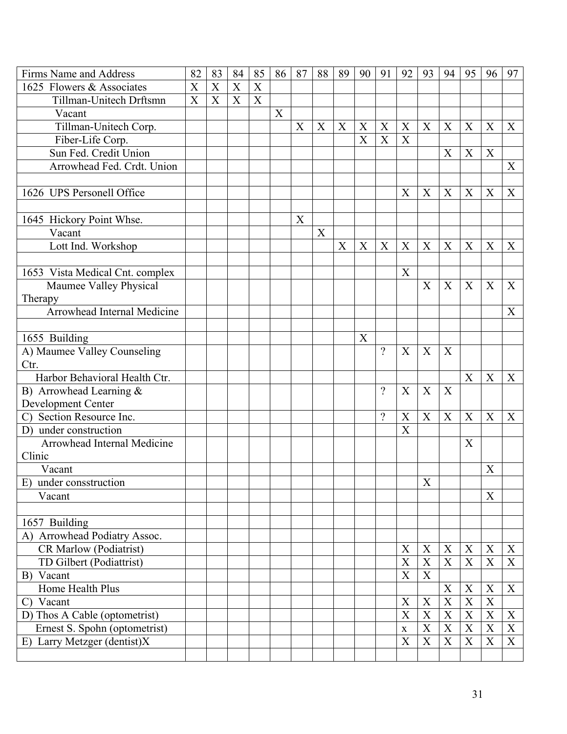| Firms Name and Address          | 82 | 83 | 84 | 85               | 86 | 87 | 88 | 89 | 90 | 91       | 92                        | 93                        | 94             | 95                        | 96          | 97             |
|---------------------------------|----|----|----|------------------|----|----|----|----|----|----------|---------------------------|---------------------------|----------------|---------------------------|-------------|----------------|
| 1625 Flowers & Associates       | X  | X  | X  | X                |    |    |    |    |    |          |                           |                           |                |                           |             |                |
| Tillman-Unitech Drftsmn         | X  | X  | X  | $\boldsymbol{X}$ |    |    |    |    |    |          |                           |                           |                |                           |             |                |
| Vacant                          |    |    |    |                  | X  |    |    |    |    |          |                           |                           |                |                           |             |                |
| Tillman-Unitech Corp.           |    |    |    |                  |    | X  | X  | X  | X  | X        | X                         | X                         | X              | X                         | X           | X              |
| Fiber-Life Corp.                |    |    |    |                  |    |    |    |    | X  | X        | X                         |                           |                |                           |             |                |
| Sun Fed. Credit Union           |    |    |    |                  |    |    |    |    |    |          |                           |                           | X              | X                         | X           |                |
| Arrowhead Fed. Crdt. Union      |    |    |    |                  |    |    |    |    |    |          |                           |                           |                |                           |             | X              |
|                                 |    |    |    |                  |    |    |    |    |    |          |                           |                           |                |                           |             |                |
| 1626 UPS Personell Office       |    |    |    |                  |    |    |    |    |    |          | X                         | $\boldsymbol{X}$          | X              | X                         | X           | X              |
|                                 |    |    |    |                  |    |    |    |    |    |          |                           |                           |                |                           |             |                |
| 1645 Hickory Point Whse.        |    |    |    |                  |    | X  |    |    |    |          |                           |                           |                |                           |             |                |
| Vacant                          |    |    |    |                  |    |    | X  |    |    |          |                           |                           |                |                           |             |                |
| Lott Ind. Workshop              |    |    |    |                  |    |    |    | X  | X  | X        | X                         | X                         | X              | X                         | X           | X              |
|                                 |    |    |    |                  |    |    |    |    |    |          |                           |                           |                |                           |             |                |
| 1653 Vista Medical Cnt. complex |    |    |    |                  |    |    |    |    |    |          | X                         |                           |                |                           |             |                |
| Maumee Valley Physical          |    |    |    |                  |    |    |    |    |    |          |                           | X                         | X              | X                         | X           | X              |
| Therapy                         |    |    |    |                  |    |    |    |    |    |          |                           |                           |                |                           |             |                |
| Arrowhead Internal Medicine     |    |    |    |                  |    |    |    |    |    |          |                           |                           |                |                           |             | X              |
|                                 |    |    |    |                  |    |    |    |    |    |          |                           |                           |                |                           |             |                |
| 1655 Building                   |    |    |    |                  |    |    |    |    | X  |          |                           |                           |                |                           |             |                |
| A) Maumee Valley Counseling     |    |    |    |                  |    |    |    |    |    | $\gamma$ | X                         | X                         | X              |                           |             |                |
| Ctr.                            |    |    |    |                  |    |    |    |    |    |          |                           |                           |                |                           |             |                |
| Harbor Behavioral Health Ctr.   |    |    |    |                  |    |    |    |    |    |          |                           |                           |                | X                         | X           | X              |
| B) Arrowhead Learning &         |    |    |    |                  |    |    |    |    |    | $\gamma$ | X                         | X                         | X              |                           |             |                |
| Development Center              |    |    |    |                  |    |    |    |    |    |          |                           |                           |                |                           |             |                |
| C) Section Resource Inc.        |    |    |    |                  |    |    |    |    |    | $\gamma$ | X                         | X                         | X              | X                         | X           | X              |
| D) under construction           |    |    |    |                  |    |    |    |    |    |          | X                         |                           |                |                           |             |                |
| Arrowhead Internal Medicine     |    |    |    |                  |    |    |    |    |    |          |                           |                           |                | $\boldsymbol{\mathrm{X}}$ |             |                |
| Clinic                          |    |    |    |                  |    |    |    |    |    |          |                           |                           |                |                           |             |                |
| Vacant                          |    |    |    |                  |    |    |    |    |    |          |                           |                           |                |                           | X           |                |
| E) under consstruction          |    |    |    |                  |    |    |    |    |    |          |                           | $\boldsymbol{\mathrm{X}}$ |                |                           |             |                |
| Vacant                          |    |    |    |                  |    |    |    |    |    |          |                           |                           |                |                           | X           |                |
|                                 |    |    |    |                  |    |    |    |    |    |          |                           |                           |                |                           |             |                |
| 1657 Building                   |    |    |    |                  |    |    |    |    |    |          |                           |                           |                |                           |             |                |
| A) Arrowhead Podiatry Assoc.    |    |    |    |                  |    |    |    |    |    |          |                           |                           |                |                           |             |                |
| <b>CR Marlow (Podiatrist)</b>   |    |    |    |                  |    |    |    |    |    |          | $\mathbf X$               | $\mathbf X$               | $\mathbf X$    | $\mathbf X$               | X           | X              |
| TD Gilbert (Podiattrist)        |    |    |    |                  |    |    |    |    |    |          | $\mathbf X$               | $\mathbf X$               | $\mathbf X$    | $\mathbf X$               | X           | X              |
| B) Vacant                       |    |    |    |                  |    |    |    |    |    |          | $\boldsymbol{\mathrm{X}}$ | $\boldsymbol{\mathrm{X}}$ |                |                           |             |                |
| Home Health Plus                |    |    |    |                  |    |    |    |    |    |          |                           |                           | $\mathbf X$    | $\boldsymbol{X}$          | X           | X              |
| C) Vacant                       |    |    |    |                  |    |    |    |    |    |          | $\boldsymbol{X}$          | X                         | $\mathbf X$    | $\mathbf X$               | $\mathbf X$ |                |
| D) Thos A Cable (optometrist)   |    |    |    |                  |    |    |    |    |    |          | X                         | $\mathbf X$               | $\overline{X}$ | $\overline{\text{X}}$     | $\mathbf X$ | $\mathbf X$    |
| Ernest S. Spohn (optometrist)   |    |    |    |                  |    |    |    |    |    |          | $\mathbf X$               | $\mathbf X$               | $\mathbf X$    | $\mathbf X$               | X           | $\mathbf X$    |
| E) Larry Metzger (dentist)X     |    |    |    |                  |    |    |    |    |    |          | X                         | $\mathbf X$               | $\mathbf X$    | $\mathbf X$               | $\mathbf X$ | $\overline{X}$ |
|                                 |    |    |    |                  |    |    |    |    |    |          |                           |                           |                |                           |             |                |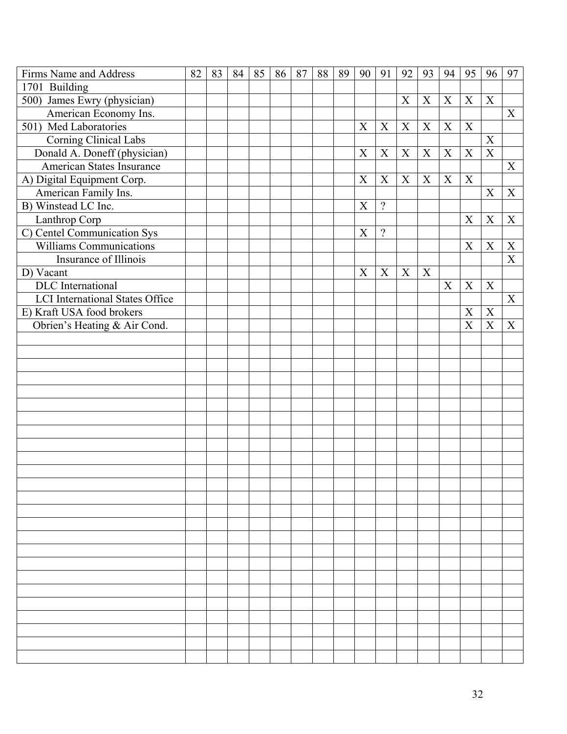| Firms Name and Address                 | 82 | 83 | 84 | 85 | 86 | 87 | 88 | 89 | 90                        | 91             | 92          | 93          | 94          | 95               | 96             | 97                        |
|----------------------------------------|----|----|----|----|----|----|----|----|---------------------------|----------------|-------------|-------------|-------------|------------------|----------------|---------------------------|
| 1701 Building                          |    |    |    |    |    |    |    |    |                           |                |             |             |             |                  |                |                           |
| 500) James Ewry (physician)            |    |    |    |    |    |    |    |    |                           |                | X           | X           | X           | $\boldsymbol{X}$ | X              |                           |
| American Economy Ins.                  |    |    |    |    |    |    |    |    |                           |                |             |             |             |                  |                | X                         |
| 501) Med Laboratories                  |    |    |    |    |    |    |    |    | X                         | $\mathbf X$    | $\mathbf X$ | $\mathbf X$ | $\mathbf X$ | X                |                |                           |
| Corning Clinical Labs                  |    |    |    |    |    |    |    |    |                           |                |             |             |             |                  | $\mathbf X$    |                           |
| Donald A. Doneff (physician)           |    |    |    |    |    |    |    |    | $\boldsymbol{X}$          | X              | X           | X           | X           | X                | $\mathbf X$    |                           |
| American States Insurance              |    |    |    |    |    |    |    |    |                           |                |             |             |             |                  |                | X                         |
| A) Digital Equipment Corp.             |    |    |    |    |    |    |    |    | X                         | X              | X           | X           | $\mathbf X$ | X                |                |                           |
| American Family Ins.                   |    |    |    |    |    |    |    |    |                           |                |             |             |             |                  | $\mathbf X$    | $\boldsymbol{\mathrm{X}}$ |
| B) Winstead LC Inc.                    |    |    |    |    |    |    |    |    | $\boldsymbol{\mathrm{X}}$ | $\overline{?}$ |             |             |             |                  |                |                           |
| Lanthrop Corp                          |    |    |    |    |    |    |    |    |                           |                |             |             |             | $\mathbf X$      | X              | X                         |
| C) Centel Communication Sys            |    |    |    |    |    |    |    |    | $\boldsymbol{\mathrm{X}}$ | $\overline{?}$ |             |             |             |                  |                |                           |
| Williams Communications                |    |    |    |    |    |    |    |    |                           |                |             |             |             | $\mathbf X$      | $\mathbf X$    | X                         |
| Insurance of Illinois                  |    |    |    |    |    |    |    |    |                           |                |             |             |             |                  |                | $\overline{\text{X}}$     |
| D) Vacant                              |    |    |    |    |    |    |    |    | X                         | X              | X           | X           |             |                  |                |                           |
| DLC International                      |    |    |    |    |    |    |    |    |                           |                |             |             | X           | X                | $\mathbf X$    |                           |
| <b>LCI</b> International States Office |    |    |    |    |    |    |    |    |                           |                |             |             |             |                  |                | X                         |
| E) Kraft USA food brokers              |    |    |    |    |    |    |    |    |                           |                |             |             |             | $\mathbf X$      | $\mathbf X$    |                           |
| Obrien's Heating & Air Cond.           |    |    |    |    |    |    |    |    |                           |                |             |             |             | X                | $\overline{X}$ | $\mathbf X$               |
|                                        |    |    |    |    |    |    |    |    |                           |                |             |             |             |                  |                |                           |
|                                        |    |    |    |    |    |    |    |    |                           |                |             |             |             |                  |                |                           |
|                                        |    |    |    |    |    |    |    |    |                           |                |             |             |             |                  |                |                           |
|                                        |    |    |    |    |    |    |    |    |                           |                |             |             |             |                  |                |                           |
|                                        |    |    |    |    |    |    |    |    |                           |                |             |             |             |                  |                |                           |
|                                        |    |    |    |    |    |    |    |    |                           |                |             |             |             |                  |                |                           |
|                                        |    |    |    |    |    |    |    |    |                           |                |             |             |             |                  |                |                           |
|                                        |    |    |    |    |    |    |    |    |                           |                |             |             |             |                  |                |                           |
|                                        |    |    |    |    |    |    |    |    |                           |                |             |             |             |                  |                |                           |
|                                        |    |    |    |    |    |    |    |    |                           |                |             |             |             |                  |                |                           |
|                                        |    |    |    |    |    |    |    |    |                           |                |             |             |             |                  |                |                           |
|                                        |    |    |    |    |    |    |    |    |                           |                |             |             |             |                  |                |                           |
|                                        |    |    |    |    |    |    |    |    |                           |                |             |             |             |                  |                |                           |
|                                        |    |    |    |    |    |    |    |    |                           |                |             |             |             |                  |                |                           |
|                                        |    |    |    |    |    |    |    |    |                           |                |             |             |             |                  |                |                           |
|                                        |    |    |    |    |    |    |    |    |                           |                |             |             |             |                  |                |                           |
|                                        |    |    |    |    |    |    |    |    |                           |                |             |             |             |                  |                |                           |
|                                        |    |    |    |    |    |    |    |    |                           |                |             |             |             |                  |                |                           |
|                                        |    |    |    |    |    |    |    |    |                           |                |             |             |             |                  |                |                           |
|                                        |    |    |    |    |    |    |    |    |                           |                |             |             |             |                  |                |                           |
|                                        |    |    |    |    |    |    |    |    |                           |                |             |             |             |                  |                |                           |
|                                        |    |    |    |    |    |    |    |    |                           |                |             |             |             |                  |                |                           |
|                                        |    |    |    |    |    |    |    |    |                           |                |             |             |             |                  |                |                           |
|                                        |    |    |    |    |    |    |    |    |                           |                |             |             |             |                  |                |                           |
|                                        |    |    |    |    |    |    |    |    |                           |                |             |             |             |                  |                |                           |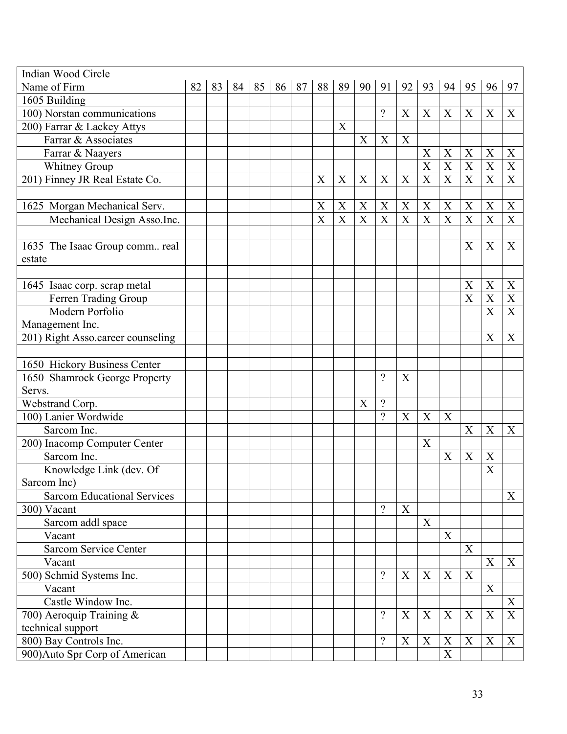| Indian Wood Circle                 |    |    |    |    |    |    |                       |                  |    |                           |    |                       |                           |                           |                  |                           |
|------------------------------------|----|----|----|----|----|----|-----------------------|------------------|----|---------------------------|----|-----------------------|---------------------------|---------------------------|------------------|---------------------------|
| Name of Firm                       | 82 | 83 | 84 | 85 | 86 | 87 | 88                    | 89               | 90 | 91                        | 92 | 93                    | 94                        | 95                        | 96               | 97                        |
| 1605 Building                      |    |    |    |    |    |    |                       |                  |    |                           |    |                       |                           |                           |                  |                           |
| 100) Norstan communications        |    |    |    |    |    |    |                       |                  |    | $\overline{\mathcal{L}}$  | X  | X                     | X                         | X                         | X                | X                         |
| 200) Farrar & Lackey Attys         |    |    |    |    |    |    |                       | X                |    |                           |    |                       |                           |                           |                  |                           |
| Farrar & Associates                |    |    |    |    |    |    |                       |                  | X  | X                         | X  |                       |                           |                           |                  |                           |
| Farrar & Naayers                   |    |    |    |    |    |    |                       |                  |    |                           |    | $\boldsymbol{X}$      | X                         | $\boldsymbol{X}$          | $\mathbf X$      | X                         |
| <b>Whitney Group</b>               |    |    |    |    |    |    |                       |                  |    |                           |    | $\overline{\text{X}}$ | $\overline{X}$            | $\overline{X}$            | $\overline{X}$   | $\overline{X}$            |
| 201) Finney JR Real Estate Co.     |    |    |    |    |    |    | X                     | X                | X  | X                         | X  | X                     | X                         | $\mathbf X$               | $\boldsymbol{X}$ | $\mathbf X$               |
|                                    |    |    |    |    |    |    |                       |                  |    |                           |    |                       |                           |                           |                  |                           |
| 1625 Morgan Mechanical Serv.       |    |    |    |    |    |    | X                     | $\boldsymbol{X}$ | X  | X                         | X  | $\mathbf X$           | X                         | X                         | X                | X                         |
| Mechanical Design Asso.Inc.        |    |    |    |    |    |    | $\overline{\text{X}}$ | X                | X  | $\boldsymbol{\mathrm{X}}$ | X  | $\overline{\text{X}}$ | X                         | $\mathbf X$               | X                | X                         |
|                                    |    |    |    |    |    |    |                       |                  |    |                           |    |                       |                           |                           |                  |                           |
| 1635 The Isaac Group comm real     |    |    |    |    |    |    |                       |                  |    |                           |    |                       |                           | X                         | X                | X                         |
| estate                             |    |    |    |    |    |    |                       |                  |    |                           |    |                       |                           |                           |                  |                           |
|                                    |    |    |    |    |    |    |                       |                  |    |                           |    |                       |                           |                           |                  |                           |
| 1645 Isaac corp. scrap metal       |    |    |    |    |    |    |                       |                  |    |                           |    |                       |                           | X                         | X                | X                         |
| Ferren Trading Group               |    |    |    |    |    |    |                       |                  |    |                           |    |                       |                           | $\boldsymbol{\mathrm{X}}$ | X                | $\boldsymbol{\mathrm{X}}$ |
| Modern Porfolio                    |    |    |    |    |    |    |                       |                  |    |                           |    |                       |                           |                           | X                | $\boldsymbol{\mathrm{X}}$ |
| Management Inc.                    |    |    |    |    |    |    |                       |                  |    |                           |    |                       |                           |                           |                  |                           |
| 201) Right Asso.career counseling  |    |    |    |    |    |    |                       |                  |    |                           |    |                       |                           |                           | X                | $\boldsymbol{\mathrm{X}}$ |
|                                    |    |    |    |    |    |    |                       |                  |    |                           |    |                       |                           |                           |                  |                           |
| 1650 Hickory Business Center       |    |    |    |    |    |    |                       |                  |    |                           |    |                       |                           |                           |                  |                           |
| 1650 Shamrock George Property      |    |    |    |    |    |    |                       |                  |    | $\gamma$                  | X  |                       |                           |                           |                  |                           |
| Servs.                             |    |    |    |    |    |    |                       |                  |    |                           |    |                       |                           |                           |                  |                           |
| Webstrand Corp.                    |    |    |    |    |    |    |                       |                  | X  | $\overline{\mathcal{L}}$  |    |                       |                           |                           |                  |                           |
| 100) Lanier Wordwide               |    |    |    |    |    |    |                       |                  |    | $\gamma$                  | X  | X                     | X                         |                           |                  |                           |
| Sarcom Inc.                        |    |    |    |    |    |    |                       |                  |    |                           |    |                       |                           | X                         | X                | X                         |
| 200) Inacomp Computer Center       |    |    |    |    |    |    |                       |                  |    |                           |    | $\boldsymbol{X}$      |                           |                           |                  |                           |
| Sarcom Inc.                        |    |    |    |    |    |    |                       |                  |    |                           |    |                       | X                         | X                         | X                |                           |
| Knowledge Link (dev. Of            |    |    |    |    |    |    |                       |                  |    |                           |    |                       |                           |                           | X                |                           |
| Sarcom Inc)                        |    |    |    |    |    |    |                       |                  |    |                           |    |                       |                           |                           |                  |                           |
| <b>Sarcom Educational Services</b> |    |    |    |    |    |    |                       |                  |    |                           |    |                       |                           |                           |                  | X                         |
| 300) Vacant                        |    |    |    |    |    |    |                       |                  |    | $\overline{\mathcal{L}}$  | X  |                       |                           |                           |                  |                           |
| Sarcom addl space                  |    |    |    |    |    |    |                       |                  |    |                           |    | $\mathbf X$           |                           |                           |                  |                           |
| Vacant                             |    |    |    |    |    |    |                       |                  |    |                           |    |                       | X                         |                           |                  |                           |
| Sarcom Service Center              |    |    |    |    |    |    |                       |                  |    |                           |    |                       |                           | X                         |                  |                           |
| Vacant                             |    |    |    |    |    |    |                       |                  |    |                           |    |                       |                           |                           | X                | X                         |
| 500) Schmid Systems Inc.           |    |    |    |    |    |    |                       |                  |    | $\gamma$                  | X  | X                     | X                         | X                         |                  |                           |
| Vacant                             |    |    |    |    |    |    |                       |                  |    |                           |    |                       |                           |                           | X                |                           |
| Castle Window Inc.                 |    |    |    |    |    |    |                       |                  |    |                           |    |                       |                           |                           |                  | X                         |
| 700) Aeroquip Training &           |    |    |    |    |    |    |                       |                  |    | $\gamma$                  | X  | X                     | X                         | X                         | X                | X                         |
| technical support                  |    |    |    |    |    |    |                       |                  |    |                           |    |                       |                           |                           |                  |                           |
| 800) Bay Controls Inc.             |    |    |    |    |    |    |                       |                  |    | $\overline{\mathcal{L}}$  | X  | X                     | X                         | X                         | $\boldsymbol{X}$ | X                         |
| 900) Auto Spr Corp of American     |    |    |    |    |    |    |                       |                  |    |                           |    |                       | $\boldsymbol{\mathrm{X}}$ |                           |                  |                           |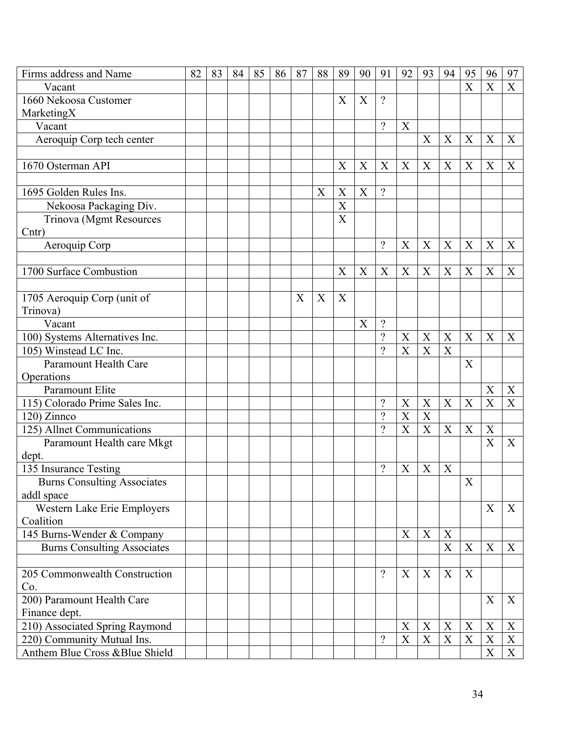| Firms address and Name             | 82 | 83 | 84 | 85 | 86 | 87 | 88 | 89                        | 90 | 91                       | 92               | 93                        | 94                        | 95                    | 96          | 97               |
|------------------------------------|----|----|----|----|----|----|----|---------------------------|----|--------------------------|------------------|---------------------------|---------------------------|-----------------------|-------------|------------------|
| Vacant                             |    |    |    |    |    |    |    |                           |    |                          |                  |                           |                           | $\overline{X}$        | X           | X                |
| 1660 Nekoosa Customer              |    |    |    |    |    |    |    | X                         | X  | $\overline{?}$           |                  |                           |                           |                       |             |                  |
| MarketingX                         |    |    |    |    |    |    |    |                           |    |                          |                  |                           |                           |                       |             |                  |
| Vacant                             |    |    |    |    |    |    |    |                           |    | $\gamma$                 | $\mathbf X$      |                           |                           |                       |             |                  |
| Aeroquip Corp tech center          |    |    |    |    |    |    |    |                           |    |                          |                  | X                         | X                         | X                     | X           | X                |
|                                    |    |    |    |    |    |    |    |                           |    |                          |                  |                           |                           |                       |             |                  |
| 1670 Osterman API                  |    |    |    |    |    |    |    | X                         | X  | X                        | X                | X                         | X                         | X                     | X           | X                |
|                                    |    |    |    |    |    |    |    |                           |    |                          |                  |                           |                           |                       |             |                  |
| 1695 Golden Rules Ins.             |    |    |    |    |    |    | X  | $\boldsymbol{\mathrm{X}}$ | X  | $\gamma$                 |                  |                           |                           |                       |             |                  |
| Nekoosa Packaging Div.             |    |    |    |    |    |    |    | X                         |    |                          |                  |                           |                           |                       |             |                  |
| Trinova (Mgmt Resources            |    |    |    |    |    |    |    | $\overline{X}$            |    |                          |                  |                           |                           |                       |             |                  |
| C <sub>ntr</sub>                   |    |    |    |    |    |    |    |                           |    |                          |                  |                           |                           |                       |             |                  |
| Aeroquip Corp                      |    |    |    |    |    |    |    |                           |    | $\gamma$                 | X                | X                         | X                         | X                     | X           | X                |
|                                    |    |    |    |    |    |    |    |                           |    |                          |                  |                           |                           |                       |             |                  |
| 1700 Surface Combustion            |    |    |    |    |    |    |    | $\boldsymbol{\mathrm{X}}$ | X  | X                        | X                | $\mathbf X$               | $\mathbf X$               | X                     | X           | X                |
|                                    |    |    |    |    |    |    |    |                           |    |                          |                  |                           |                           |                       |             |                  |
| 1705 Aeroquip Corp (unit of        |    |    |    |    |    | X  | X  | X                         |    |                          |                  |                           |                           |                       |             |                  |
| Trinova)                           |    |    |    |    |    |    |    |                           |    |                          |                  |                           |                           |                       |             |                  |
| Vacant                             |    |    |    |    |    |    |    |                           | X  | $\overline{\mathcal{C}}$ |                  |                           |                           |                       |             |                  |
| 100) Systems Alternatives Inc.     |    |    |    |    |    |    |    |                           |    | $\overline{\mathcal{L}}$ | X                | X                         | X                         | $\boldsymbol{X}$      | X           | X                |
| 105) Winstead LC Inc.              |    |    |    |    |    |    |    |                           |    | $\gamma$                 | X                | X                         | X                         |                       |             |                  |
| Paramount Health Care              |    |    |    |    |    |    |    |                           |    |                          |                  |                           |                           | X                     |             |                  |
| Operations                         |    |    |    |    |    |    |    |                           |    |                          |                  |                           |                           |                       |             |                  |
| Paramount Elite                    |    |    |    |    |    |    |    |                           |    |                          |                  |                           |                           |                       | X           | X                |
| 115) Colorado Prime Sales Inc.     |    |    |    |    |    |    |    |                           |    | $\gamma$                 | X                | X                         | X                         | X                     | X           | $\boldsymbol{X}$ |
| 120) Zinnco                        |    |    |    |    |    |    |    |                           |    | $\gamma$                 | X                | $\boldsymbol{X}$          |                           |                       |             |                  |
| 125) Allnet Communications         |    |    |    |    |    |    |    |                           |    | $\gamma$                 | X                | X                         | X                         | X                     | X           |                  |
| Paramount Health care Mkgt         |    |    |    |    |    |    |    |                           |    |                          |                  |                           |                           |                       | X           | X                |
| dept.                              |    |    |    |    |    |    |    |                           |    |                          |                  |                           |                           |                       |             |                  |
| 135 Insurance Testing              |    |    |    |    |    |    |    |                           |    | $\overline{\mathcal{L}}$ | X                | $\boldsymbol{\mathrm{X}}$ | $\mathbf X$               |                       |             |                  |
| <b>Burns Consulting Associates</b> |    |    |    |    |    |    |    |                           |    |                          |                  |                           |                           | $\overline{\text{X}}$ |             |                  |
| addl space                         |    |    |    |    |    |    |    |                           |    |                          |                  |                           |                           |                       |             |                  |
| Western Lake Erie Employers        |    |    |    |    |    |    |    |                           |    |                          |                  |                           |                           |                       | X           | $\boldsymbol{X}$ |
| Coalition                          |    |    |    |    |    |    |    |                           |    |                          |                  |                           |                           |                       |             |                  |
| 145 Burns-Wender & Company         |    |    |    |    |    |    |    |                           |    |                          | X                | $\boldsymbol{X}$          | X                         |                       |             |                  |
| <b>Burns Consulting Associates</b> |    |    |    |    |    |    |    |                           |    |                          |                  |                           | $\boldsymbol{\mathrm{X}}$ | $\mathbf X$           | X           | $\boldsymbol{X}$ |
|                                    |    |    |    |    |    |    |    |                           |    |                          |                  |                           |                           |                       |             |                  |
| 205 Commonwealth Construction      |    |    |    |    |    |    |    |                           |    | $\gamma$                 | X                | X                         | X                         | X                     |             |                  |
| Co.                                |    |    |    |    |    |    |    |                           |    |                          |                  |                           |                           |                       |             |                  |
| 200) Paramount Health Care         |    |    |    |    |    |    |    |                           |    |                          |                  |                           |                           |                       | $\mathbf X$ | X                |
| Finance dept.                      |    |    |    |    |    |    |    |                           |    |                          |                  |                           |                           |                       |             |                  |
| 210) Associated Spring Raymond     |    |    |    |    |    |    |    |                           |    |                          | $\boldsymbol{X}$ | X                         | X                         | X                     | X           | X                |
| 220) Community Mutual Ins.         |    |    |    |    |    |    |    |                           |    | $\overline{\mathcal{L}}$ | $\boldsymbol{X}$ | $\mathbf X$               | $\mathbf X$               | $\mathbf X$           | X           | X                |
| Anthem Blue Cross & Blue Shield    |    |    |    |    |    |    |    |                           |    |                          |                  |                           |                           |                       | X           | X                |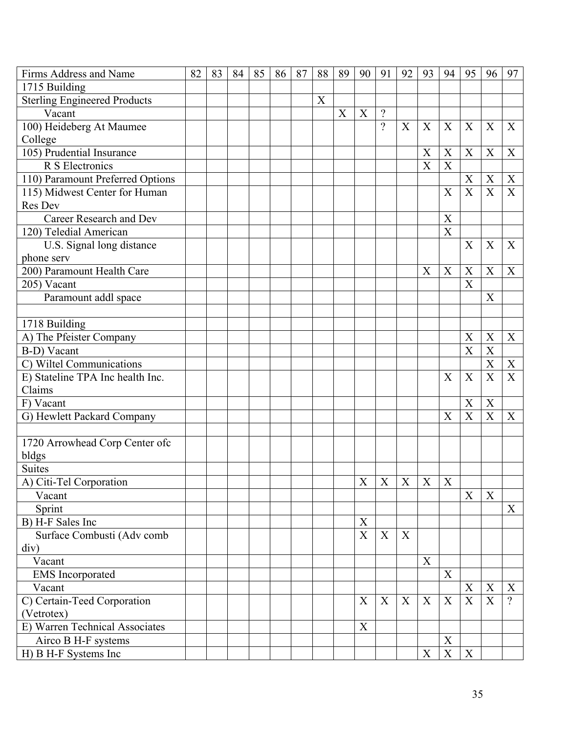| <b>Firms Address and Name</b>       | 82 | 83 | 84 | 85 | 86 | 87 | 88 | 89               | 90 | 91       | 92                       | 93               | 94                        | 95                        | 96                        | 97             |
|-------------------------------------|----|----|----|----|----|----|----|------------------|----|----------|--------------------------|------------------|---------------------------|---------------------------|---------------------------|----------------|
| 1715 Building                       |    |    |    |    |    |    |    |                  |    |          |                          |                  |                           |                           |                           |                |
| <b>Sterling Engineered Products</b> |    |    |    |    |    |    | X  |                  |    |          |                          |                  |                           |                           |                           |                |
| Vacant                              |    |    |    |    |    |    |    | $\boldsymbol{X}$ | X  | $\gamma$ |                          |                  |                           |                           |                           |                |
| 100) Heideberg At Maumee            |    |    |    |    |    |    |    |                  |    | $\gamma$ | X                        | X                | $\mathbf X$               | $\boldsymbol{X}$          | X                         | X              |
| College                             |    |    |    |    |    |    |    |                  |    |          |                          |                  |                           |                           |                           |                |
| 105) Prudential Insurance           |    |    |    |    |    |    |    |                  |    |          |                          | $\boldsymbol{X}$ | X                         | X                         | X                         | X              |
| R S Electronics                     |    |    |    |    |    |    |    |                  |    |          |                          | $\overline{X}$   | $\overline{\text{X}}$     |                           |                           |                |
| 110) Paramount Preferred Options    |    |    |    |    |    |    |    |                  |    |          |                          |                  |                           | X                         | X                         | X              |
| 115) Midwest Center for Human       |    |    |    |    |    |    |    |                  |    |          |                          |                  | X                         | $\overline{\mathrm{X}}$   | X                         | X              |
| Res Dev                             |    |    |    |    |    |    |    |                  |    |          |                          |                  |                           |                           |                           |                |
| Career Research and Dev             |    |    |    |    |    |    |    |                  |    |          |                          |                  | $\boldsymbol{X}$          |                           |                           |                |
| 120) Teledial American              |    |    |    |    |    |    |    |                  |    |          |                          |                  | $\overline{\text{X}}$     |                           |                           |                |
| U.S. Signal long distance           |    |    |    |    |    |    |    |                  |    |          |                          |                  |                           | X                         | X                         | X              |
| phone serv                          |    |    |    |    |    |    |    |                  |    |          |                          |                  |                           |                           |                           |                |
| 200) Paramount Health Care          |    |    |    |    |    |    |    |                  |    |          |                          | X                | X                         | X                         | X                         | X              |
| 205) Vacant                         |    |    |    |    |    |    |    |                  |    |          |                          |                  |                           | X                         |                           |                |
| Paramount addl space                |    |    |    |    |    |    |    |                  |    |          |                          |                  |                           |                           | X                         |                |
|                                     |    |    |    |    |    |    |    |                  |    |          |                          |                  |                           |                           |                           |                |
| 1718 Building                       |    |    |    |    |    |    |    |                  |    |          |                          |                  |                           |                           |                           |                |
| A) The Pfeister Company             |    |    |    |    |    |    |    |                  |    |          |                          |                  |                           | X                         | X                         | X              |
| B-D) Vacant                         |    |    |    |    |    |    |    |                  |    |          |                          |                  |                           | $\overline{X}$            | $\boldsymbol{\mathrm{X}}$ |                |
| C) Wiltel Communications            |    |    |    |    |    |    |    |                  |    |          |                          |                  |                           |                           | X                         | $\mathbf X$    |
| E) Stateline TPA Inc health Inc.    |    |    |    |    |    |    |    |                  |    |          |                          |                  | $\boldsymbol{X}$          | $\boldsymbol{\mathrm{X}}$ | $\overline{\text{X}}$     | $\overline{X}$ |
| Claims                              |    |    |    |    |    |    |    |                  |    |          |                          |                  |                           |                           |                           |                |
| F) Vacant                           |    |    |    |    |    |    |    |                  |    |          |                          |                  |                           | X                         | $\boldsymbol{X}$          |                |
| G) Hewlett Packard Company          |    |    |    |    |    |    |    |                  |    |          |                          |                  | X                         | $\overline{X}$            | X                         | X              |
|                                     |    |    |    |    |    |    |    |                  |    |          |                          |                  |                           |                           |                           |                |
| 1720 Arrowhead Corp Center ofc      |    |    |    |    |    |    |    |                  |    |          |                          |                  |                           |                           |                           |                |
| bldgs                               |    |    |    |    |    |    |    |                  |    |          |                          |                  |                           |                           |                           |                |
| <b>Suites</b>                       |    |    |    |    |    |    |    |                  |    |          |                          |                  |                           |                           |                           |                |
| A) Citi-Tel Corporation             |    |    |    |    |    |    |    |                  |    |          | $X \mid X \mid X \mid X$ |                  | $\mathbf X$               |                           |                           |                |
| Vacant                              |    |    |    |    |    |    |    |                  |    |          |                          |                  |                           | X                         | X                         |                |
| Sprint                              |    |    |    |    |    |    |    |                  |    |          |                          |                  |                           |                           |                           | X              |
| B) H-F Sales Inc                    |    |    |    |    |    |    |    |                  | X  |          |                          |                  |                           |                           |                           |                |
| Surface Combusti (Adv comb          |    |    |    |    |    |    |    |                  | X  | X        | $\boldsymbol{X}$         |                  |                           |                           |                           |                |
| div)                                |    |    |    |    |    |    |    |                  |    |          |                          |                  |                           |                           |                           |                |
| Vacant                              |    |    |    |    |    |    |    |                  |    |          |                          | $\mathbf X$      |                           |                           |                           |                |
| <b>EMS</b> Incorporated             |    |    |    |    |    |    |    |                  |    |          |                          |                  | X                         |                           |                           |                |
| Vacant                              |    |    |    |    |    |    |    |                  |    |          |                          |                  |                           | $\mathbf X$               | $\mathbf X$               | $\mathbf X$    |
| C) Certain-Teed Corporation         |    |    |    |    |    |    |    |                  | X  | X        | X                        | X                | X                         | X                         | $\mathbf X$               | $\mathcal{P}$  |
| (Vetrotex)                          |    |    |    |    |    |    |    |                  |    |          |                          |                  |                           |                           |                           |                |
| E) Warren Technical Associates      |    |    |    |    |    |    |    |                  | X  |          |                          |                  |                           |                           |                           |                |
| Airco B H-F systems                 |    |    |    |    |    |    |    |                  |    |          |                          |                  | $\mathbf X$               |                           |                           |                |
| H) B H-F Systems Inc                |    |    |    |    |    |    |    |                  |    |          |                          | X                | $\boldsymbol{\mathrm{X}}$ | X                         |                           |                |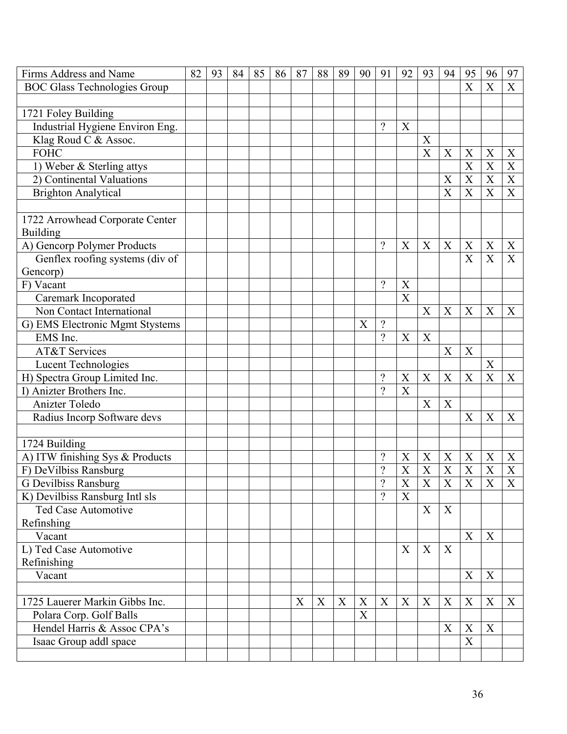| Firms Address and Name              | 82 | 93 | 84 | 85 | 86 | 87 | 88 | 89 | 90 | 91                       | 92                    | 93                        | 94                        | 95                    | 96               | 97                      |
|-------------------------------------|----|----|----|----|----|----|----|----|----|--------------------------|-----------------------|---------------------------|---------------------------|-----------------------|------------------|-------------------------|
| <b>BOC Glass Technologies Group</b> |    |    |    |    |    |    |    |    |    |                          |                       |                           |                           | $\overline{X}$        | X                | X                       |
|                                     |    |    |    |    |    |    |    |    |    |                          |                       |                           |                           |                       |                  |                         |
| 1721 Foley Building                 |    |    |    |    |    |    |    |    |    |                          |                       |                           |                           |                       |                  |                         |
| Industrial Hygiene Environ Eng.     |    |    |    |    |    |    |    |    |    | $\gamma$                 | $\mathbf X$           |                           |                           |                       |                  |                         |
| Klag Roud C & Assoc.                |    |    |    |    |    |    |    |    |    |                          |                       | X                         |                           |                       |                  |                         |
| <b>FOHC</b>                         |    |    |    |    |    |    |    |    |    |                          |                       | X                         | X                         | X                     | X                | X                       |
| 1) Weber & Sterling attys           |    |    |    |    |    |    |    |    |    |                          |                       |                           |                           | $\overline{\text{X}}$ | X                | $\mathbf X$             |
| 2) Continental Valuations           |    |    |    |    |    |    |    |    |    |                          |                       |                           | X                         | X                     | X                | $\boldsymbol{X}$        |
| <b>Brighton Analytical</b>          |    |    |    |    |    |    |    |    |    |                          |                       |                           | X                         | $\overline{\text{X}}$ | X                | X                       |
|                                     |    |    |    |    |    |    |    |    |    |                          |                       |                           |                           |                       |                  |                         |
| 1722 Arrowhead Corporate Center     |    |    |    |    |    |    |    |    |    |                          |                       |                           |                           |                       |                  |                         |
| <b>Building</b>                     |    |    |    |    |    |    |    |    |    |                          |                       |                           |                           |                       |                  |                         |
| A) Gencorp Polymer Products         |    |    |    |    |    |    |    |    |    | $\gamma$                 | X                     | X                         | X                         | X                     | X                | X                       |
| Genflex roofing systems (div of     |    |    |    |    |    |    |    |    |    |                          |                       |                           |                           | X                     | X                | X                       |
| Gencorp)                            |    |    |    |    |    |    |    |    |    |                          |                       |                           |                           |                       |                  |                         |
| F) Vacant                           |    |    |    |    |    |    |    |    |    | $\gamma$                 | X                     |                           |                           |                       |                  |                         |
| Caremark Incoporated                |    |    |    |    |    |    |    |    |    |                          | X                     |                           |                           |                       |                  |                         |
| Non Contact International           |    |    |    |    |    |    |    |    |    |                          |                       | X                         | X                         | X                     | X                | X                       |
| G) EMS Electronic Mgmt Stystems     |    |    |    |    |    |    |    |    | X  | $\overline{\mathcal{L}}$ |                       |                           |                           |                       |                  |                         |
| EMS Inc.                            |    |    |    |    |    |    |    |    |    | $\gamma$                 | X                     | $\boldsymbol{\mathrm{X}}$ |                           |                       |                  |                         |
| AT&T Services                       |    |    |    |    |    |    |    |    |    |                          |                       |                           | X                         | X                     |                  |                         |
| <b>Lucent Technologies</b>          |    |    |    |    |    |    |    |    |    |                          |                       |                           |                           |                       | X                |                         |
| H) Spectra Group Limited Inc.       |    |    |    |    |    |    |    |    |    | $\overline{?}$           | X                     | $\boldsymbol{X}$          | $\boldsymbol{\mathrm{X}}$ | X                     | $\overline{X}$   | X                       |
| I) Anizter Brothers Inc.            |    |    |    |    |    |    |    |    |    | $\gamma$                 | X                     |                           |                           |                       |                  |                         |
| Anizter Toledo                      |    |    |    |    |    |    |    |    |    |                          |                       | X                         | X                         |                       |                  |                         |
| Radius Incorp Software devs         |    |    |    |    |    |    |    |    |    |                          |                       |                           |                           | X                     | X                | X                       |
|                                     |    |    |    |    |    |    |    |    |    |                          |                       |                           |                           |                       |                  |                         |
| 1724 Building                       |    |    |    |    |    |    |    |    |    |                          |                       |                           |                           |                       |                  |                         |
| A) ITW finishing Sys & Products     |    |    |    |    |    |    |    |    |    | $\gamma$                 | X                     | X                         | X                         | X                     | X                | X                       |
| F) DeVilbiss Ransburg               |    |    |    |    |    |    |    |    |    | $\gamma$                 | X                     | $\mathbf X$               | X                         | $\mathbf X$           | $\boldsymbol{X}$ | $\mathbf X$             |
| <b>G</b> Devilbiss Ransburg         |    |    |    |    |    |    |    |    |    | $\overline{\mathcal{L}}$ | $\overline{\text{X}}$ | $\overline{X}$            | $\overline{X}$            | $\overline{X}$        | $\mathbf X$      | $\overline{\mathbf{X}}$ |
| K) Devilbiss Ransburg Intl sls      |    |    |    |    |    |    |    |    |    | $\gamma$                 | X                     |                           |                           |                       |                  |                         |
| <b>Ted Case Automotive</b>          |    |    |    |    |    |    |    |    |    |                          |                       | X                         | X                         |                       |                  |                         |
| Refinshing                          |    |    |    |    |    |    |    |    |    |                          |                       |                           |                           |                       |                  |                         |
| Vacant                              |    |    |    |    |    |    |    |    |    |                          |                       |                           |                           | X                     | $\boldsymbol{X}$ |                         |
| L) Ted Case Automotive              |    |    |    |    |    |    |    |    |    |                          | X                     | X                         | X                         |                       |                  |                         |
| Refinishing                         |    |    |    |    |    |    |    |    |    |                          |                       |                           |                           |                       |                  |                         |
| Vacant                              |    |    |    |    |    |    |    |    |    |                          |                       |                           |                           | X                     | X                |                         |
|                                     |    |    |    |    |    |    |    |    |    |                          |                       |                           |                           |                       |                  |                         |
| 1725 Lauerer Markin Gibbs Inc.      |    |    |    |    |    | X  | X  | X  | X  | X                        | X                     | X                         | X                         | X                     | X                | X                       |
| Polara Corp. Golf Balls             |    |    |    |    |    |    |    |    | X  |                          |                       |                           |                           |                       |                  |                         |
| Hendel Harris & Assoc CPA's         |    |    |    |    |    |    |    |    |    |                          |                       |                           | X                         | X                     | X                |                         |
| Isaac Group addl space              |    |    |    |    |    |    |    |    |    |                          |                       |                           |                           | X                     |                  |                         |
|                                     |    |    |    |    |    |    |    |    |    |                          |                       |                           |                           |                       |                  |                         |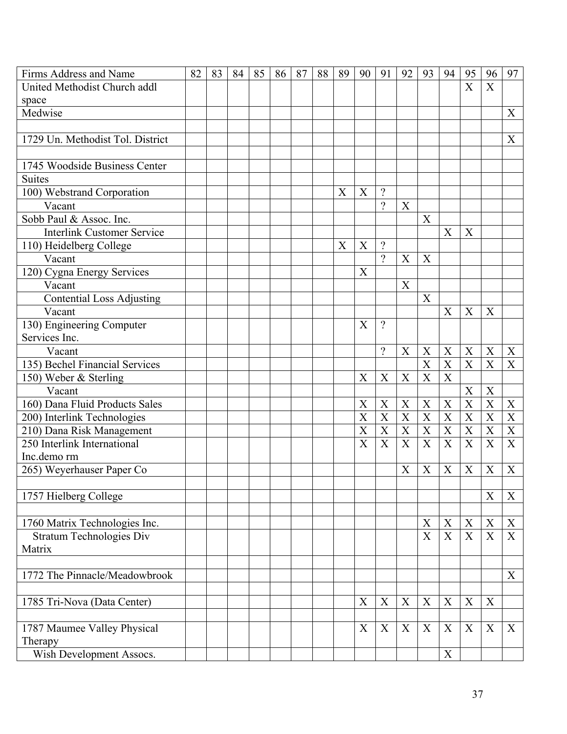| Firms Address and Name            | 82 | 83 | 84 | 85 | 86 | 87 | 88 | 89 | 90 | 91                        | 92               | 93                        | 94                        | 95               | 96               | 97                        |
|-----------------------------------|----|----|----|----|----|----|----|----|----|---------------------------|------------------|---------------------------|---------------------------|------------------|------------------|---------------------------|
| United Methodist Church addl      |    |    |    |    |    |    |    |    |    |                           |                  |                           |                           | X                | $\boldsymbol{X}$ |                           |
| space                             |    |    |    |    |    |    |    |    |    |                           |                  |                           |                           |                  |                  |                           |
| Medwise                           |    |    |    |    |    |    |    |    |    |                           |                  |                           |                           |                  |                  | X                         |
|                                   |    |    |    |    |    |    |    |    |    |                           |                  |                           |                           |                  |                  |                           |
| 1729 Un. Methodist Tol. District  |    |    |    |    |    |    |    |    |    |                           |                  |                           |                           |                  |                  | X                         |
|                                   |    |    |    |    |    |    |    |    |    |                           |                  |                           |                           |                  |                  |                           |
| 1745 Woodside Business Center     |    |    |    |    |    |    |    |    |    |                           |                  |                           |                           |                  |                  |                           |
| <b>Suites</b>                     |    |    |    |    |    |    |    |    |    |                           |                  |                           |                           |                  |                  |                           |
| 100) Webstrand Corporation        |    |    |    |    |    |    |    | X  | X  | $\gamma$                  |                  |                           |                           |                  |                  |                           |
| Vacant                            |    |    |    |    |    |    |    |    |    | $\overline{?}$            | X                |                           |                           |                  |                  |                           |
| Sobb Paul & Assoc. Inc.           |    |    |    |    |    |    |    |    |    |                           |                  | X                         |                           |                  |                  |                           |
| <b>Interlink Customer Service</b> |    |    |    |    |    |    |    |    |    |                           |                  |                           | X                         | X                |                  |                           |
| 110) Heidelberg College           |    |    |    |    |    |    |    | X  | X  | $\gamma$                  |                  |                           |                           |                  |                  |                           |
| Vacant                            |    |    |    |    |    |    |    |    |    | $\gamma$                  | X                | X                         |                           |                  |                  |                           |
| 120) Cygna Energy Services        |    |    |    |    |    |    |    |    | X  |                           |                  |                           |                           |                  |                  |                           |
| Vacant                            |    |    |    |    |    |    |    |    |    |                           | X                |                           |                           |                  |                  |                           |
| <b>Contential Loss Adjusting</b>  |    |    |    |    |    |    |    |    |    |                           |                  | X                         |                           |                  |                  |                           |
| Vacant                            |    |    |    |    |    |    |    |    |    |                           |                  |                           | X                         | X                | X                |                           |
| 130) Engineering Computer         |    |    |    |    |    |    |    |    | X  | $\gamma$                  |                  |                           |                           |                  |                  |                           |
| Services Inc.                     |    |    |    |    |    |    |    |    |    |                           |                  |                           |                           |                  |                  |                           |
| Vacant                            |    |    |    |    |    |    |    |    |    | $\gamma$                  | X                | X                         | X                         | X                | X                | X                         |
| 135) Bechel Financial Services    |    |    |    |    |    |    |    |    |    |                           |                  | X                         | X                         | X                | X                | X                         |
| 150) Weber & Sterling             |    |    |    |    |    |    |    |    | X  | $\boldsymbol{X}$          | $\boldsymbol{X}$ | $\boldsymbol{\mathrm{X}}$ | X                         |                  |                  |                           |
| Vacant                            |    |    |    |    |    |    |    |    |    |                           |                  |                           |                           | X                | $\boldsymbol{X}$ |                           |
| 160) Dana Fluid Products Sales    |    |    |    |    |    |    |    |    | X  | $\boldsymbol{\mathrm{X}}$ | X                | X                         | X                         | $\overline{X}$   | $\overline{X}$   | $\boldsymbol{\mathrm{X}}$ |
| 200) Interlink Technologies       |    |    |    |    |    |    |    |    | X  | X                         | X                | X                         | X                         | X                | X                | X                         |
| 210) Dana Risk Management         |    |    |    |    |    |    |    |    | X  | X                         | X                | $\mathbf X$               | X                         | X                | X                | X                         |
| 250 Interlink International       |    |    |    |    |    |    |    |    | X  | X                         | X                | X                         | X                         | X                | X                | X                         |
| Inc.demorm                        |    |    |    |    |    |    |    |    |    |                           |                  |                           |                           |                  |                  |                           |
| 265) Weyerhauser Paper Co         |    |    |    |    |    |    |    |    |    |                           | X                | X                         | X                         | X                | X                | X                         |
|                                   |    |    |    |    |    |    |    |    |    |                           |                  |                           |                           |                  |                  |                           |
| 1757 Hielberg College             |    |    |    |    |    |    |    |    |    |                           |                  |                           |                           |                  | X                | X                         |
|                                   |    |    |    |    |    |    |    |    |    |                           |                  |                           |                           |                  |                  |                           |
| 1760 Matrix Technologies Inc.     |    |    |    |    |    |    |    |    |    |                           |                  | X                         | $\boldsymbol{X}$          | X                | X                | $\mathbf X$               |
| <b>Stratum Technologies Div</b>   |    |    |    |    |    |    |    |    |    |                           |                  | X                         | $\mathbf X$               | X                | X                | X                         |
| Matrix                            |    |    |    |    |    |    |    |    |    |                           |                  |                           |                           |                  |                  |                           |
|                                   |    |    |    |    |    |    |    |    |    |                           |                  |                           |                           |                  |                  |                           |
| 1772 The Pinnacle/Meadowbrook     |    |    |    |    |    |    |    |    |    |                           |                  |                           |                           |                  |                  | X                         |
|                                   |    |    |    |    |    |    |    |    |    |                           |                  |                           |                           |                  |                  |                           |
| 1785 Tri-Nova (Data Center)       |    |    |    |    |    |    |    |    | X  | X                         | X                | X                         | X                         | $\boldsymbol{X}$ | X                |                           |
|                                   |    |    |    |    |    |    |    |    |    |                           |                  |                           |                           |                  |                  |                           |
| 1787 Maumee Valley Physical       |    |    |    |    |    |    |    |    | X  | X                         | X                | X                         | X                         | X                | X                | X                         |
| Therapy                           |    |    |    |    |    |    |    |    |    |                           |                  |                           |                           |                  |                  |                           |
| Wish Development Assocs.          |    |    |    |    |    |    |    |    |    |                           |                  |                           | $\boldsymbol{\mathrm{X}}$ |                  |                  |                           |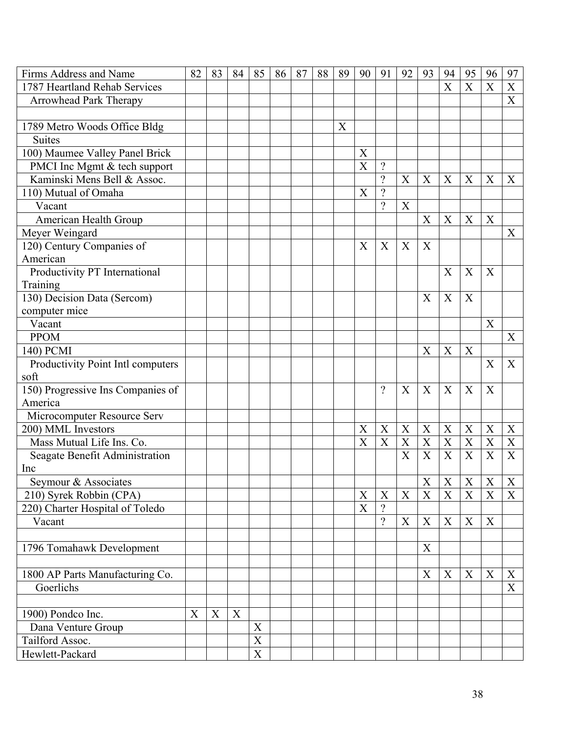| Firms Address and Name            | 82 | 83 | 84 | 85                    | 86 | 87 | 88 | 89 | 90 | 91                       | 92                        | 93          | 94                        | 95                        | 96                        | 97                        |
|-----------------------------------|----|----|----|-----------------------|----|----|----|----|----|--------------------------|---------------------------|-------------|---------------------------|---------------------------|---------------------------|---------------------------|
| 1787 Heartland Rehab Services     |    |    |    |                       |    |    |    |    |    |                          |                           |             | $\overline{\mathrm{X}}$   | X                         | X                         | X                         |
| Arrowhead Park Therapy            |    |    |    |                       |    |    |    |    |    |                          |                           |             |                           |                           |                           | $\boldsymbol{X}$          |
|                                   |    |    |    |                       |    |    |    |    |    |                          |                           |             |                           |                           |                           |                           |
| 1789 Metro Woods Office Bldg      |    |    |    |                       |    |    |    | X  |    |                          |                           |             |                           |                           |                           |                           |
| <b>Suites</b>                     |    |    |    |                       |    |    |    |    |    |                          |                           |             |                           |                           |                           |                           |
| 100) Maumee Valley Panel Brick    |    |    |    |                       |    |    |    |    | X  |                          |                           |             |                           |                           |                           |                           |
| PMCI Inc Mgmt & tech support      |    |    |    |                       |    |    |    |    | X  | $\overline{\mathcal{L}}$ |                           |             |                           |                           |                           |                           |
| Kaminski Mens Bell & Assoc.       |    |    |    |                       |    |    |    |    |    | $\gamma$                 | X                         | X           | X                         | X                         | X                         | X                         |
| 110) Mutual of Omaha              |    |    |    |                       |    |    |    |    | X  | $\overline{\mathcal{L}}$ |                           |             |                           |                           |                           |                           |
| Vacant                            |    |    |    |                       |    |    |    |    |    | $\gamma$                 | X                         |             |                           |                           |                           |                           |
| American Health Group             |    |    |    |                       |    |    |    |    |    |                          |                           | X           | X                         | X                         | X                         |                           |
| Meyer Weingard                    |    |    |    |                       |    |    |    |    |    |                          |                           |             |                           |                           |                           | X                         |
| 120) Century Companies of         |    |    |    |                       |    |    |    |    | X  | X                        | X                         | X           |                           |                           |                           |                           |
| American                          |    |    |    |                       |    |    |    |    |    |                          |                           |             |                           |                           |                           |                           |
| Productivity PT International     |    |    |    |                       |    |    |    |    |    |                          |                           |             | X                         | X                         | X                         |                           |
| Training                          |    |    |    |                       |    |    |    |    |    |                          |                           |             |                           |                           |                           |                           |
| 130) Decision Data (Sercom)       |    |    |    |                       |    |    |    |    |    |                          |                           | X           | X                         | X                         |                           |                           |
| computer mice                     |    |    |    |                       |    |    |    |    |    |                          |                           |             |                           |                           |                           |                           |
| Vacant                            |    |    |    |                       |    |    |    |    |    |                          |                           |             |                           |                           | X                         |                           |
| <b>PPOM</b>                       |    |    |    |                       |    |    |    |    |    |                          |                           |             |                           |                           |                           | X                         |
| 140) PCMI                         |    |    |    |                       |    |    |    |    |    |                          |                           | X           | X                         | X                         |                           |                           |
| Productivity Point Intl computers |    |    |    |                       |    |    |    |    |    |                          |                           |             |                           |                           | X                         | X                         |
| soft                              |    |    |    |                       |    |    |    |    |    |                          |                           |             |                           |                           |                           |                           |
| 150) Progressive Ins Companies of |    |    |    |                       |    |    |    |    |    | $\gamma$                 | X                         | X           | $\boldsymbol{X}$          | X                         | X                         |                           |
| America                           |    |    |    |                       |    |    |    |    |    |                          |                           |             |                           |                           |                           |                           |
| Microcomputer Resource Serv       |    |    |    |                       |    |    |    |    |    |                          |                           |             |                           |                           |                           |                           |
| 200) MML Investors                |    |    |    |                       |    |    |    |    | X  | X                        | X                         | X           | X                         | X                         | X                         | $\boldsymbol{X}$          |
| Mass Mutual Life Ins. Co.         |    |    |    |                       |    |    |    |    | X  | X                        | $\boldsymbol{\mathrm{X}}$ | $\mathbf X$ | $\overline{X}$            | $\boldsymbol{\mathrm{X}}$ | $\boldsymbol{\mathrm{X}}$ | $\mathbf X$               |
| Seagate Benefit Administration    |    |    |    |                       |    |    |    |    |    |                          | X                         | $\mathbf X$ | $\boldsymbol{\mathrm{X}}$ | $\mathbf X$               | $\boldsymbol{X}$          | X                         |
| Inc                               |    |    |    |                       |    |    |    |    |    |                          |                           |             |                           |                           |                           |                           |
| Seymour & Associates              |    |    |    |                       |    |    |    |    |    |                          |                           | $\mathbf X$ | $\mathbf X$               | $\mathbf X$               | $\mathbf X$               | $\mathbf X$               |
| 210) Syrek Robbin (CPA)           |    |    |    |                       |    |    |    |    | X  | X                        | X                         | $\mathbf X$ | $\boldsymbol{\mathrm{X}}$ | $\mathbf X$               | X                         | X                         |
| 220) Charter Hospital of Toledo   |    |    |    |                       |    |    |    |    | X  | $\gamma$                 |                           |             |                           |                           |                           |                           |
| Vacant                            |    |    |    |                       |    |    |    |    |    | $\overline{?}$           | X                         | $\mathbf X$ | $\mathbf X$               | $\boldsymbol{X}$          | X                         |                           |
|                                   |    |    |    |                       |    |    |    |    |    |                          |                           |             |                           |                           |                           |                           |
| 1796 Tomahawk Development         |    |    |    |                       |    |    |    |    |    |                          |                           | X           |                           |                           |                           |                           |
|                                   |    |    |    |                       |    |    |    |    |    |                          |                           |             |                           |                           |                           |                           |
| 1800 AP Parts Manufacturing Co.   |    |    |    |                       |    |    |    |    |    |                          |                           | X           | X                         | X                         | X                         | X                         |
| Goerlichs                         |    |    |    |                       |    |    |    |    |    |                          |                           |             |                           |                           |                           | $\boldsymbol{\mathrm{X}}$ |
|                                   |    |    |    |                       |    |    |    |    |    |                          |                           |             |                           |                           |                           |                           |
| 1900) Pondco Inc.                 | X  | X  | X  |                       |    |    |    |    |    |                          |                           |             |                           |                           |                           |                           |
| Dana Venture Group                |    |    |    | $\mathbf X$           |    |    |    |    |    |                          |                           |             |                           |                           |                           |                           |
| Tailford Assoc.                   |    |    |    | $\overline{\text{X}}$ |    |    |    |    |    |                          |                           |             |                           |                           |                           |                           |
| Hewlett-Packard                   |    |    |    | $\overline{X}$        |    |    |    |    |    |                          |                           |             |                           |                           |                           |                           |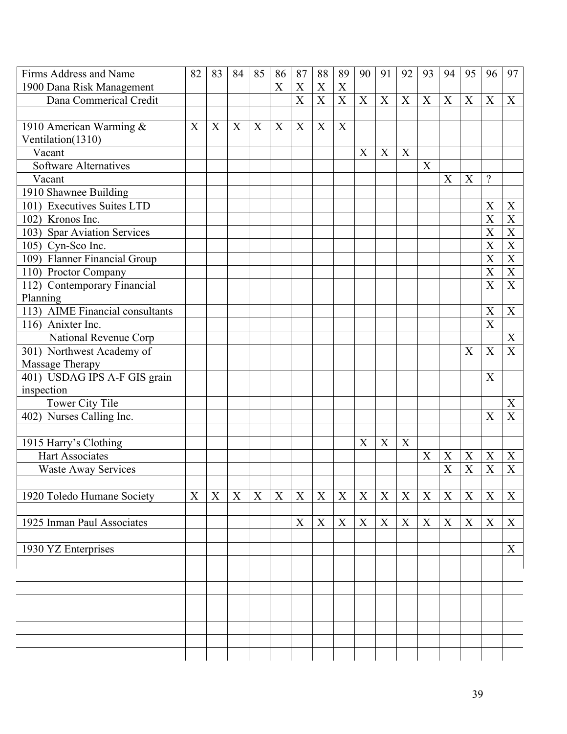| Firms Address and Name          | 82 | 83 | 84 | 85          | 86 | 87          | 88          | 89          | 90               | 91 | 92 | 93 | 94          | 95               | 96                        | 97               |
|---------------------------------|----|----|----|-------------|----|-------------|-------------|-------------|------------------|----|----|----|-------------|------------------|---------------------------|------------------|
| 1900 Dana Risk Management       |    |    |    |             | X  | X           | X           | X           |                  |    |    |    |             |                  |                           |                  |
| Dana Commerical Credit          |    |    |    |             |    | X           | X           | X           | X                | X  | X  | X  | X           | $\boldsymbol{X}$ | X                         | X                |
|                                 |    |    |    |             |    |             |             |             |                  |    |    |    |             |                  |                           |                  |
| 1910 American Warming &         | X  | X  | X  | X           | X  | X           | $\mathbf X$ | $\mathbf X$ |                  |    |    |    |             |                  |                           |                  |
| Ventilation(1310)               |    |    |    |             |    |             |             |             |                  |    |    |    |             |                  |                           |                  |
| Vacant                          |    |    |    |             |    |             |             |             | X                | X  | X  |    |             |                  |                           |                  |
| <b>Software Alternatives</b>    |    |    |    |             |    |             |             |             |                  |    |    | X  |             |                  |                           |                  |
| Vacant                          |    |    |    |             |    |             |             |             |                  |    |    |    | X           | X                | $\gamma$                  |                  |
| 1910 Shawnee Building           |    |    |    |             |    |             |             |             |                  |    |    |    |             |                  |                           |                  |
| 101) Executives Suites LTD      |    |    |    |             |    |             |             |             |                  |    |    |    |             |                  | X                         | X                |
| 102) Kronos Inc.                |    |    |    |             |    |             |             |             |                  |    |    |    |             |                  | X                         | X                |
| 103) Spar Aviation Services     |    |    |    |             |    |             |             |             |                  |    |    |    |             |                  | X                         | $\mathbf X$      |
| 105) Cyn-Sco Inc.               |    |    |    |             |    |             |             |             |                  |    |    |    |             |                  | X                         | $\boldsymbol{X}$ |
| 109) Flanner Financial Group    |    |    |    |             |    |             |             |             |                  |    |    |    |             |                  | X                         | X                |
| 110) Proctor Company            |    |    |    |             |    |             |             |             |                  |    |    |    |             |                  | X                         | $\mathbf X$      |
| 112) Contemporary Financial     |    |    |    |             |    |             |             |             |                  |    |    |    |             |                  | X                         | X                |
| Planning                        |    |    |    |             |    |             |             |             |                  |    |    |    |             |                  |                           |                  |
| 113) AIME Financial consultants |    |    |    |             |    |             |             |             |                  |    |    |    |             |                  | X                         | X                |
| $\overline{116}$ Anixter Inc.   |    |    |    |             |    |             |             |             |                  |    |    |    |             |                  | $\boldsymbol{\mathrm{X}}$ |                  |
| National Revenue Corp           |    |    |    |             |    |             |             |             |                  |    |    |    |             |                  |                           | $\boldsymbol{X}$ |
| 301) Northwest Academy of       |    |    |    |             |    |             |             |             |                  |    |    |    |             | X                | X                         | X                |
| Massage Therapy                 |    |    |    |             |    |             |             |             |                  |    |    |    |             |                  |                           |                  |
| 401) USDAG IPS A-F GIS grain    |    |    |    |             |    |             |             |             |                  |    |    |    |             |                  | X                         |                  |
| inspection                      |    |    |    |             |    |             |             |             |                  |    |    |    |             |                  |                           |                  |
| Tower City Tile                 |    |    |    |             |    |             |             |             |                  |    |    |    |             |                  |                           | X                |
| 402) Nurses Calling Inc.        |    |    |    |             |    |             |             |             |                  |    |    |    |             |                  | X                         | X                |
|                                 |    |    |    |             |    |             |             |             |                  |    |    |    |             |                  |                           |                  |
| 1915 Harry's Clothing           |    |    |    |             |    |             |             |             | X                | X  | X  |    |             |                  |                           |                  |
| <b>Hart Associates</b>          |    |    |    |             |    |             |             |             |                  |    |    | X  | X           | X                | X                         | X                |
| <b>Waste Away Services</b>      |    |    |    |             |    |             |             |             |                  |    |    |    | X           | X                | X                         | X                |
|                                 |    |    |    |             |    |             |             |             |                  |    |    |    |             |                  |                           |                  |
| 1920 Toledo Humane Society      | X  | X  | X  | $\mathbf X$ | X  | $\mathbf X$ | $\mathbf X$ | $\mathbf X$ | $\boldsymbol{X}$ | X  | X  | X  | $\mathbf X$ | $\mathbf X$      | X                         | X                |
|                                 |    |    |    |             |    |             |             |             |                  |    |    |    |             |                  |                           |                  |
| 1925 Inman Paul Associates      |    |    |    |             |    | X           | $\mathbf X$ | $\mathbf X$ | $\mathbf X$      | X  | X  | X  | $\mathbf X$ | $\mathbf X$      | X                         | X                |
|                                 |    |    |    |             |    |             |             |             |                  |    |    |    |             |                  |                           |                  |
| 1930 YZ Enterprises             |    |    |    |             |    |             |             |             |                  |    |    |    |             |                  |                           | X                |
|                                 |    |    |    |             |    |             |             |             |                  |    |    |    |             |                  |                           |                  |
|                                 |    |    |    |             |    |             |             |             |                  |    |    |    |             |                  |                           |                  |
|                                 |    |    |    |             |    |             |             |             |                  |    |    |    |             |                  |                           |                  |
|                                 |    |    |    |             |    |             |             |             |                  |    |    |    |             |                  |                           |                  |
|                                 |    |    |    |             |    |             |             |             |                  |    |    |    |             |                  |                           |                  |
|                                 |    |    |    |             |    |             |             |             |                  |    |    |    |             |                  |                           |                  |
|                                 |    |    |    |             |    |             |             |             |                  |    |    |    |             |                  |                           |                  |
|                                 |    |    |    |             |    |             |             |             |                  |    |    |    |             |                  |                           |                  |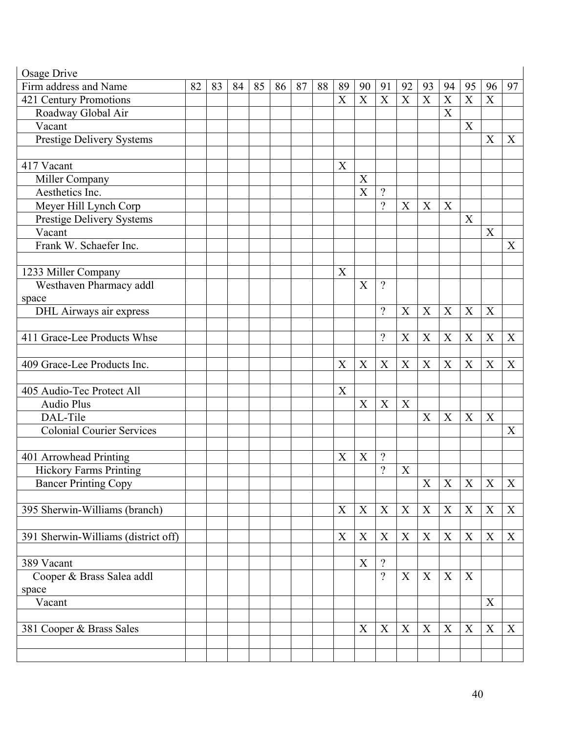| Osage Drive                         |    |    |    |    |    |    |    |                           |                |                  |                  |              |                  |             |                           |             |
|-------------------------------------|----|----|----|----|----|----|----|---------------------------|----------------|------------------|------------------|--------------|------------------|-------------|---------------------------|-------------|
| Firm address and Name               | 82 | 83 | 84 | 85 | 86 | 87 | 88 | 89                        | 90             | 91               | 92               | 93           | 94               | 95          | 96                        | 97          |
| 421 Century Promotions              |    |    |    |    |    |    |    | X                         | X              | X                | $\boldsymbol{X}$ | X            | X                | $\mathbf X$ | $\mathbf X$               |             |
| Roadway Global Air                  |    |    |    |    |    |    |    |                           |                |                  |                  |              | $\boldsymbol{X}$ |             |                           |             |
| Vacant                              |    |    |    |    |    |    |    |                           |                |                  |                  |              |                  | X           |                           |             |
| <b>Prestige Delivery Systems</b>    |    |    |    |    |    |    |    |                           |                |                  |                  |              |                  |             | X                         | X           |
|                                     |    |    |    |    |    |    |    |                           |                |                  |                  |              |                  |             |                           |             |
| 417 Vacant                          |    |    |    |    |    |    |    | X                         |                |                  |                  |              |                  |             |                           |             |
| Miller Company                      |    |    |    |    |    |    |    |                           | X              |                  |                  |              |                  |             |                           |             |
| Aesthetics Inc.                     |    |    |    |    |    |    |    |                           | $\overline{X}$ | $\gamma$         |                  |              |                  |             |                           |             |
| Meyer Hill Lynch Corp               |    |    |    |    |    |    |    |                           |                | $\gamma$         | X                | X            | X                |             |                           |             |
| Prestige Delivery Systems           |    |    |    |    |    |    |    |                           |                |                  |                  |              |                  | X           |                           |             |
| Vacant                              |    |    |    |    |    |    |    |                           |                |                  |                  |              |                  |             | $\boldsymbol{\mathrm{X}}$ |             |
| Frank W. Schaefer Inc.              |    |    |    |    |    |    |    |                           |                |                  |                  |              |                  |             |                           | X           |
|                                     |    |    |    |    |    |    |    |                           |                |                  |                  |              |                  |             |                           |             |
| 1233 Miller Company                 |    |    |    |    |    |    |    | $\boldsymbol{\mathrm{X}}$ |                |                  |                  |              |                  |             |                           |             |
| Westhaven Pharmacy addl             |    |    |    |    |    |    |    |                           | X              | $\gamma$         |                  |              |                  |             |                           |             |
| space                               |    |    |    |    |    |    |    |                           |                |                  |                  |              |                  |             |                           |             |
| <b>DHL</b> Airways air express      |    |    |    |    |    |    |    |                           |                | $\gamma$         | X                | X            | X                | X           | X                         |             |
|                                     |    |    |    |    |    |    |    |                           |                |                  |                  |              |                  |             |                           |             |
| 411 Grace-Lee Products Whse         |    |    |    |    |    |    |    |                           |                | $\gamma$         | X                | X            | X                | X           | X                         | X           |
|                                     |    |    |    |    |    |    |    |                           |                |                  |                  |              |                  |             |                           |             |
| 409 Grace-Lee Products Inc.         |    |    |    |    |    |    |    | X                         | X              | X                | X                | X            | X                | X           | X                         | X           |
|                                     |    |    |    |    |    |    |    |                           |                |                  |                  |              |                  |             |                           |             |
| 405 Audio-Tec Protect All           |    |    |    |    |    |    |    | X                         |                |                  |                  |              |                  |             |                           |             |
| <b>Audio Plus</b>                   |    |    |    |    |    |    |    |                           | X              | $\boldsymbol{X}$ | X                |              |                  |             |                           |             |
| DAL-Tile                            |    |    |    |    |    |    |    |                           |                |                  |                  | X            | X                | X           | X                         |             |
| <b>Colonial Courier Services</b>    |    |    |    |    |    |    |    |                           |                |                  |                  |              |                  |             |                           | X           |
|                                     |    |    |    |    |    |    |    |                           |                |                  |                  |              |                  |             |                           |             |
| 401 Arrowhead Printing              |    |    |    |    |    |    |    | X                         | X              | $\gamma$         |                  |              |                  |             |                           |             |
| Hickory Farms Printing              |    |    |    |    |    |    |    |                           |                | $\gamma$         | X                |              |                  |             |                           |             |
| <b>Bancer Printing Copy</b>         |    |    |    |    |    |    |    |                           |                |                  |                  | $\mathbf{X}$ | $X \mid X$       |             | $\mathbf X$               | $\mathbf X$ |
|                                     |    |    |    |    |    |    |    |                           |                |                  |                  |              |                  |             |                           |             |
| 395 Sherwin-Williams (branch)       |    |    |    |    |    |    |    | $\mathbf X$               | X              | X                | $\boldsymbol{X}$ | $\mathbf X$  | $\mathbf X$      | X           | $\boldsymbol{X}$          | X           |
|                                     |    |    |    |    |    |    |    |                           |                |                  |                  |              |                  |             |                           |             |
| 391 Sherwin-Williams (district off) |    |    |    |    |    |    |    | X                         | X              | X                | X                | X            | X                | X           | X                         | X           |
|                                     |    |    |    |    |    |    |    |                           |                |                  |                  |              |                  |             |                           |             |
| 389 Vacant                          |    |    |    |    |    |    |    |                           | X              | $\overline{?}$   |                  |              |                  |             |                           |             |
| Cooper & Brass Salea addl           |    |    |    |    |    |    |    |                           |                | $\gamma$         | X                | $\mathbf X$  | $\mathbf X$      | X           |                           |             |
| space                               |    |    |    |    |    |    |    |                           |                |                  |                  |              |                  |             |                           |             |
| Vacant                              |    |    |    |    |    |    |    |                           |                |                  |                  |              |                  |             | X                         |             |
|                                     |    |    |    |    |    |    |    |                           |                |                  |                  |              |                  |             |                           |             |
| 381 Cooper & Brass Sales            |    |    |    |    |    |    |    |                           | X              | X                | X                | X            | X                | $\mathbf X$ | $\mathbf X$               | X           |
|                                     |    |    |    |    |    |    |    |                           |                |                  |                  |              |                  |             |                           |             |
|                                     |    |    |    |    |    |    |    |                           |                |                  |                  |              |                  |             |                           |             |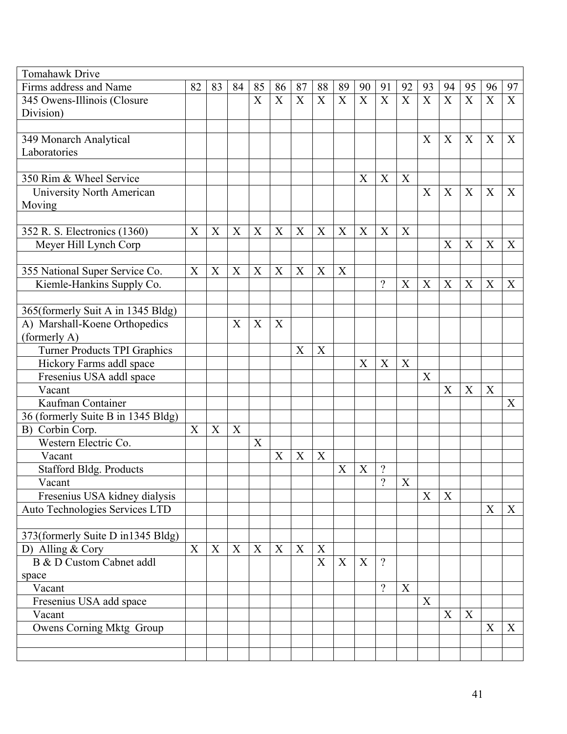| <b>Tomahawk Drive</b>               |    |    |    |    |    |    |                  |             |    |                          |             |    |                  |    |             |                           |
|-------------------------------------|----|----|----|----|----|----|------------------|-------------|----|--------------------------|-------------|----|------------------|----|-------------|---------------------------|
| Firms address and Name              | 82 | 83 | 84 | 85 | 86 | 87 | 88               | 89          | 90 | 91                       | 92          | 93 | 94               | 95 | 96          | 97                        |
| 345 Owens-Illinois (Closure         |    |    |    | X  | X  | X  | X                | $\mathbf X$ | X  | X                        | X           | X  | $\mathbf X$      | X  | $\mathbf X$ | X                         |
| Division)                           |    |    |    |    |    |    |                  |             |    |                          |             |    |                  |    |             |                           |
|                                     |    |    |    |    |    |    |                  |             |    |                          |             |    |                  |    |             |                           |
| 349 Monarch Analytical              |    |    |    |    |    |    |                  |             |    |                          |             | X  | X                | X  | X           | X                         |
| Laboratories                        |    |    |    |    |    |    |                  |             |    |                          |             |    |                  |    |             |                           |
|                                     |    |    |    |    |    |    |                  |             |    |                          |             |    |                  |    |             |                           |
| 350 Rim & Wheel Service             |    |    |    |    |    |    |                  |             | X  | X                        | X           |    |                  |    |             |                           |
| University North American           |    |    |    |    |    |    |                  |             |    |                          |             | X  | X                | X  | X           | $\boldsymbol{X}$          |
| Moving                              |    |    |    |    |    |    |                  |             |    |                          |             |    |                  |    |             |                           |
|                                     |    |    |    |    |    |    |                  |             |    |                          |             |    |                  |    |             |                           |
| 352 R. S. Electronics (1360)        | X  | X  | X  | X  | X  | X  | X                | X           | X  | X                        | X           |    |                  |    |             |                           |
| Meyer Hill Lynch Corp               |    |    |    |    |    |    |                  |             |    |                          |             |    | X                | X  | X           | X                         |
|                                     |    |    |    |    |    |    |                  |             |    |                          |             |    |                  |    |             |                           |
| 355 National Super Service Co.      | X  | X  | X  | X  | X  | X  | X                | X           |    |                          |             |    |                  |    |             |                           |
| Kiemle-Hankins Supply Co.           |    |    |    |    |    |    |                  |             |    | $\gamma$                 | X           | X  | X                | X  | X           | X                         |
|                                     |    |    |    |    |    |    |                  |             |    |                          |             |    |                  |    |             |                           |
| 365(formerly Suit A in 1345 Bldg)   |    |    |    |    |    |    |                  |             |    |                          |             |    |                  |    |             |                           |
| A) Marshall-Koene Orthopedics       |    |    | X  | X  | X  |    |                  |             |    |                          |             |    |                  |    |             |                           |
| (formerly A)                        |    |    |    |    |    |    |                  |             |    |                          |             |    |                  |    |             |                           |
| <b>Turner Products TPI Graphics</b> |    |    |    |    |    | X  | $\boldsymbol{X}$ |             |    |                          |             |    |                  |    |             |                           |
| Hickory Farms addl space            |    |    |    |    |    |    |                  |             | X  | X                        | X           |    |                  |    |             |                           |
| Fresenius USA addl space            |    |    |    |    |    |    |                  |             |    |                          |             | X  |                  |    |             |                           |
| Vacant                              |    |    |    |    |    |    |                  |             |    |                          |             |    | $\boldsymbol{X}$ | X  | X           |                           |
| Kaufman Container                   |    |    |    |    |    |    |                  |             |    |                          |             |    |                  |    |             | $\boldsymbol{X}$          |
| 36 (formerly Suite B in 1345 Bldg)  |    |    |    |    |    |    |                  |             |    |                          |             |    |                  |    |             |                           |
| Corbin Corp.<br>B)                  | X  | X  | X  |    |    |    |                  |             |    |                          |             |    |                  |    |             |                           |
| Western Electric Co.                |    |    |    | X  |    |    |                  |             |    |                          |             |    |                  |    |             |                           |
| Vacant                              |    |    |    |    | X  | X  | $\boldsymbol{X}$ |             |    |                          |             |    |                  |    |             |                           |
| <b>Stafford Bldg. Products</b>      |    |    |    |    |    |    |                  | X           | X  | $\overline{\mathcal{L}}$ |             |    |                  |    |             |                           |
| Vacant                              |    |    |    |    |    |    |                  |             |    | $\overline{\mathcal{L}}$ | $\mathbf X$ |    |                  |    |             |                           |
| Fresenius USA kidney dialysis       |    |    |    |    |    |    |                  |             |    |                          |             | X  | X                |    |             |                           |
| Auto Technologies Services LTD      |    |    |    |    |    |    |                  |             |    |                          |             |    |                  |    | X           | $\boldsymbol{X}$          |
|                                     |    |    |    |    |    |    |                  |             |    |                          |             |    |                  |    |             |                           |
| 373(formerly Suite D in1345 Bldg)   |    |    |    |    |    |    |                  |             |    |                          |             |    |                  |    |             |                           |
| D) Alling & Cory                    | X  | X  | X  | X  | X  | X  | X                |             |    |                          |             |    |                  |    |             |                           |
| B & D Custom Cabnet addl            |    |    |    |    |    |    | X                | X           | X  | $\gamma$                 |             |    |                  |    |             |                           |
| space                               |    |    |    |    |    |    |                  |             |    |                          |             |    |                  |    |             |                           |
| Vacant                              |    |    |    |    |    |    |                  |             |    | $\gamma$                 | X           |    |                  |    |             |                           |
| Fresenius USA add space             |    |    |    |    |    |    |                  |             |    |                          |             | X  |                  |    |             |                           |
| Vacant                              |    |    |    |    |    |    |                  |             |    |                          |             |    | X                | X  |             |                           |
| Owens Corning Mktg Group            |    |    |    |    |    |    |                  |             |    |                          |             |    |                  |    | X           | $\boldsymbol{\mathrm{X}}$ |
|                                     |    |    |    |    |    |    |                  |             |    |                          |             |    |                  |    |             |                           |
|                                     |    |    |    |    |    |    |                  |             |    |                          |             |    |                  |    |             |                           |
|                                     |    |    |    |    |    |    |                  |             |    |                          |             |    |                  |    |             |                           |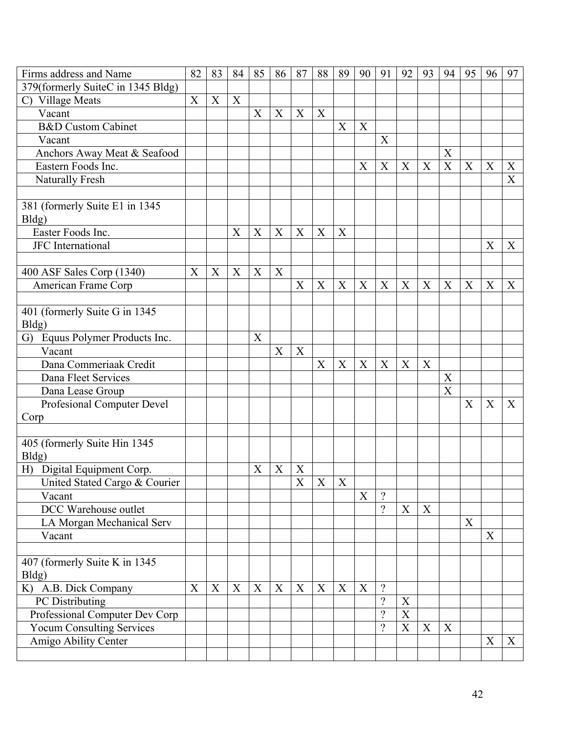| Firms address and Name                  | 82 | 83 | 84 | 85               | 86 | 87          | 88                        | 89          | 90          | 91       | 92               | 93 | 94               | 95          | 96 | 97             |
|-----------------------------------------|----|----|----|------------------|----|-------------|---------------------------|-------------|-------------|----------|------------------|----|------------------|-------------|----|----------------|
| 379(formerly SuiteC in 1345 Bldg)       |    |    |    |                  |    |             |                           |             |             |          |                  |    |                  |             |    |                |
| C) Village Meats                        | X  | X  | X  |                  |    |             |                           |             |             |          |                  |    |                  |             |    |                |
| Vacant                                  |    |    |    | X                | X  | X           | X                         |             |             |          |                  |    |                  |             |    |                |
| <b>B&amp;D</b> Custom Cabinet           |    |    |    |                  |    |             |                           | X           | X           |          |                  |    |                  |             |    |                |
| Vacant                                  |    |    |    |                  |    |             |                           |             |             | X        |                  |    |                  |             |    |                |
| Anchors Away Meat & Seafood             |    |    |    |                  |    |             |                           |             |             |          |                  |    | X                |             |    |                |
| Eastern Foods Inc.                      |    |    |    |                  |    |             |                           |             | X           | X        | X                | X  | $\mathbf X$      | X           | X  | X              |
| Naturally Fresh                         |    |    |    |                  |    |             |                           |             |             |          |                  |    |                  |             |    | $\overline{X}$ |
| 381 (formerly Suite E1 in 1345          |    |    |    |                  |    |             |                           |             |             |          |                  |    |                  |             |    |                |
| Bldg)                                   |    |    |    |                  |    |             |                           |             |             |          |                  |    |                  |             |    |                |
| Easter Foods Inc.                       |    |    | X  | X                | X  | X           | X                         | X           |             |          |                  |    |                  |             |    |                |
| <b>JFC</b> International                |    |    |    |                  |    |             |                           |             |             |          |                  |    |                  |             | X  | X              |
| 400 ASF Sales Corp (1340)               | X  | X  | X  | $\mathbf X$      | X  |             |                           |             |             |          |                  |    |                  |             |    |                |
| American Frame Corp                     |    |    |    |                  |    | X           | $\boldsymbol{\mathrm{X}}$ | X           | X           | X        | X                | X  | $\boldsymbol{X}$ | X           | X  | X              |
|                                         |    |    |    |                  |    |             |                           |             |             |          |                  |    |                  |             |    |                |
| 401 (formerly Suite G in 1345           |    |    |    |                  |    |             |                           |             |             |          |                  |    |                  |             |    |                |
| Bldg)                                   |    |    |    |                  |    |             |                           |             |             |          |                  |    |                  |             |    |                |
| Equus Polymer Products Inc.<br>G)       |    |    |    | X                |    |             |                           |             |             |          |                  |    |                  |             |    |                |
| Vacant                                  |    |    |    |                  | X  | X           |                           |             |             |          |                  |    |                  |             |    |                |
| Dana Commeriaak Credit                  |    |    |    |                  |    |             | X                         | X           | X           | X        | X                | X  |                  |             |    |                |
| Dana Fleet Services                     |    |    |    |                  |    |             |                           |             |             |          |                  |    | X                |             |    |                |
| Dana Lease Group                        |    |    |    |                  |    |             |                           |             |             |          |                  |    | X                |             |    |                |
| Profesional Computer Devel              |    |    |    |                  |    |             |                           |             |             |          |                  |    |                  | X           | X  | X              |
| Corp                                    |    |    |    |                  |    |             |                           |             |             |          |                  |    |                  |             |    |                |
| 405 (formerly Suite Hin 1345)           |    |    |    |                  |    |             |                           |             |             |          |                  |    |                  |             |    |                |
| Bldg)                                   |    |    |    |                  |    |             |                           |             |             |          |                  |    |                  |             |    |                |
| H) Digital Equipment Corp.              |    |    |    | X                | X  | X           |                           |             |             |          |                  |    |                  |             |    |                |
| United Stated Cargo & Courier           |    |    |    |                  |    | $\mathbf X$ | X                         | $\mathbf X$ |             |          |                  |    |                  |             |    |                |
| Vacant                                  |    |    |    |                  |    |             |                           |             | X           | $\gamma$ |                  |    |                  |             |    |                |
| DCC Warehouse outlet                    |    |    |    |                  |    |             |                           |             |             | $\gamma$ | $\boldsymbol{X}$ | X  |                  |             |    |                |
| LA Morgan Mechanical Serv               |    |    |    |                  |    |             |                           |             |             |          |                  |    |                  | $\mathbf X$ |    |                |
| Vacant                                  |    |    |    |                  |    |             |                           |             |             |          |                  |    |                  |             | X  |                |
|                                         |    |    |    |                  |    |             |                           |             |             |          |                  |    |                  |             |    |                |
| 407 (formerly Suite K in 1345)<br>Bldg) |    |    |    |                  |    |             |                           |             |             |          |                  |    |                  |             |    |                |
| K) A.B. Dick Company                    | X  | X  | X  | $\boldsymbol{X}$ | X  | X           | X                         | $\mathbf X$ | $\mathbf X$ | $\gamma$ |                  |    |                  |             |    |                |
| PC Distributing                         |    |    |    |                  |    |             |                           |             |             | $\gamma$ | X                |    |                  |             |    |                |
| Professional Computer Dev Corp          |    |    |    |                  |    |             |                           |             |             | $\gamma$ | $\boldsymbol{X}$ |    |                  |             |    |                |
| <b>Yocum Consulting Services</b>        |    |    |    |                  |    |             |                           |             |             | $\gamma$ | $\mathbf X$      | X  | X                |             |    |                |
| Amigo Ability Center                    |    |    |    |                  |    |             |                           |             |             |          |                  |    |                  |             | X  | X              |
|                                         |    |    |    |                  |    |             |                           |             |             |          |                  |    |                  |             |    |                |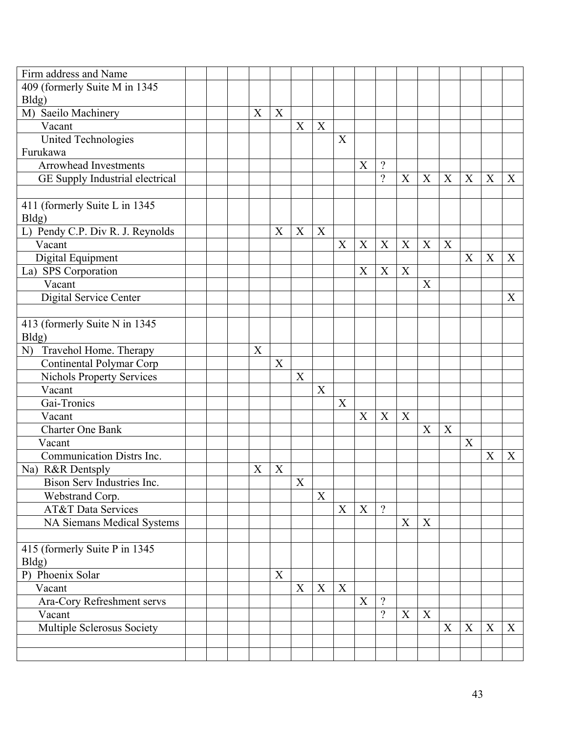| Firm address and Name                                                                                                                                                     |  |   |   |   |             |                           |                           |                          |   |                  |   |   |   |                  |
|---------------------------------------------------------------------------------------------------------------------------------------------------------------------------|--|---|---|---|-------------|---------------------------|---------------------------|--------------------------|---|------------------|---|---|---|------------------|
| 409 (formerly Suite M in 1345                                                                                                                                             |  |   |   |   |             |                           |                           |                          |   |                  |   |   |   |                  |
| Bldg)                                                                                                                                                                     |  |   |   |   |             |                           |                           |                          |   |                  |   |   |   |                  |
| M) Saeilo Machinery                                                                                                                                                       |  | X | X |   |             |                           |                           |                          |   |                  |   |   |   |                  |
| Vacant                                                                                                                                                                    |  |   |   | X | $\mathbf X$ |                           |                           |                          |   |                  |   |   |   |                  |
| <b>United Technologies</b>                                                                                                                                                |  |   |   |   |             | X                         |                           |                          |   |                  |   |   |   |                  |
| Furukawa                                                                                                                                                                  |  |   |   |   |             |                           |                           |                          |   |                  |   |   |   |                  |
| <b>Arrowhead Investments</b>                                                                                                                                              |  |   |   |   |             |                           | X                         | $\gamma$                 |   |                  |   |   |   |                  |
| GE Supply Industrial electrical                                                                                                                                           |  |   |   |   |             |                           |                           | $\gamma$                 | X | $\boldsymbol{X}$ | X | X | X | $\mathbf{X}$     |
|                                                                                                                                                                           |  |   |   |   |             |                           |                           |                          |   |                  |   |   |   |                  |
| 411 (formerly Suite L in 1345                                                                                                                                             |  |   |   |   |             |                           |                           |                          |   |                  |   |   |   |                  |
| Bldg)                                                                                                                                                                     |  |   |   |   |             |                           |                           |                          |   |                  |   |   |   |                  |
| L) Pendy C.P. Div R. J. Reynolds                                                                                                                                          |  |   | X | X | X           |                           |                           |                          |   |                  |   |   |   |                  |
| Vacant                                                                                                                                                                    |  |   |   |   |             | X                         | $\boldsymbol{\mathrm{X}}$ | X                        | X | X                | X |   |   |                  |
| Digital Equipment                                                                                                                                                         |  |   |   |   |             |                           |                           |                          |   |                  |   | X | X | X                |
| La) SPS Corporation                                                                                                                                                       |  |   |   |   |             |                           | X                         | X                        | X |                  |   |   |   |                  |
| Vacant                                                                                                                                                                    |  |   |   |   |             |                           |                           |                          |   | X                |   |   |   |                  |
| Digital Service Center                                                                                                                                                    |  |   |   |   |             |                           |                           |                          |   |                  |   |   |   | X                |
|                                                                                                                                                                           |  |   |   |   |             |                           |                           |                          |   |                  |   |   |   |                  |
| 413 (formerly Suite N in 1345)                                                                                                                                            |  |   |   |   |             |                           |                           |                          |   |                  |   |   |   |                  |
| Bldg)                                                                                                                                                                     |  |   |   |   |             |                           |                           |                          |   |                  |   |   |   |                  |
| N) Travehol Home. Therapy                                                                                                                                                 |  | X |   |   |             |                           |                           |                          |   |                  |   |   |   |                  |
| Continental Polymar Corp                                                                                                                                                  |  |   | X |   |             |                           |                           |                          |   |                  |   |   |   |                  |
| <b>Nichols Property Services</b>                                                                                                                                          |  |   |   | X |             |                           |                           |                          |   |                  |   |   |   |                  |
| Vacant                                                                                                                                                                    |  |   |   |   | X           |                           |                           |                          |   |                  |   |   |   |                  |
| Gai-Tronics                                                                                                                                                               |  |   |   |   |             | $\mathbf X$               |                           |                          |   |                  |   |   |   |                  |
| Vacant                                                                                                                                                                    |  |   |   |   |             |                           | X                         | X                        | X |                  |   |   |   |                  |
| <b>Charter One Bank</b>                                                                                                                                                   |  |   |   |   |             |                           |                           |                          |   | X                | X |   |   |                  |
| Vacant                                                                                                                                                                    |  |   |   |   |             |                           |                           |                          |   |                  |   | X |   |                  |
| Communication Distrs Inc.                                                                                                                                                 |  |   |   |   |             |                           |                           |                          |   |                  |   |   | X | X                |
| Na) R&R Dentsply                                                                                                                                                          |  | X | X |   |             |                           |                           |                          |   |                  |   |   |   |                  |
| Bison Serv Industries Inc.                                                                                                                                                |  |   |   | X |             |                           |                           |                          |   |                  |   |   |   |                  |
| Webstrand Corp.                                                                                                                                                           |  |   |   |   | X           |                           |                           |                          |   |                  |   |   |   |                  |
| <b>AT&amp;T</b> Data Services                                                                                                                                             |  |   |   |   |             | $\boldsymbol{\mathrm{X}}$ | X                         | $\gamma$                 |   |                  |   |   |   |                  |
|                                                                                                                                                                           |  |   |   |   |             |                           |                           |                          | X | X                |   |   |   |                  |
|                                                                                                                                                                           |  |   |   |   |             |                           |                           |                          |   |                  |   |   |   |                  |
|                                                                                                                                                                           |  |   |   |   |             |                           |                           |                          |   |                  |   |   |   |                  |
|                                                                                                                                                                           |  |   |   |   |             |                           |                           |                          |   |                  |   |   |   |                  |
|                                                                                                                                                                           |  |   |   |   |             |                           |                           |                          |   |                  |   |   |   |                  |
|                                                                                                                                                                           |  |   |   |   |             |                           |                           | $\gamma$                 |   |                  |   |   |   |                  |
|                                                                                                                                                                           |  |   |   |   |             |                           |                           |                          |   |                  |   |   |   |                  |
|                                                                                                                                                                           |  |   |   |   |             |                           |                           |                          |   |                  |   |   |   |                  |
|                                                                                                                                                                           |  |   |   |   |             |                           |                           |                          |   |                  |   |   |   |                  |
|                                                                                                                                                                           |  |   |   |   |             |                           |                           |                          |   |                  |   |   |   |                  |
| NA Siemans Medical Systems<br>415 (formerly Suite P in 1345)<br>Bldg)<br>P) Phoenix Solar<br>Vacant<br>Ara-Cory Refreshment servs<br>Vacant<br>Multiple Sclerosus Society |  |   | X | X | X           | $\mathbf X$               | X                         | $\overline{\mathcal{L}}$ | X | X                | X | X | X | $\boldsymbol{X}$ |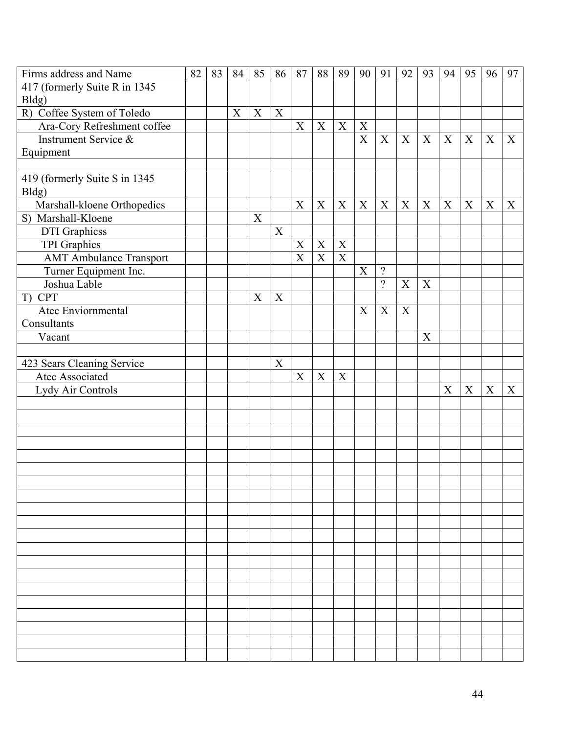| Firms address and Name         | 82 | 83 | 84 | 85 | 86 | 87                        | 88          | 89                        | 90                        | 91                       | 92               | 93 | 94          | 95          | 96          | 97 |
|--------------------------------|----|----|----|----|----|---------------------------|-------------|---------------------------|---------------------------|--------------------------|------------------|----|-------------|-------------|-------------|----|
| 417 (formerly Suite R in 1345) |    |    |    |    |    |                           |             |                           |                           |                          |                  |    |             |             |             |    |
| Bldg)                          |    |    |    |    |    |                           |             |                           |                           |                          |                  |    |             |             |             |    |
| R) Coffee System of Toledo     |    |    | X  | X  | X  |                           |             |                           |                           |                          |                  |    |             |             |             |    |
| Ara-Cory Refreshment coffee    |    |    |    |    |    | $\boldsymbol{\mathrm{X}}$ | $\mathbf X$ | $\mathbf X$               | $\mathbf X$               |                          |                  |    |             |             |             |    |
| Instrument Service &           |    |    |    |    |    |                           |             |                           | $\boldsymbol{\mathrm{X}}$ | X                        | X                | X  | $\mathbf X$ | X           | $\mathbf X$ | X  |
| Equipment                      |    |    |    |    |    |                           |             |                           |                           |                          |                  |    |             |             |             |    |
|                                |    |    |    |    |    |                           |             |                           |                           |                          |                  |    |             |             |             |    |
| 419 (formerly Suite S in 1345) |    |    |    |    |    |                           |             |                           |                           |                          |                  |    |             |             |             |    |
| Bldg)                          |    |    |    |    |    |                           |             |                           |                           |                          |                  |    |             |             |             |    |
| Marshall-kloene Orthopedics    |    |    |    |    |    | X                         | X           | $\mathbf X$               | $\mathbf X$               | X                        | $\boldsymbol{X}$ | X  | $\mathbf X$ | $\mathbf X$ | X           | X  |
| S) Marshall-Kloene             |    |    |    | X  |    |                           |             |                           |                           |                          |                  |    |             |             |             |    |
| <b>DTI</b> Graphicss           |    |    |    |    | X  |                           |             |                           |                           |                          |                  |    |             |             |             |    |
| <b>TPI</b> Graphics            |    |    |    |    |    | X                         | $\mathbf X$ | $\mathbf X$               |                           |                          |                  |    |             |             |             |    |
| <b>AMT Ambulance Transport</b> |    |    |    |    |    | $\mathbf X$               | $\mathbf X$ | $\boldsymbol{\mathrm{X}}$ |                           |                          |                  |    |             |             |             |    |
| Turner Equipment Inc.          |    |    |    |    |    |                           |             |                           | X                         | $\overline{\mathcal{L}}$ |                  |    |             |             |             |    |
| Joshua Lable                   |    |    |    |    |    |                           |             |                           |                           | $\gamma$                 | $\mathbf X$      | X  |             |             |             |    |
| T) CPT                         |    |    |    | X  | X  |                           |             |                           |                           |                          |                  |    |             |             |             |    |
| Atec Enviornmental             |    |    |    |    |    |                           |             |                           | X                         | X                        | X                |    |             |             |             |    |
| Consultants                    |    |    |    |    |    |                           |             |                           |                           |                          |                  |    |             |             |             |    |
| Vacant                         |    |    |    |    |    |                           |             |                           |                           |                          |                  | X  |             |             |             |    |
|                                |    |    |    |    |    |                           |             |                           |                           |                          |                  |    |             |             |             |    |
| 423 Sears Cleaning Service     |    |    |    |    | X  |                           |             |                           |                           |                          |                  |    |             |             |             |    |
| Atec Associated                |    |    |    |    |    | X                         | X           | $\mathbf X$               |                           |                          |                  |    |             |             |             |    |
| Lydy Air Controls              |    |    |    |    |    |                           |             |                           |                           |                          |                  |    | X           | $\mathbf X$ | X           | X  |
|                                |    |    |    |    |    |                           |             |                           |                           |                          |                  |    |             |             |             |    |
|                                |    |    |    |    |    |                           |             |                           |                           |                          |                  |    |             |             |             |    |
|                                |    |    |    |    |    |                           |             |                           |                           |                          |                  |    |             |             |             |    |
|                                |    |    |    |    |    |                           |             |                           |                           |                          |                  |    |             |             |             |    |
|                                |    |    |    |    |    |                           |             |                           |                           |                          |                  |    |             |             |             |    |
|                                |    |    |    |    |    |                           |             |                           |                           |                          |                  |    |             |             |             |    |
|                                |    |    |    |    |    |                           |             |                           |                           |                          |                  |    |             |             |             |    |
|                                |    |    |    |    |    |                           |             |                           |                           |                          |                  |    |             |             |             |    |
|                                |    |    |    |    |    |                           |             |                           |                           |                          |                  |    |             |             |             |    |
|                                |    |    |    |    |    |                           |             |                           |                           |                          |                  |    |             |             |             |    |
|                                |    |    |    |    |    |                           |             |                           |                           |                          |                  |    |             |             |             |    |
|                                |    |    |    |    |    |                           |             |                           |                           |                          |                  |    |             |             |             |    |
|                                |    |    |    |    |    |                           |             |                           |                           |                          |                  |    |             |             |             |    |
|                                |    |    |    |    |    |                           |             |                           |                           |                          |                  |    |             |             |             |    |
|                                |    |    |    |    |    |                           |             |                           |                           |                          |                  |    |             |             |             |    |
|                                |    |    |    |    |    |                           |             |                           |                           |                          |                  |    |             |             |             |    |
|                                |    |    |    |    |    |                           |             |                           |                           |                          |                  |    |             |             |             |    |
|                                |    |    |    |    |    |                           |             |                           |                           |                          |                  |    |             |             |             |    |
|                                |    |    |    |    |    |                           |             |                           |                           |                          |                  |    |             |             |             |    |
|                                |    |    |    |    |    |                           |             |                           |                           |                          |                  |    |             |             |             |    |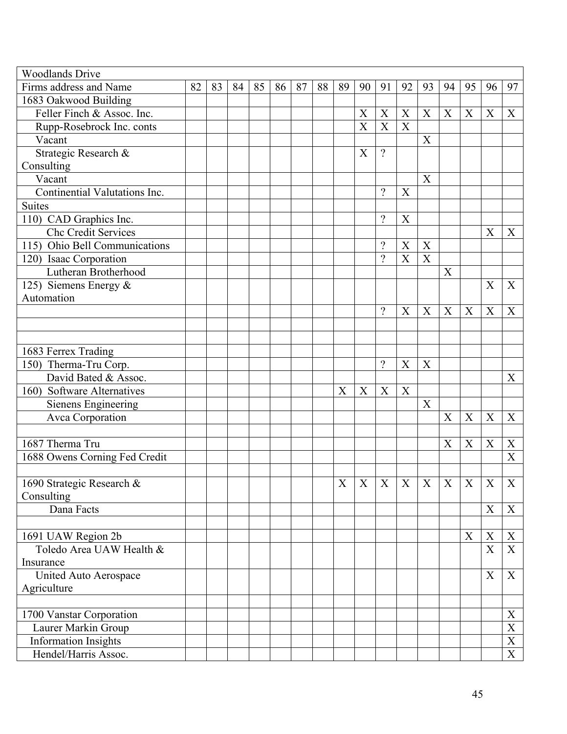| <b>Woodlands Drive</b>        |    |    |    |    |    |    |    |    |                     |                          |    |                  |    |                           |                |                           |
|-------------------------------|----|----|----|----|----|----|----|----|---------------------|--------------------------|----|------------------|----|---------------------------|----------------|---------------------------|
| Firms address and Name        | 82 | 83 | 84 | 85 | 86 | 87 | 88 | 89 | 90                  | 91                       | 92 | 93               | 94 | 95                        | 96             | 97                        |
| 1683 Oakwood Building         |    |    |    |    |    |    |    |    |                     |                          |    |                  |    |                           |                |                           |
| Feller Finch & Assoc. Inc.    |    |    |    |    |    |    |    |    | X                   | X                        | X  | X                | X  | X                         | X              | X                         |
| Rupp-Rosebrock Inc. conts     |    |    |    |    |    |    |    |    | $\overline{X}$      | X                        | X  |                  |    |                           |                |                           |
| Vacant                        |    |    |    |    |    |    |    |    |                     |                          |    | X                |    |                           |                |                           |
| Strategic Research &          |    |    |    |    |    |    |    |    | X                   | $\gamma$                 |    |                  |    |                           |                |                           |
| Consulting                    |    |    |    |    |    |    |    |    |                     |                          |    |                  |    |                           |                |                           |
| Vacant                        |    |    |    |    |    |    |    |    |                     |                          |    | $\boldsymbol{X}$ |    |                           |                |                           |
| Continential Valutations Inc. |    |    |    |    |    |    |    |    |                     | $\gamma$                 | X  |                  |    |                           |                |                           |
| <b>Suites</b>                 |    |    |    |    |    |    |    |    |                     |                          |    |                  |    |                           |                |                           |
| 110) CAD Graphics Inc.        |    |    |    |    |    |    |    |    |                     | $\overline{\mathcal{L}}$ | X  |                  |    |                           |                |                           |
| Chc Credit Services           |    |    |    |    |    |    |    |    |                     |                          |    |                  |    |                           | X              | X                         |
| 115) Ohio Bell Communications |    |    |    |    |    |    |    |    |                     | $\gamma$                 | X  | X                |    |                           |                |                           |
| 120) Isaac Corporation        |    |    |    |    |    |    |    |    |                     | $\gamma$                 | X  | $\boldsymbol{X}$ |    |                           |                |                           |
| Lutheran Brotherhood          |    |    |    |    |    |    |    |    |                     |                          |    |                  | X  |                           |                |                           |
| 125) Siemens Energy &         |    |    |    |    |    |    |    |    |                     |                          |    |                  |    |                           | X              | X                         |
| Automation                    |    |    |    |    |    |    |    |    |                     |                          |    |                  |    |                           |                |                           |
|                               |    |    |    |    |    |    |    |    |                     | $\overline{\mathcal{L}}$ | X  | $\boldsymbol{X}$ | X  | X                         | X              | X                         |
|                               |    |    |    |    |    |    |    |    |                     |                          |    |                  |    |                           |                |                           |
|                               |    |    |    |    |    |    |    |    |                     |                          |    |                  |    |                           |                |                           |
| 1683 Ferrex Trading           |    |    |    |    |    |    |    |    |                     |                          |    |                  |    |                           |                |                           |
| 150) Therma-Tru Corp.         |    |    |    |    |    |    |    |    |                     | $\gamma$                 | X  | X                |    |                           |                |                           |
| David Bated & Assoc.          |    |    |    |    |    |    |    |    |                     |                          |    |                  |    |                           |                | X                         |
| 160) Software Alternatives    |    |    |    |    |    |    |    | X  | X                   | X                        | X  |                  |    |                           |                |                           |
| Sienens Engineering           |    |    |    |    |    |    |    |    |                     |                          |    | X                |    |                           |                |                           |
| Avca Corporation              |    |    |    |    |    |    |    |    |                     |                          |    |                  | X  | X                         | X              | X                         |
|                               |    |    |    |    |    |    |    |    |                     |                          |    |                  |    |                           |                |                           |
| 1687 Therma Tru               |    |    |    |    |    |    |    |    |                     |                          |    |                  | X  | $\boldsymbol{\mathrm{X}}$ | X              | $\boldsymbol{X}$          |
| 1688 Owens Corning Fed Credit |    |    |    |    |    |    |    |    |                     |                          |    |                  |    |                           |                | X                         |
|                               |    |    |    |    |    |    |    |    |                     |                          |    |                  |    |                           |                |                           |
| 1690 Strategic Research &     |    |    |    |    |    |    |    |    | $X$ $X$ $X$ $X$ $X$ |                          |    |                  |    | X                         | $\overline{X}$ | $\boldsymbol{\mathrm{X}}$ |
| Consulting                    |    |    |    |    |    |    |    |    |                     |                          |    |                  |    |                           |                |                           |
| Dana Facts                    |    |    |    |    |    |    |    |    |                     |                          |    |                  |    |                           | X              | X                         |
|                               |    |    |    |    |    |    |    |    |                     |                          |    |                  |    |                           |                |                           |
| 1691 UAW Region 2b            |    |    |    |    |    |    |    |    |                     |                          |    |                  |    | X                         | X              | X                         |
| Toledo Area UAW Health &      |    |    |    |    |    |    |    |    |                     |                          |    |                  |    |                           | $\mathbf X$    | X                         |
| Insurance                     |    |    |    |    |    |    |    |    |                     |                          |    |                  |    |                           |                |                           |
| United Auto Aerospace         |    |    |    |    |    |    |    |    |                     |                          |    |                  |    |                           | X              | X                         |
| Agriculture                   |    |    |    |    |    |    |    |    |                     |                          |    |                  |    |                           |                |                           |
|                               |    |    |    |    |    |    |    |    |                     |                          |    |                  |    |                           |                |                           |
| 1700 Vanstar Corporation      |    |    |    |    |    |    |    |    |                     |                          |    |                  |    |                           |                | X                         |
| Laurer Markin Group           |    |    |    |    |    |    |    |    |                     |                          |    |                  |    |                           |                | $\boldsymbol{\mathrm{X}}$ |
| <b>Information Insights</b>   |    |    |    |    |    |    |    |    |                     |                          |    |                  |    |                           |                | $\boldsymbol{\mathrm{X}}$ |
| Hendel/Harris Assoc.          |    |    |    |    |    |    |    |    |                     |                          |    |                  |    |                           |                | $\overline{X}$            |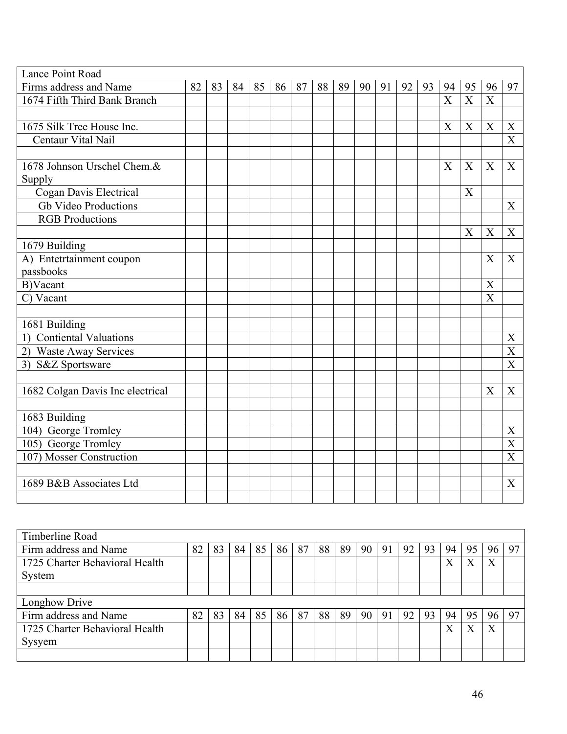| Lance Point Road                 |    |    |    |    |    |    |    |    |    |    |    |    |                       |                |                           |                           |
|----------------------------------|----|----|----|----|----|----|----|----|----|----|----|----|-----------------------|----------------|---------------------------|---------------------------|
| Firms address and Name           | 82 | 83 | 84 | 85 | 86 | 87 | 88 | 89 | 90 | 91 | 92 | 93 | 94                    | 95             | 96                        | 97                        |
| 1674 Fifth Third Bank Branch     |    |    |    |    |    |    |    |    |    |    |    |    | $\overline{\text{X}}$ | $\overline{X}$ | $\overline{X}$            |                           |
|                                  |    |    |    |    |    |    |    |    |    |    |    |    |                       |                |                           |                           |
| 1675 Silk Tree House Inc.        |    |    |    |    |    |    |    |    |    |    |    |    | X                     | X              | X                         | X                         |
| Centaur Vital Nail               |    |    |    |    |    |    |    |    |    |    |    |    |                       |                |                           | X                         |
|                                  |    |    |    |    |    |    |    |    |    |    |    |    |                       |                |                           |                           |
| 1678 Johnson Urschel Chem.&      |    |    |    |    |    |    |    |    |    |    |    |    | X                     | X              | X                         | X                         |
| Supply                           |    |    |    |    |    |    |    |    |    |    |    |    |                       |                |                           |                           |
| Cogan Davis Electrical           |    |    |    |    |    |    |    |    |    |    |    |    |                       | X              |                           |                           |
| <b>Gb Video Productions</b>      |    |    |    |    |    |    |    |    |    |    |    |    |                       |                |                           | $\boldsymbol{\mathrm{X}}$ |
| <b>RGB</b> Productions           |    |    |    |    |    |    |    |    |    |    |    |    |                       |                |                           |                           |
|                                  |    |    |    |    |    |    |    |    |    |    |    |    |                       | X              | X                         | X                         |
| 1679 Building                    |    |    |    |    |    |    |    |    |    |    |    |    |                       |                |                           |                           |
| A) Entetrtainment coupon         |    |    |    |    |    |    |    |    |    |    |    |    |                       |                | X                         | X                         |
| passbooks                        |    |    |    |    |    |    |    |    |    |    |    |    |                       |                |                           |                           |
| B)Vacant                         |    |    |    |    |    |    |    |    |    |    |    |    |                       |                | X                         |                           |
| C) Vacant                        |    |    |    |    |    |    |    |    |    |    |    |    |                       |                | $\boldsymbol{\mathrm{X}}$ |                           |
|                                  |    |    |    |    |    |    |    |    |    |    |    |    |                       |                |                           |                           |
| 1681 Building                    |    |    |    |    |    |    |    |    |    |    |    |    |                       |                |                           |                           |
| 1) Contiental Valuations         |    |    |    |    |    |    |    |    |    |    |    |    |                       |                |                           | X                         |
| 2) Waste Away Services           |    |    |    |    |    |    |    |    |    |    |    |    |                       |                |                           | X                         |
| 3) S&Z Sportsware                |    |    |    |    |    |    |    |    |    |    |    |    |                       |                |                           | X                         |
|                                  |    |    |    |    |    |    |    |    |    |    |    |    |                       |                |                           |                           |
| 1682 Colgan Davis Inc electrical |    |    |    |    |    |    |    |    |    |    |    |    |                       |                | X                         | X                         |
|                                  |    |    |    |    |    |    |    |    |    |    |    |    |                       |                |                           |                           |
| 1683 Building                    |    |    |    |    |    |    |    |    |    |    |    |    |                       |                |                           |                           |
| 104) George Tromley              |    |    |    |    |    |    |    |    |    |    |    |    |                       |                |                           | $\boldsymbol{\mathrm{X}}$ |
| 105) George Tromley              |    |    |    |    |    |    |    |    |    |    |    |    |                       |                |                           | X                         |
| 107) Mosser Construction         |    |    |    |    |    |    |    |    |    |    |    |    |                       |                |                           | X                         |
|                                  |    |    |    |    |    |    |    |    |    |    |    |    |                       |                |                           |                           |
| 1689 B&B Associates Ltd          |    |    |    |    |    |    |    |    |    |    |    |    |                       |                |                           | X                         |
|                                  |    |    |    |    |    |    |    |    |    |    |    |    |                       |                |                           |                           |

| Timberline Road                |    |    |    |    |    |    |    |    |                 |    |    |    |                   |    |                  |    |
|--------------------------------|----|----|----|----|----|----|----|----|-----------------|----|----|----|-------------------|----|------------------|----|
| Firm address and Name          | 82 | 83 | 84 | 85 | 86 | 87 | 88 | 89 | 90 <sup>1</sup> | 91 | 92 | 93 | 94                | 95 | 96               | 97 |
| 1725 Charter Behavioral Health |    |    |    |    |    |    |    |    |                 |    |    |    | $\rm X$           | X  | X                |    |
| System                         |    |    |    |    |    |    |    |    |                 |    |    |    |                   |    |                  |    |
|                                |    |    |    |    |    |    |    |    |                 |    |    |    |                   |    |                  |    |
| Longhow Drive                  |    |    |    |    |    |    |    |    |                 |    |    |    |                   |    |                  |    |
| Firm address and Name          | 82 | 83 | 84 | 85 | 86 | 87 | 88 | 89 | 90              | 91 | 92 | 93 | 94                | 95 | 96               | 97 |
| 1725 Charter Behavioral Health |    |    |    |    |    |    |    |    |                 |    |    |    | $\rm\overline{X}$ |    | $\boldsymbol{X}$ |    |
| Sysyem                         |    |    |    |    |    |    |    |    |                 |    |    |    |                   |    |                  |    |
|                                |    |    |    |    |    |    |    |    |                 |    |    |    |                   |    |                  |    |